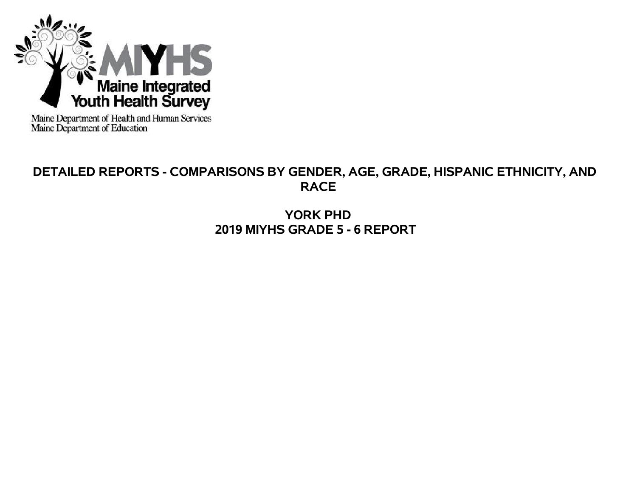

Maine Department of Health and Human Services<br>Maine Department of Education

# **DETAILED REPORTS - COMPARISONS BY GENDER, AGE, GRADE, HISPANIC ETHNICITY, AND RACE**

**YORK PHD 2019 MIYHS GRADE 5 - 6 REPORT**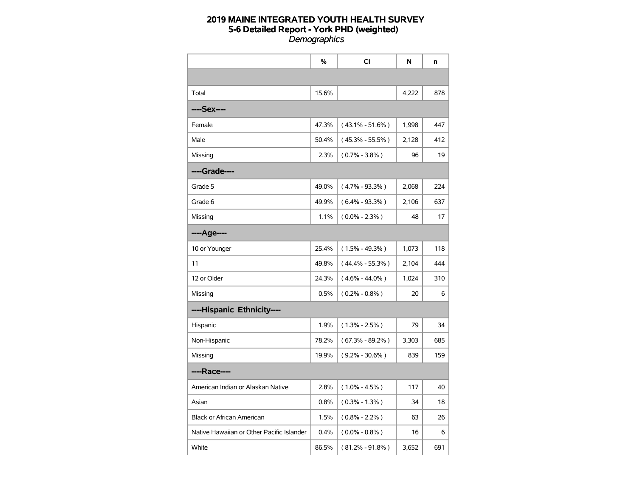|                                           | %     | CI                  | N     | n   |
|-------------------------------------------|-------|---------------------|-------|-----|
|                                           |       |                     |       |     |
| Total                                     | 15.6% |                     | 4,222 | 878 |
| ----Sex----                               |       |                     |       |     |
| Female                                    | 47.3% | $(43.1\% - 51.6\%)$ | 1,998 | 447 |
| Male                                      | 50.4% | $(45.3\% - 55.5\%)$ | 2,128 | 412 |
| Missing                                   | 2.3%  | $(0.7\% - 3.8\%)$   | 96    | 19  |
| ----Grade----                             |       |                     |       |     |
| Grade 5                                   | 49.0% | $(4.7\% - 93.3\%)$  | 2,068 | 224 |
| Grade 6                                   | 49.9% | $(6.4\% - 93.3\%)$  | 2,106 | 637 |
| Missing                                   | 1.1%  | $(0.0\% - 2.3\%)$   | 48    | 17  |
| ----Age----                               |       |                     |       |     |
| 10 or Younger                             | 25.4% | $(1.5\% - 49.3\%)$  | 1,073 | 118 |
| 11                                        | 49.8% | $(44.4\% - 55.3\%)$ | 2,104 | 444 |
| 12 or Older                               | 24.3% | $(4.6\% - 44.0\%)$  | 1,024 | 310 |
| Missing                                   | 0.5%  | $(0.2\% - 0.8\%)$   | 20    | 6   |
| ----Hispanic Ethnicity----                |       |                     |       |     |
| Hispanic                                  | 1.9%  | $(1.3\% - 2.5\%)$   | 79    | 34  |
| Non-Hispanic                              | 78.2% | $(67.3\% - 89.2\%)$ | 3,303 | 685 |
| Missing                                   | 19.9% | $(9.2\% - 30.6\%)$  | 839   | 159 |
| ----Race----                              |       |                     |       |     |
| American Indian or Alaskan Native         | 2.8%  | $(1.0\% - 4.5\%)$   | 117   | 40  |
| Asian                                     | 0.8%  | $(0.3\% - 1.3\%)$   | 34    | 18  |
| <b>Black or African American</b>          | 1.5%  | $(0.8\% - 2.2\%)$   | 63    | 26  |
| Native Hawaiian or Other Pacific Islander | 0.4%  | $(0.0\% - 0.8\%)$   | 16    | 6   |
| White                                     | 86.5% | $(81.2\% - 91.8\%)$ | 3,652 | 691 |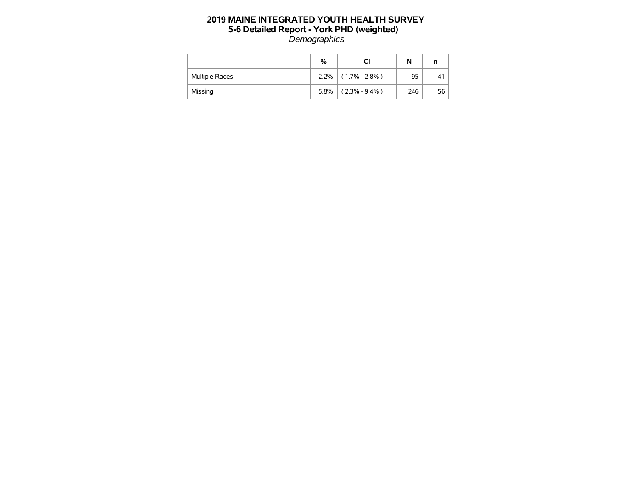|                       | %    | CI                | N   |      |
|-----------------------|------|-------------------|-----|------|
| <b>Multiple Races</b> | 2.2% | $(1.7\% - 2.8\%)$ | 95  | 41   |
| Missing               | 5.8% | $(2.3\% - 9.4\%)$ | 246 | 56 l |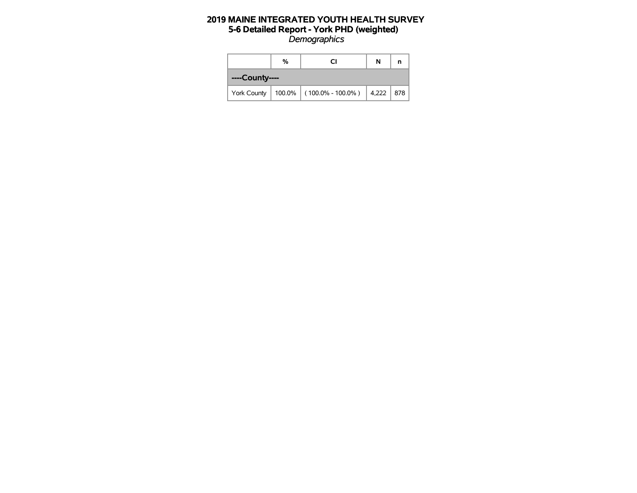|                | % | N                           | n         |  |
|----------------|---|-----------------------------|-----------|--|
| ----County---- |   |                             |           |  |
| York County    |   | $100.0\%$ (100.0% - 100.0%) | 4,222 878 |  |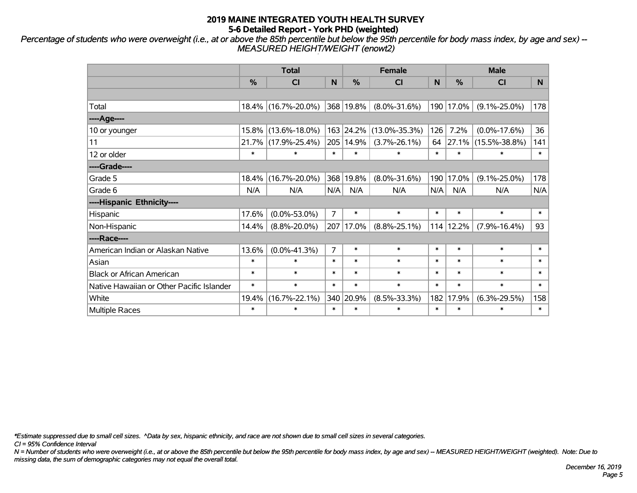*Percentage of students who were overweight (i.e., at or above the 85th percentile but below the 95th percentile for body mass index, by age and sex) -- MEASURED HEIGHT/WEIGHT (enowt2)*

|                                           |        | <b>Total</b>        |                |               | <b>Female</b>       |        | <b>Male</b> |                     |        |
|-------------------------------------------|--------|---------------------|----------------|---------------|---------------------|--------|-------------|---------------------|--------|
|                                           | %      | <b>CI</b>           | N              | $\frac{0}{0}$ | <b>CI</b>           | N      | %           | <b>CI</b>           | N.     |
|                                           |        |                     |                |               |                     |        |             |                     |        |
| Total                                     |        | 18.4% (16.7%-20.0%) |                | 368 19.8%     | $(8.0\% - 31.6\%)$  |        | 190 17.0%   | $(9.1\% - 25.0\%)$  | 178    |
| ----Age----                               |        |                     |                |               |                     |        |             |                     |        |
| 10 or younger                             | 15.8%  | $(13.6\% - 18.0\%)$ |                | 163 24.2%     | $(13.0\% - 35.3\%)$ | 126    | 7.2%        | $(0.0\% - 17.6\%)$  | 36     |
| 11                                        |        | 21.7% (17.9%-25.4%) | 205            | 14.9%         | $(3.7\% - 26.1\%)$  | 64     | 27.1%       | $(15.5\% - 38.8\%)$ | 141    |
| 12 or older                               | $\ast$ | $\ast$              | $\ast$         | $\ast$        | $\ast$              | $\ast$ | $\ast$      | $\ast$              | $\ast$ |
| ----Grade----                             |        |                     |                |               |                     |        |             |                     |        |
| Grade 5                                   | 18.4%  | $(16.7\% - 20.0\%)$ |                | 368 19.8%     | $(8.0\% - 31.6\%)$  | 190    | 17.0%       | $(9.1\% - 25.0\%)$  | 178    |
| Grade 6                                   | N/A    | N/A                 | N/A            | N/A           | N/A                 | N/A    | N/A         | N/A                 | N/A    |
| ----Hispanic Ethnicity----                |        |                     |                |               |                     |        |             |                     |        |
| Hispanic                                  | 17.6%  | $(0.0\% - 53.0\%)$  | $\overline{7}$ | $\ast$        | $\ast$              | $\ast$ | $\ast$      | $\ast$              | $\ast$ |
| Non-Hispanic                              | 14.4%  | $(8.8\% - 20.0\%)$  | 207            | 17.0%         | $(8.8\% - 25.1\%)$  |        | 114 12.2%   | $(7.9\% - 16.4\%)$  | 93     |
| ----Race----                              |        |                     |                |               |                     |        |             |                     |        |
| American Indian or Alaskan Native         | 13.6%  | $(0.0\% - 41.3\%)$  | $\overline{7}$ | $\ast$        | $\ast$              | $\ast$ | $\ast$      | $\ast$              | $\ast$ |
| Asian                                     | $\ast$ | $\ast$              | $\ast$         | $\ast$        | $\ast$              | $\ast$ | $\ast$      | $\ast$              | $\ast$ |
| <b>Black or African American</b>          | $\ast$ | $\ast$              | $\ast$         | $\ast$        | $\ast$              | $\ast$ | $\ast$      | $\ast$              | $\ast$ |
| Native Hawaiian or Other Pacific Islander | $\ast$ | $\ast$              | $\ast$         | $\ast$        | $\ast$              | $\ast$ | $\ast$      | $\ast$              | $\ast$ |
| White                                     | 19.4%  | $(16.7\% - 22.1\%)$ |                | 340 20.9%     | $(8.5\% - 33.3\%)$  | 182    | 17.9%       | $(6.3\% - 29.5\%)$  | 158    |
| <b>Multiple Races</b>                     | $\ast$ | $\ast$              | $\ast$         | $\ast$        | $\ast$              | $\ast$ | $\ast$      | $\ast$              | $\ast$ |

*\*Estimate suppressed due to small cell sizes. ^Data by sex, hispanic ethnicity, and race are not shown due to small cell sizes in several categories.*

*CI = 95% Confidence Interval*

*N = Number of students who were overweight (i.e., at or above the 85th percentile but below the 95th percentile for body mass index, by age and sex) -- MEASURED HEIGHT/WEIGHT (weighted). Note: Due to missing data, the sum of demographic categories may not equal the overall total.*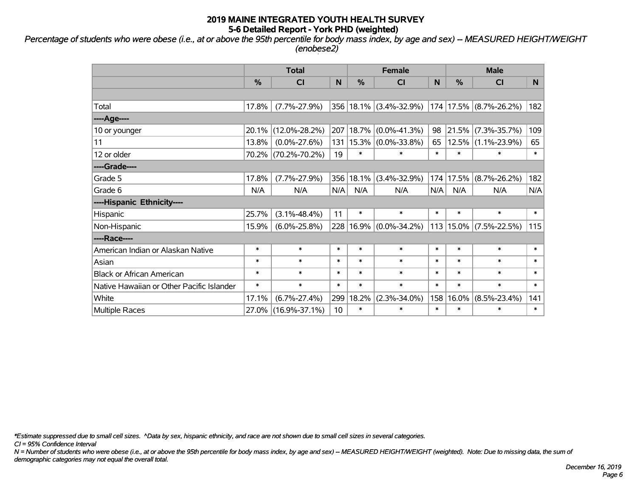*Percentage of students who were obese (i.e., at or above the 95th percentile for body mass index, by age and sex) -- MEASURED HEIGHT/WEIGHT (enobese2)*

|                                           |        | <b>Total</b>        |                 |        | <b>Female</b>          |        | <b>Male</b> |                            |        |
|-------------------------------------------|--------|---------------------|-----------------|--------|------------------------|--------|-------------|----------------------------|--------|
|                                           | %      | C <sub>l</sub>      | N               | %      | <b>CI</b>              | N      | %           | <b>CI</b>                  | N      |
|                                           |        |                     |                 |        |                        |        |             |                            |        |
| Total                                     | 17.8%  | $(7.7\% - 27.9\%)$  |                 |        | 356 18.1% (3.4%-32.9%) |        |             | 174 17.5% (8.7%-26.2%)     | 182    |
| ---- Age----                              |        |                     |                 |        |                        |        |             |                            |        |
| 10 or younger                             | 20.1%  | $(12.0\% - 28.2\%)$ | 207             | 18.7%  | $(0.0\% - 41.3\%)$     | 98     | 21.5%       | $(7.3\% - 35.7\%)$         | 109    |
| 11                                        | 13.8%  | $(0.0\% - 27.6\%)$  | 131             | 15.3%  | $(0.0\% - 33.8\%)$     | 65     | 12.5%       | $(1.1\% - 23.9\%)$         | 65     |
| 12 or older                               |        | 70.2% (70.2%-70.2%) | 19              | $\ast$ | $\ast$                 | $\ast$ | $\ast$      | $\ast$                     | $\ast$ |
| ----Grade----                             |        |                     |                 |        |                        |        |             |                            |        |
| Grade 5                                   | 17.8%  | $(7.7\% - 27.9\%)$  | 356             | 18.1%  | $(3.4\% - 32.9\%)$     | 174    | 17.5%       | $(8.7\% - 26.2\%)$         | 182    |
| Grade 6                                   | N/A    | N/A                 | N/A             | N/A    | N/A                    | N/A    | N/A         | N/A                        | N/A    |
| ----Hispanic Ethnicity----                |        |                     |                 |        |                        |        |             |                            |        |
| Hispanic                                  | 25.7%  | $(3.1\% - 48.4\%)$  | 11              | $\ast$ | $\ast$                 | $\ast$ | $\ast$      | $\ast$                     | $\ast$ |
| Non-Hispanic                              | 15.9%  | $(6.0\% - 25.8\%)$  | 228             | 16.9%  | $(0.0\% - 34.2\%)$     |        |             | 113   15.0%   (7.5%-22.5%) | 115    |
| ----Race----                              |        |                     |                 |        |                        |        |             |                            |        |
| American Indian or Alaskan Native         | $\ast$ | $\ast$              | $\ast$          | $\ast$ | $\ast$                 | $\ast$ | $\ast$      | $\ast$                     | $\ast$ |
| Asian                                     | $\ast$ | $\ast$              | $\ast$          | $\ast$ | $\ast$                 | $\ast$ | $\ast$      | $\ast$                     | $\ast$ |
| <b>Black or African American</b>          | $\ast$ | $\ast$              | $\ast$          | $\ast$ | $\ast$                 | $\ast$ | $\ast$      | $\ast$                     | $\ast$ |
| Native Hawaiian or Other Pacific Islander | $\ast$ | $\ast$              | $\ast$          | $\ast$ | $\ast$                 | $\ast$ | $\ast$      | $\ast$                     | $\ast$ |
| White                                     | 17.1%  | $(6.7\% - 27.4\%)$  | 299             | 18.2%  | $(2.3\% - 34.0\%)$     | 158    | 16.0%       | $(8.5\% - 23.4\%)$         | 141    |
| <b>Multiple Races</b>                     |        | 27.0% (16.9%-37.1%) | 10 <sup>1</sup> | $\ast$ | *                      | $\ast$ | $\ast$      | $\ast$                     | $\ast$ |

*\*Estimate suppressed due to small cell sizes. ^Data by sex, hispanic ethnicity, and race are not shown due to small cell sizes in several categories.*

*CI = 95% Confidence Interval*

*N = Number of students who were obese (i.e., at or above the 95th percentile for body mass index, by age and sex) -- MEASURED HEIGHT/WEIGHT (weighted). Note: Due to missing data, the sum of demographic categories may not equal the overall total.*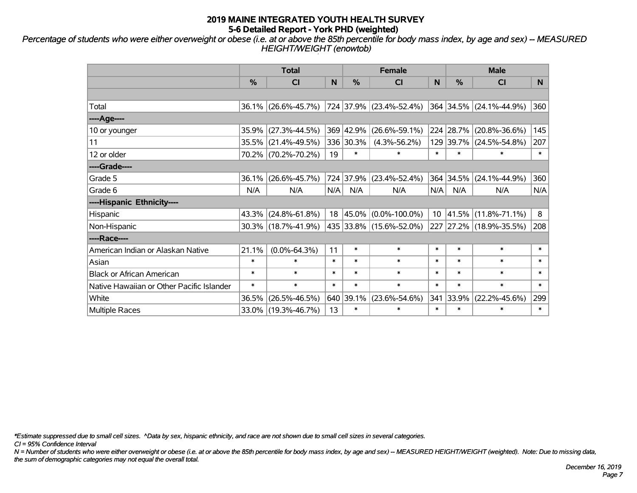*Percentage of students who were either overweight or obese (i.e. at or above the 85th percentile for body mass index, by age and sex) -- MEASURED HEIGHT/WEIGHT (enowtob)*

|                                           |               | <b>Total</b>                                                            |        |                     | <b>Female</b>           |        | <b>Male</b>   |                         |        |  |
|-------------------------------------------|---------------|-------------------------------------------------------------------------|--------|---------------------|-------------------------|--------|---------------|-------------------------|--------|--|
|                                           | $\frac{0}{0}$ | <b>CI</b>                                                               | N      | %                   | <b>CI</b>               | N      | $\frac{9}{6}$ | <b>CI</b>               | N.     |  |
|                                           |               |                                                                         |        |                     |                         |        |               |                         |        |  |
| Total                                     |               | $36.1\%$ (26.6%-45.7%)                                                  |        |                     | 724 37.9% (23.4%-52.4%) |        |               | 364 34.5% (24.1%-44.9%) | 360    |  |
| ----Age----                               |               |                                                                         |        |                     |                         |        |               |                         |        |  |
| 10 or younger                             | 35.9%         | $(27.3\% - 44.5\%)$                                                     |        | 369 42.9%           | $(26.6\% - 59.1\%)$     |        | 224 28.7%     | $(20.8\% - 36.6\%)$     | 145    |  |
| 11                                        |               | 35.5% (21.4%-49.5%)                                                     |        | 336 30.3%           | $(4.3\% - 56.2\%)$      |        | 129 39.7%     | $(24.5\% - 54.8\%)$     | 207    |  |
| 12 or older                               |               | 70.2% (70.2%-70.2%)                                                     | 19     | $\ast$              | $\ast$                  | $\ast$ | $\ast$        | $\ast$                  | $\ast$ |  |
| ----Grade----                             |               |                                                                         |        |                     |                         |        |               |                         |        |  |
| Grade 5                                   | 36.1%         | $(26.6\% - 45.7\%)$                                                     |        | 724 37.9%           | $(23.4\% - 52.4\%)$     | 364    | 34.5%         | $(24.1\% - 44.9\%)$     | 360    |  |
| Grade 6                                   | N/A           | N/A                                                                     | N/A    | N/A                 | N/A                     | N/A    | N/A           | N/A                     | N/A    |  |
| ----Hispanic Ethnicity----                |               |                                                                         |        |                     |                         |        |               |                         |        |  |
| Hispanic                                  |               | $43.3\%$ (24.8%-61.8%)                                                  | 18     | 45.0%               | $(0.0\% - 100.0\%)$     | 10     | 41.5%         | $(11.8\% - 71.1\%)$     | 8      |  |
| Non-Hispanic                              |               | 30.3% (18.7%-41.9%)                                                     |        |                     | 435 33.8% (15.6%-52.0%) |        |               | 227 27.2% (18.9%-35.5%) | 208    |  |
| ----Race----                              |               |                                                                         |        |                     |                         |        |               |                         |        |  |
| American Indian or Alaskan Native         | 21.1%         | $(0.0\% - 64.3\%)$                                                      | 11     | $\ast$              | $\ast$                  | $\ast$ | $\ast$        | $\ast$                  | $\ast$ |  |
| Asian                                     | $\ast$        | $\ast$                                                                  | $\ast$ | $\ast$              | $\ast$                  | $\ast$ | $\ast$        | $\ast$                  | $\ast$ |  |
| <b>Black or African American</b>          | $\ast$        | $\ast$                                                                  | $\ast$ | $\ast$              | $\ast$                  | $\ast$ | $\ast$        | $\ast$                  | $\ast$ |  |
| Native Hawaiian or Other Pacific Islander | $\ast$        | $\ast$                                                                  | $\ast$ | $\ast$              | $\ast$                  | $\ast$ | $\ast$        | $\ast$                  | $\ast$ |  |
| White                                     | 36.5%         | $(26.5\% - 46.5\%)$<br>640 39.1%<br>341<br>33.9%<br>$(23.6\% - 54.6\%)$ |        | $(22.2\% - 45.6\%)$ | 299                     |        |               |                         |        |  |
| Multiple Races                            |               | 33.0% (19.3%-46.7%)                                                     | 13     | $\ast$              | $\ast$                  | $\ast$ | $\ast$        | $\ast$                  | $\ast$ |  |

*\*Estimate suppressed due to small cell sizes. ^Data by sex, hispanic ethnicity, and race are not shown due to small cell sizes in several categories.*

*CI = 95% Confidence Interval*

*N = Number of students who were either overweight or obese (i.e. at or above the 85th percentile for body mass index, by age and sex) -- MEASURED HEIGHT/WEIGHT (weighted). Note: Due to missing data, the sum of demographic categories may not equal the overall total.*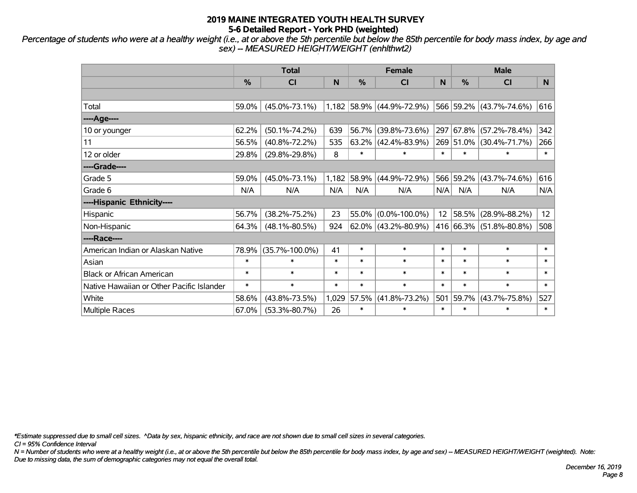*Percentage of students who were at a healthy weight (i.e., at or above the 5th percentile but below the 85th percentile for body mass index, by age and sex) -- MEASURED HEIGHT/WEIGHT (enhlthwt2)*

|                                           |        | <b>Total</b>         |        |          | <b>Female</b>             |        | <b>Male</b>   |                         |        |
|-------------------------------------------|--------|----------------------|--------|----------|---------------------------|--------|---------------|-------------------------|--------|
|                                           | %      | <b>CI</b>            | N      | %        | <b>CI</b>                 | N      | $\frac{0}{0}$ | <b>CI</b>               | N.     |
|                                           |        |                      |        |          |                           |        |               |                         |        |
| Total                                     | 59.0%  | $(45.0\% - 73.1\%)$  |        |          | 1,182 58.9% (44.9%-72.9%) |        |               | 566 59.2% (43.7%-74.6%) | 616    |
| ----Age----                               |        |                      |        |          |                           |        |               |                         |        |
| 10 or younger                             | 62.2%  | $(50.1\% - 74.2\%)$  | 639    | 56.7%    | $(39.8\% - 73.6\%)$       | 297    | 67.8%         | $(57.2\% - 78.4\%)$     | 342    |
| 11                                        | 56.5%  | $(40.8\% - 72.2\%)$  | 535    | $63.2\%$ | $(42.4\% - 83.9\%)$       |        | 269 51.0%     | $(30.4\% - 71.7\%)$     | 266    |
| 12 or older                               | 29.8%  | $(29.8\% - 29.8\%)$  | 8      | $\ast$   | $\ast$                    | $\ast$ | $\ast$        | *                       | $\ast$ |
| ----Grade----                             |        |                      |        |          |                           |        |               |                         |        |
| Grade 5                                   | 59.0%  | $(45.0\% - 73.1\%)$  | 1,182  | 58.9%    | $(44.9\% - 72.9\%)$       |        | 566 59.2%     | $(43.7\% - 74.6\%)$     | 616    |
| Grade 6                                   | N/A    | N/A                  | N/A    | N/A      | N/A                       | N/A    | N/A           | N/A                     | N/A    |
| ----Hispanic Ethnicity----                |        |                      |        |          |                           |        |               |                         |        |
| Hispanic                                  | 56.7%  | $(38.2\% - 75.2\%)$  | 23     | 55.0%    | $(0.0\% - 100.0\%)$       | 12     | 58.5%         | $(28.9\% - 88.2\%)$     | 12     |
| Non-Hispanic                              | 64.3%  | $(48.1\% - 80.5\%)$  | 924    |          | 62.0% (43.2%-80.9%)       |        |               | 416 66.3% (51.8%-80.8%) | 508    |
| ----Race----                              |        |                      |        |          |                           |        |               |                         |        |
| American Indian or Alaskan Native         | 78.9%  | $(35.7\% - 100.0\%)$ | 41     | $\ast$   | $\ast$                    | $\ast$ | $\ast$        | $\ast$                  | $\ast$ |
| Asian                                     | $\ast$ | $\ast$               | $\ast$ | $\ast$   | $\ast$                    | $\ast$ | $\ast$        | $\ast$                  | $\ast$ |
| <b>Black or African American</b>          | $\ast$ | $\ast$               | $\ast$ | $\ast$   | $\ast$                    | $\ast$ | $\ast$        | $\ast$                  | $\ast$ |
| Native Hawaiian or Other Pacific Islander | $\ast$ | $\ast$               | $\ast$ | $\ast$   | $\ast$                    | $\ast$ | $\ast$        | $\ast$                  | $\ast$ |
| White                                     | 58.6%  | $(43.8\% - 73.5\%)$  | 1,029  | 57.5%    | $(41.8\% - 73.2\%)$       | 501    | 59.7%         | $(43.7\% - 75.8\%)$     | 527    |
| Multiple Races                            | 67.0%  | $(53.3\% - 80.7\%)$  | 26     | $\ast$   | $\ast$                    | $\ast$ | $\ast$        | $\ast$                  | $\ast$ |

*\*Estimate suppressed due to small cell sizes. ^Data by sex, hispanic ethnicity, and race are not shown due to small cell sizes in several categories.*

*CI = 95% Confidence Interval*

*N = Number of students who were at a healthy weight (i.e., at or above the 5th percentile but below the 85th percentile for body mass index, by age and sex) -- MEASURED HEIGHT/WEIGHT (weighted). Note: Due to missing data, the sum of demographic categories may not equal the overall total.*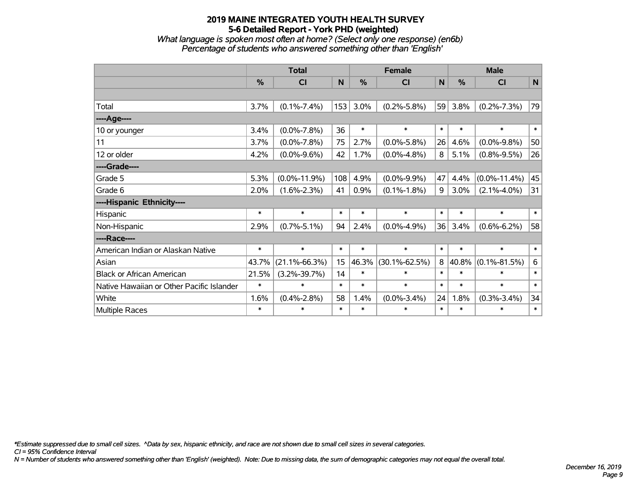*What language is spoken most often at home? (Select only one response) (en6b) Percentage of students who answered something other than 'English'*

|                                           |               | <b>Total</b>        |        |               | <b>Female</b>       |             | <b>Male</b>   |                    |             |
|-------------------------------------------|---------------|---------------------|--------|---------------|---------------------|-------------|---------------|--------------------|-------------|
|                                           | $\frac{0}{0}$ | <b>CI</b>           | N      | $\frac{9}{6}$ | <b>CI</b>           | $\mathbf N$ | $\frac{0}{0}$ | <b>CI</b>          | $\mathbf N$ |
|                                           |               |                     |        |               |                     |             |               |                    |             |
| Total                                     | 3.7%          | $(0.1\% - 7.4\%)$   | 153    | 3.0%          | $(0.2\% - 5.8\%)$   | 59          | 3.8%          | $(0.2\% - 7.3\%)$  | 79          |
| ----Age----                               |               |                     |        |               |                     |             |               |                    |             |
| 10 or younger                             | 3.4%          | $(0.0\% - 7.8\%)$   | 36     | $\ast$        | $\ast$              | $\ast$      | $\ast$        | $\ast$             | $\ast$      |
| 11                                        | 3.7%          | $(0.0\% - 7.8\%)$   | 75     | 2.7%          | $(0.0\% - 5.8\%)$   | 26          | 4.6%          | $(0.0\% - 9.8\%)$  | 50          |
| 12 or older                               | 4.2%          | $(0.0\% - 9.6\%)$   | 42     | 1.7%          | $(0.0\% - 4.8\%)$   | 8           | 5.1%          | $(0.8\% - 9.5\%)$  | 26          |
| ----Grade----                             |               |                     |        |               |                     |             |               |                    |             |
| Grade 5                                   | 5.3%          | $(0.0\% - 11.9\%)$  | 108    | 4.9%          | $(0.0\% - 9.9\%)$   | 47          | 4.4%          | $(0.0\% - 11.4\%)$ | 45          |
| Grade 6                                   | 2.0%          | $(1.6\% - 2.3\%)$   | 41     | 0.9%          | $(0.1\% - 1.8\%)$   | 9           | 3.0%          | $(2.1\% - 4.0\%)$  | 31          |
| ----Hispanic Ethnicity----                |               |                     |        |               |                     |             |               |                    |             |
| Hispanic                                  | $\ast$        | $\ast$              | $\ast$ | $\ast$        | $\ast$              | $\ast$      | $\ast$        | $\ast$             | $\ast$      |
| Non-Hispanic                              | 2.9%          | $(0.7\% - 5.1\%)$   | 94     | 2.4%          | $(0.0\% - 4.9\%)$   | 36          | 3.4%          | $(0.6\% - 6.2\%)$  | 58          |
| ----Race----                              |               |                     |        |               |                     |             |               |                    |             |
| American Indian or Alaskan Native         | $\ast$        | $\ast$              | $\ast$ | $\ast$        | $\ast$              | $\ast$      | $\ast$        | $\ast$             | $\ast$      |
| Asian                                     | 43.7%         | $(21.1\% - 66.3\%)$ | 15     | 46.3%         | $(30.1\% - 62.5\%)$ | 8           | 40.8%         | $(0.1\% - 81.5\%)$ | 6           |
| <b>Black or African American</b>          | 21.5%         | $(3.2\% - 39.7\%)$  | 14     | $\ast$        | $\ast$              | $\ast$      | $\ast$        | $\ast$             | $\ast$      |
| Native Hawaiian or Other Pacific Islander | $\ast$        | $\ast$              | $\ast$ | $\ast$        | $\ast$              | $\ast$      | $\ast$        | $\ast$             | $\ast$      |
| White                                     | 1.6%          | $(0.4\% - 2.8\%)$   | 58     | 1.4%          | $(0.0\% - 3.4\%)$   | 24          | 1.8%          | $(0.3\% - 3.4\%)$  | 34          |
| <b>Multiple Races</b>                     | $\ast$        | $\ast$              | $\ast$ | $\ast$        | $\ast$              | $\ast$      | $\ast$        | $\ast$             | $\ast$      |

*\*Estimate suppressed due to small cell sizes. ^Data by sex, hispanic ethnicity, and race are not shown due to small cell sizes in several categories.*

*CI = 95% Confidence Interval*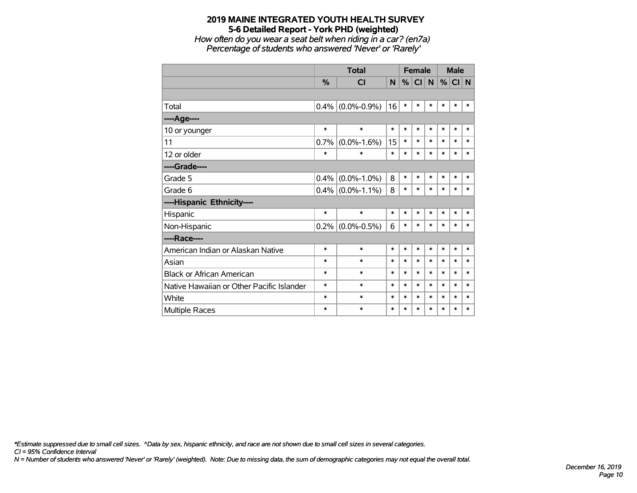*How often do you wear a seat belt when riding in a car? (en7a) Percentage of students who answered 'Never' or 'Rarely'*

|                                           |               | <b>Total</b>      |        |        | <b>Female</b> |        | <b>Male</b> |        |        |
|-------------------------------------------|---------------|-------------------|--------|--------|---------------|--------|-------------|--------|--------|
|                                           | $\frac{0}{0}$ | <b>CI</b>         | N      | %      | CI            | N      | %           | CI N   |        |
|                                           |               |                   |        |        |               |        |             |        |        |
| Total                                     | 0.4%          | $(0.0\% - 0.9\%)$ | 16     | $\ast$ | $\ast$        | $\ast$ | $\ast$      | $\ast$ | $\ast$ |
| ----Age----                               |               |                   |        |        |               |        |             |        |        |
| 10 or younger                             | $\ast$        | $\ast$            | $\ast$ | $\ast$ | $\ast$        | $\ast$ | $\ast$      | $\ast$ | $\ast$ |
| 11                                        | 0.7%          | $(0.0\% - 1.6\%)$ | 15     | $\ast$ | $\ast$        | $\ast$ | $\ast$      | $\ast$ | $\ast$ |
| 12 or older                               | $\ast$        | $\ast$            | $\ast$ | $\ast$ | $\ast$        | $\ast$ | $\ast$      | $\ast$ | $\ast$ |
| ----Grade----                             |               |                   |        |        |               |        |             |        |        |
| Grade 5                                   | 0.4%          | $(0.0\% - 1.0\%)$ | 8      | $\ast$ | $\ast$        | $\ast$ | $\ast$      | $\ast$ | $\ast$ |
| Grade 6                                   | 0.4%          | $(0.0\% - 1.1\%)$ | 8      | $\ast$ | $\ast$        | $\ast$ | $\ast$      | $\ast$ | $\ast$ |
| ----Hispanic Ethnicity----                |               |                   |        |        |               |        |             |        |        |
| Hispanic                                  | $\ast$        | $\ast$            | $\ast$ | $\ast$ | $\ast$        | *      | $\ast$      | $\ast$ | $\ast$ |
| Non-Hispanic                              | 0.2%          | $(0.0\% - 0.5\%)$ | 6      | $\ast$ | $\ast$        | $\ast$ | $\ast$      | $\ast$ | *      |
| ----Race----                              |               |                   |        |        |               |        |             |        |        |
| American Indian or Alaskan Native         | $\ast$        | $\ast$            | $\ast$ | $\ast$ | $\ast$        | $\ast$ | $\ast$      | $\ast$ | $\ast$ |
| Asian                                     | $\ast$        | $\ast$            | $\ast$ | $\ast$ | $\ast$        | $\ast$ | $\ast$      | $\ast$ | $\ast$ |
| <b>Black or African American</b>          | $\ast$        | $\ast$            | $\ast$ | $\ast$ | $\ast$        | $\ast$ | $\ast$      | $\ast$ | $\ast$ |
| Native Hawaiian or Other Pacific Islander | *             | $\ast$            | $\ast$ | $\ast$ | $\ast$        | $\ast$ | $\ast$      | $\ast$ | $\ast$ |
| White                                     | $\ast$        | $\ast$            | $\ast$ | $\ast$ | $\ast$        | $\ast$ | $\ast$      | $\ast$ | $\ast$ |
| Multiple Races                            | $\ast$        | $\ast$            | $\ast$ | $\ast$ | $\ast$        | $\ast$ | $\ast$      | $\ast$ | $\ast$ |

*\*Estimate suppressed due to small cell sizes. ^Data by sex, hispanic ethnicity, and race are not shown due to small cell sizes in several categories.*

*CI = 95% Confidence Interval*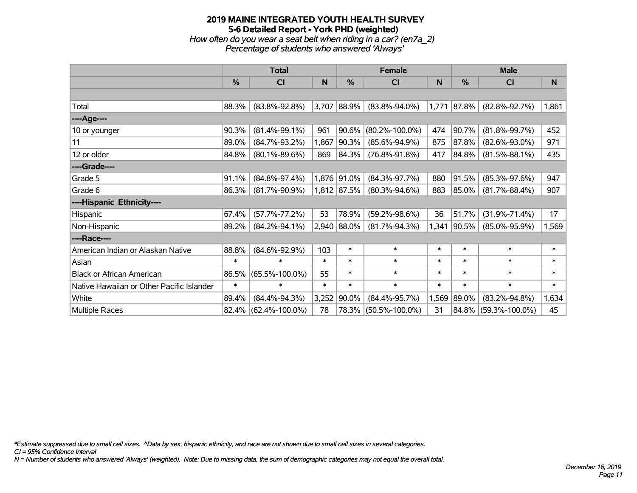## **2019 MAINE INTEGRATED YOUTH HEALTH SURVEY 5-6 Detailed Report - York PHD (weighted)** *How often do you wear a seat belt when riding in a car? (en7a\_2) Percentage of students who answered 'Always'*

|                                           |               | <b>Total</b>         |        |             | <b>Female</b>        |        | <b>Male</b> |                      |              |  |
|-------------------------------------------|---------------|----------------------|--------|-------------|----------------------|--------|-------------|----------------------|--------------|--|
|                                           | $\frac{0}{0}$ | CI                   | N      | %           | <b>CI</b>            | N      | %           | <b>CI</b>            | <sub>N</sub> |  |
|                                           |               |                      |        |             |                      |        |             |                      |              |  |
| Total                                     | 88.3%         | $(83.8\% - 92.8\%)$  | 3,707  | 88.9%       | $(83.8\% - 94.0\%)$  | 1,771  | 87.8%       | $(82.8\% - 92.7\%)$  | 1,861        |  |
| ----Age----                               |               |                      |        |             |                      |        |             |                      |              |  |
| 10 or younger                             | 90.3%         | $(81.4\% - 99.1\%)$  | 961    | 90.6%       | $(80.2\% - 100.0\%)$ | 474    | 90.7%       | $(81.8\% - 99.7\%)$  | 452          |  |
| 11                                        | 89.0%         | $(84.7\% - 93.2\%)$  | 1,867  | 90.3%       | $(85.6\% - 94.9\%)$  | 875    | 87.8%       | $(82.6\% - 93.0\%)$  | 971          |  |
| 12 or older                               | 84.8%         | $(80.1\% - 89.6\%)$  | 869    | 84.3%       | $(76.8\% - 91.8\%)$  | 417    | 84.8%       | $(81.5\% - 88.1\%)$  | 435          |  |
| ----Grade----                             |               |                      |        |             |                      |        |             |                      |              |  |
| Grade 5                                   | 91.1%         | $(84.8\% - 97.4\%)$  |        | 1,876 91.0% | $(84.3\% - 97.7\%)$  | 880    | 91.5%       | $(85.3\% - 97.6\%)$  | 947          |  |
| Grade 6                                   | 86.3%         | $(81.7\% - 90.9\%)$  |        | 1,812 87.5% | $(80.3\% - 94.6\%)$  | 883    | 85.0%       | $(81.7\% - 88.4\%)$  | 907          |  |
| ----Hispanic Ethnicity----                |               |                      |        |             |                      |        |             |                      |              |  |
| Hispanic                                  | 67.4%         | $(57.7\% - 77.2\%)$  | 53     | 78.9%       | $(59.2\% - 98.6\%)$  | 36     | 51.7%       | $(31.9\% - 71.4\%)$  | 17           |  |
| Non-Hispanic                              | 89.2%         | $(84.2\% - 94.1\%)$  |        | 2,940 88.0% | $(81.7\% - 94.3\%)$  | 1,341  | 90.5%       | $(85.0\% - 95.9\%)$  | 1,569        |  |
| ----Race----                              |               |                      |        |             |                      |        |             |                      |              |  |
| American Indian or Alaskan Native         | 88.8%         | $(84.6\% - 92.9\%)$  | 103    | $\ast$      | $\ast$               | $\ast$ | $\ast$      | $\ast$               | $\ast$       |  |
| Asian                                     | $\ast$        | $\ast$               | $\ast$ | $\ast$      | $\ast$               | $\ast$ | $\ast$      | $\ast$               | $\ast$       |  |
| <b>Black or African American</b>          | 86.5%         | $(65.5\% - 100.0\%)$ | 55     | $\ast$      | $\ast$               | $\ast$ | $\ast$      | $\ast$               | $\ast$       |  |
| Native Hawaiian or Other Pacific Islander | $\ast$        | $\ast$               | $\ast$ | $\ast$      | $\ast$               | $\ast$ | $\ast$      | $\ast$               | $\ast$       |  |
| White                                     | 89.4%         | $(84.4\% - 94.3\%)$  | 3,252  | 90.0%       | $(84.4\% - 95.7\%)$  | 1,569  | 89.0%       | $(83.2\% - 94.8\%)$  | 1,634        |  |
| Multiple Races                            | 82.4%         | $(62.4\% - 100.0\%)$ | 78     | 78.3%       | $(50.5\% - 100.0\%)$ | 31     |             | 84.8% (59.3%-100.0%) | 45           |  |

*\*Estimate suppressed due to small cell sizes. ^Data by sex, hispanic ethnicity, and race are not shown due to small cell sizes in several categories.*

*CI = 95% Confidence Interval*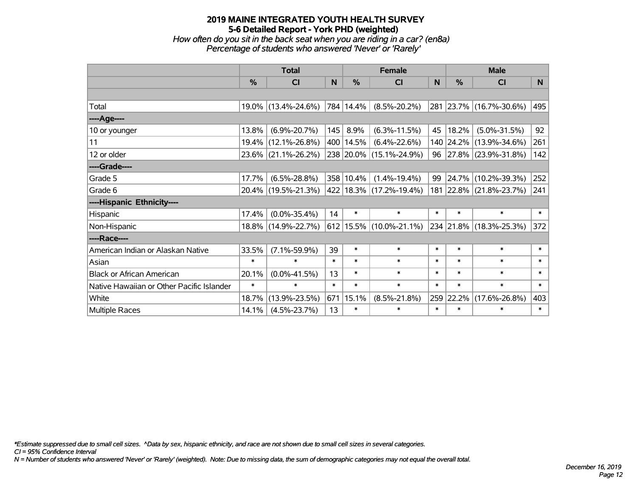*How often do you sit in the back seat when you are riding in a car? (en8a) Percentage of students who answered 'Never' or 'Rarely'*

|                                           |        | <b>Total</b>        |        |             | <b>Female</b>                 |        | <b>Male</b> |                         |        |
|-------------------------------------------|--------|---------------------|--------|-------------|-------------------------------|--------|-------------|-------------------------|--------|
|                                           | %      | CI                  | N      | $\%$        | <b>CI</b>                     | N      | %           | <b>CI</b>               | N      |
|                                           |        |                     |        |             |                               |        |             |                         |        |
| Total                                     |        | 19.0% (13.4%-24.6%) |        | 784   14.4% | $(8.5\% - 20.2\%)$            |        |             | 281 23.7% (16.7%-30.6%) | 495    |
| ----Age----                               |        |                     |        |             |                               |        |             |                         |        |
| 10 or younger                             | 13.8%  | $(6.9\% - 20.7\%)$  | 145    | 8.9%        | $(6.3\% - 11.5\%)$            | 45     | 18.2%       | $(5.0\% - 31.5\%)$      | 92     |
| 11                                        |        | 19.4% (12.1%-26.8%) |        | 400 14.5%   | $(6.4\% - 22.6\%)$            |        |             | 140 24.2% (13.9%-34.6%) | 261    |
| 12 or older                               |        | 23.6% (21.1%-26.2%) |        |             | 238 20.0% (15.1%-24.9%)       |        |             | 96 27.8% (23.9%-31.8%)  | 142    |
| ----Grade----                             |        |                     |        |             |                               |        |             |                         |        |
| Grade 5                                   | 17.7%  | $(6.5\% - 28.8\%)$  |        | 358 10.4%   | $(1.4\% - 19.4\%)$            | 99     | 24.7%       | $(10.2\% - 39.3\%)$     | 252    |
| Grade 6                                   |        | 20.4% (19.5%-21.3%) |        |             | 422 18.3% (17.2%-19.4%)       |        |             | 181 22.8% (21.8%-23.7%) | 241    |
| ----Hispanic Ethnicity----                |        |                     |        |             |                               |        |             |                         |        |
| Hispanic                                  | 17.4%  | $(0.0\% - 35.4\%)$  | 14     | $\ast$      | $\ast$                        | $\ast$ | $\ast$      | $\ast$                  | $\ast$ |
| Non-Hispanic                              |        | 18.8% (14.9%-22.7%) |        |             | $612$   15.5%   (10.0%-21.1%) |        |             | 234 21.8% (18.3%-25.3%) | 372    |
| ----Race----                              |        |                     |        |             |                               |        |             |                         |        |
| American Indian or Alaskan Native         | 33.5%  | $(7.1\% - 59.9\%)$  | 39     | $\ast$      | $\ast$                        | $\ast$ | $\ast$      | $\ast$                  | $\ast$ |
| Asian                                     | $\ast$ | $\ast$              | $\ast$ | $\ast$      | $\ast$                        | $\ast$ | $\ast$      | $\ast$                  | $\ast$ |
| <b>Black or African American</b>          | 20.1%  | $(0.0\% - 41.5\%)$  | 13     | $\ast$      | $\ast$                        | $\ast$ | $\ast$      | $\ast$                  | $\ast$ |
| Native Hawaiian or Other Pacific Islander | $\ast$ | $\ast$              | $\ast$ | $\ast$      | $\ast$                        | $\ast$ | $\ast$      | $\ast$                  | $\ast$ |
| White                                     | 18.7%  | $(13.9\% - 23.5\%)$ |        | 671 15.1%   | $(8.5\% - 21.8\%)$            | 259    | 22.2%       | $(17.6\% - 26.8\%)$     | 403    |
| Multiple Races                            | 14.1%  | $(4.5\% - 23.7\%)$  | 13     | $\ast$      | $\ast$                        | $\ast$ | $\ast$      | $\ast$                  | $\ast$ |

*\*Estimate suppressed due to small cell sizes. ^Data by sex, hispanic ethnicity, and race are not shown due to small cell sizes in several categories.*

*CI = 95% Confidence Interval*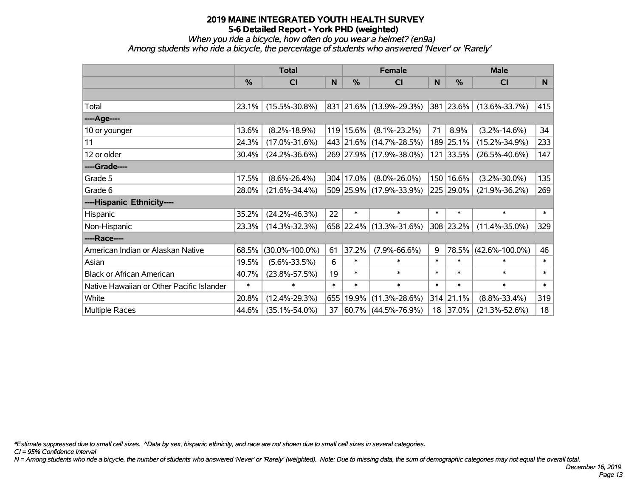*When you ride a bicycle, how often do you wear a helmet? (en9a) Among students who ride a bicycle, the percentage of students who answered 'Never' or 'Rarely'*

|                                           |               | <b>Total</b>         |        |               | <b>Female</b>           |        | <b>Male</b>   |                      |        |  |
|-------------------------------------------|---------------|----------------------|--------|---------------|-------------------------|--------|---------------|----------------------|--------|--|
|                                           | $\frac{0}{0}$ | C <sub>l</sub>       | N      | $\frac{0}{0}$ | <b>CI</b>               | N      | $\frac{9}{6}$ | <b>CI</b>            | N      |  |
|                                           |               |                      |        |               |                         |        |               |                      |        |  |
| Total                                     | 23.1%         | $(15.5\% - 30.8\%)$  |        |               | 831 21.6% (13.9%-29.3%) |        | 381 23.6%     | $(13.6\% - 33.7\%)$  | 415    |  |
| ----Age----                               |               |                      |        |               |                         |        |               |                      |        |  |
| 10 or younger                             | 13.6%         | $(8.2\% - 18.9\%)$   |        | 119 15.6%     | $(8.1\% - 23.2\%)$      | 71     | 8.9%          | $(3.2\% - 14.6\%)$   | 34     |  |
| 11                                        | 24.3%         | $(17.0\% - 31.6\%)$  |        |               | 443 21.6% (14.7%-28.5%) |        | 189 25.1%     | $(15.2\% - 34.9\%)$  | 233    |  |
| 12 or older                               | 30.4%         | $(24.2\% - 36.6\%)$  |        |               | 269 27.9% (17.9%-38.0%) |        | 121 33.5%     | $(26.5\% - 40.6\%)$  | 147    |  |
| ----Grade----                             |               |                      |        |               |                         |        |               |                      |        |  |
| Grade 5                                   | 17.5%         | $(8.6\% - 26.4\%)$   |        | 304 17.0%     | $(8.0\% - 26.0\%)$      |        | 150 16.6%     | $(3.2\% - 30.0\%)$   | 135    |  |
| Grade 6                                   | 28.0%         | $(21.6\% - 34.4\%)$  |        |               | 509 25.9% (17.9%-33.9%) |        | 225 29.0%     | $(21.9\% - 36.2\%)$  | 269    |  |
| ----Hispanic Ethnicity----                |               |                      |        |               |                         |        |               |                      |        |  |
| Hispanic                                  | 35.2%         | $(24.2\% - 46.3\%)$  | 22     | $\ast$        | $\ast$                  | $\ast$ | $\ast$        | $\ast$               | $\ast$ |  |
| Non-Hispanic                              | 23.3%         | $(14.3\% - 32.3\%)$  |        |               | 658 22.4% (13.3%-31.6%) |        | 308 23.2%     | $(11.4\% - 35.0\%)$  | 329    |  |
| ----Race----                              |               |                      |        |               |                         |        |               |                      |        |  |
| American Indian or Alaskan Native         | 68.5%         | $(30.0\% - 100.0\%)$ | 61     | 37.2%         | $(7.9\% - 66.6\%)$      | 9      | 78.5%         | $(42.6\% - 100.0\%)$ | 46     |  |
| Asian                                     | 19.5%         | $(5.6\% - 33.5\%)$   | 6      | $\ast$        | $\ast$                  | $\ast$ | $\ast$        | $\ast$               | $\ast$ |  |
| <b>Black or African American</b>          | 40.7%         | $(23.8\% - 57.5\%)$  | 19     | $\ast$        | $\ast$                  | $\ast$ | $\ast$        | $\ast$               | $\ast$ |  |
| Native Hawaiian or Other Pacific Islander | $\ast$        | $\ast$               | $\ast$ | $\ast$        | $\ast$                  | $\ast$ | $\ast$        | $\ast$               | $\ast$ |  |
| White                                     | 20.8%         | $(12.4\% - 29.3\%)$  | 655    | 19.9%         | $(11.3\% - 28.6\%)$     | 314    | 21.1%         | $(8.8\% - 33.4\%)$   | 319    |  |
| Multiple Races                            | 44.6%         | $(35.1\% - 54.0\%)$  | 37     |               | $60.7\%$ (44.5%-76.9%)  | 18     | 37.0%         | $(21.3\% - 52.6\%)$  | 18     |  |

*\*Estimate suppressed due to small cell sizes. ^Data by sex, hispanic ethnicity, and race are not shown due to small cell sizes in several categories.*

*CI = 95% Confidence Interval*

*N = Among students who ride a bicycle, the number of students who answered 'Never' or 'Rarely' (weighted). Note: Due to missing data, the sum of demographic categories may not equal the overall total.*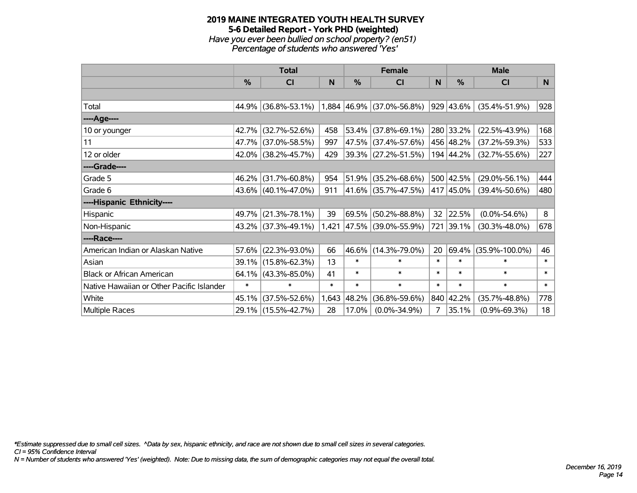#### **2019 MAINE INTEGRATED YOUTH HEALTH SURVEY 5-6 Detailed Report - York PHD (weighted)** *Have you ever been bullied on school property? (en51) Percentage of students who answered 'Yes'*

|                                           | <b>Total</b>  |                     |        | <b>Female</b> |                           | <b>Male</b> |               |                      |        |
|-------------------------------------------|---------------|---------------------|--------|---------------|---------------------------|-------------|---------------|----------------------|--------|
|                                           | $\frac{9}{6}$ | <b>CI</b>           | N      | $\frac{0}{0}$ | <b>CI</b>                 | N           | $\frac{0}{0}$ | <b>CI</b>            | N      |
|                                           |               |                     |        |               |                           |             |               |                      |        |
| Total                                     | 44.9%         | $(36.8\% - 53.1\%)$ |        |               | 1,884 46.9% (37.0%-56.8%) |             | 929 43.6%     | $(35.4\% - 51.9\%)$  | 928    |
| ----Age----                               |               |                     |        |               |                           |             |               |                      |        |
| 10 or younger                             | 42.7%         | $(32.7\% - 52.6\%)$ | 458    |               | 53.4% (37.8%-69.1%)       |             | 280 33.2%     | $(22.5\% - 43.9\%)$  | 168    |
| 11                                        | 47.7%         | $(37.0\% - 58.5\%)$ | 997    |               | 47.5% (37.4%-57.6%)       |             | 456 48.2%     | $(37.2\% - 59.3\%)$  | 533    |
| 12 or older                               | 42.0%         | $(38.2\% - 45.7\%)$ | 429    |               | 39.3% (27.2%-51.5%)       |             | 194 44.2%     | $(32.7\% - 55.6\%)$  | 227    |
| ----Grade----                             |               |                     |        |               |                           |             |               |                      |        |
| Grade 5                                   | 46.2%         | $(31.7\% - 60.8\%)$ | 954    |               | $51.9\%$ (35.2%-68.6%)    |             | 500 42.5%     | $(29.0\% - 56.1\%)$  | 444    |
| Grade 6                                   |               | 43.6% (40.1%-47.0%) | 911    |               | 41.6% (35.7%-47.5%)       |             | 417 45.0%     | $(39.4\% - 50.6\%)$  | 480    |
| ----Hispanic Ethnicity----                |               |                     |        |               |                           |             |               |                      |        |
| Hispanic                                  | 49.7%         | $(21.3\% - 78.1\%)$ | 39     |               | 69.5% (50.2%-88.8%)       | 32          | 22.5%         | $(0.0\% - 54.6\%)$   | 8      |
| Non-Hispanic                              |               | 43.2% (37.3%-49.1%) | 1,421  |               | 47.5% (39.0%-55.9%)       | 721         | 39.1%         | $(30.3\% - 48.0\%)$  | 678    |
| ----Race----                              |               |                     |        |               |                           |             |               |                      |        |
| American Indian or Alaskan Native         | 57.6%         | $(22.3\% - 93.0\%)$ | 66     |               | 46.6% (14.3%-79.0%)       | 20          |               | 69.4% (35.9%-100.0%) | 46     |
| Asian                                     | 39.1%         | $(15.8\% - 62.3\%)$ | 13     | $\ast$        | $\ast$                    | $\ast$      | $\ast$        | $\ast$               | $\ast$ |
| <b>Black or African American</b>          | 64.1%         | $(43.3\% - 85.0\%)$ | 41     | $\ast$        | $\ast$                    | $\ast$      | $\ast$        | $\ast$               | $\ast$ |
| Native Hawaiian or Other Pacific Islander | $\ast$        | $\ast$              | $\ast$ | $\ast$        | $\ast$                    | $\ast$      | $\ast$        | $\ast$               | $\ast$ |
| White                                     | 45.1%         | $(37.5\% - 52.6\%)$ | 1,643  | 48.2%         | $(36.8\% - 59.6\%)$       |             | 840 42.2%     | $(35.7\% - 48.8\%)$  | 778    |
| Multiple Races                            |               | 29.1% (15.5%-42.7%) | 28     | $17.0\%$      | $(0.0\% - 34.9\%)$        | 7           | 35.1%         | $(0.9\% - 69.3\%)$   | 18     |

*\*Estimate suppressed due to small cell sizes. ^Data by sex, hispanic ethnicity, and race are not shown due to small cell sizes in several categories.*

*CI = 95% Confidence Interval*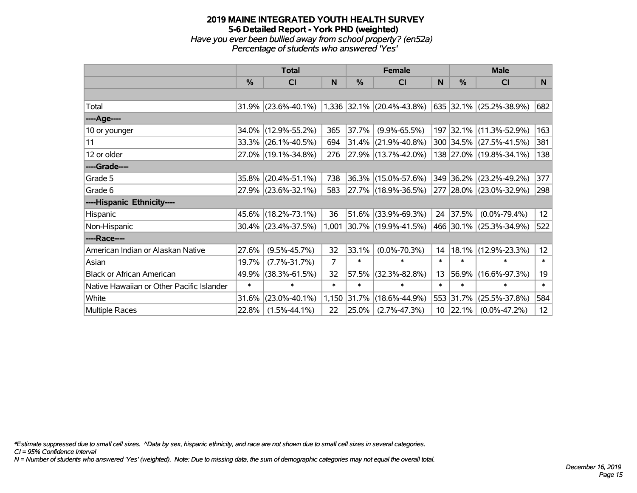## **2019 MAINE INTEGRATED YOUTH HEALTH SURVEY 5-6 Detailed Report - York PHD (weighted)** *Have you ever been bullied away from school property? (en52a) Percentage of students who answered 'Yes'*

|                                           | <b>Total</b>  |                     |        | <b>Female</b> | <b>Male</b>                 |                 |           |                         |                   |
|-------------------------------------------|---------------|---------------------|--------|---------------|-----------------------------|-----------------|-----------|-------------------------|-------------------|
|                                           | $\frac{0}{0}$ | CI                  | N      | %             | <b>CI</b>                   | N               | %         | <b>CI</b>               | N                 |
|                                           |               |                     |        |               |                             |                 |           |                         |                   |
| Total                                     |               | 31.9% (23.6%-40.1%) |        |               | $1,336$ 32.1% (20.4%-43.8%) |                 |           | 635 32.1% (25.2%-38.9%) | 682               |
| ----Age----                               |               |                     |        |               |                             |                 |           |                         |                   |
| 10 or younger                             | 34.0%         | $(12.9\% - 55.2\%)$ | 365    | 37.7%         | $(9.9\% - 65.5\%)$          |                 |           | 197 32.1% (11.3%-52.9%) | 163               |
| 11                                        |               | 33.3% (26.1%-40.5%) | 694    | 31.4%         | $(21.9\% - 40.8\%)$         |                 |           | 300 34.5% (27.5%-41.5%) | 381               |
| 12 or older                               |               | 27.0% (19.1%-34.8%) | 276    |               | 27.9% (13.7%-42.0%)         |                 |           | 138 27.0% (19.8%-34.1%) | 138               |
| ----Grade----                             |               |                     |        |               |                             |                 |           |                         |                   |
| Grade 5                                   | 35.8%         | $(20.4\% - 51.1\%)$ | 738    |               | 36.3% (15.0%-57.6%)         |                 | 349 36.2% | $(23.2\% - 49.2\%)$     | 377               |
| Grade 6                                   |               | 27.9% (23.6%-32.1%) | 583    |               | 27.7% (18.9%-36.5%)         |                 |           | 277 28.0% (23.0%-32.9%) | 298               |
| ----Hispanic Ethnicity----                |               |                     |        |               |                             |                 |           |                         |                   |
| Hispanic                                  |               | 45.6% (18.2%-73.1%) | 36     | 51.6%         | $(33.9\% - 69.3\%)$         | 24              | 37.5%     | $(0.0\% - 79.4\%)$      | 12                |
| Non-Hispanic                              |               | 30.4% (23.4%-37.5%) | 1,001  |               | 30.7% (19.9%-41.5%)         |                 |           | 466 30.1% (25.3%-34.9%) | 522               |
| ----Race----                              |               |                     |        |               |                             |                 |           |                         |                   |
| American Indian or Alaskan Native         | 27.6%         | $(9.5\% - 45.7\%)$  | 32     | 33.1%         | $(0.0\% - 70.3\%)$          | 14              | 18.1%     | $(12.9\% - 23.3\%)$     | $12 \overline{ }$ |
| Asian                                     | 19.7%         | $(7.7\% - 31.7\%)$  | 7      | $\ast$        | $\ast$                      | $\ast$          | $\ast$    | $\ast$                  | $\ast$            |
| <b>Black or African American</b>          | 49.9%         | $(38.3\% - 61.5\%)$ | 32     | 57.5%         | $(32.3\% - 82.8\%)$         | 13              | 56.9%     | $(16.6\% - 97.3\%)$     | 19                |
| Native Hawaiian or Other Pacific Islander | $\ast$        | $\ast$              | $\ast$ | $\ast$        | $\ast$                      | $\ast$          | $\ast$    | $\ast$                  | $\ast$            |
| White                                     | 31.6%         | $(23.0\% - 40.1\%)$ | 1,150  | 31.7%         | $(18.6\% - 44.9\%)$         |                 | 553 31.7% | $(25.5\% - 37.8\%)$     | 584               |
| Multiple Races                            | 22.8%         | $(1.5\% - 44.1\%)$  | 22     | 25.0%         | $(2.7\% - 47.3\%)$          | 10 <sub>1</sub> | 22.1%     | $(0.0\% - 47.2\%)$      | 12 <sub>2</sub>   |

*\*Estimate suppressed due to small cell sizes. ^Data by sex, hispanic ethnicity, and race are not shown due to small cell sizes in several categories.*

*CI = 95% Confidence Interval*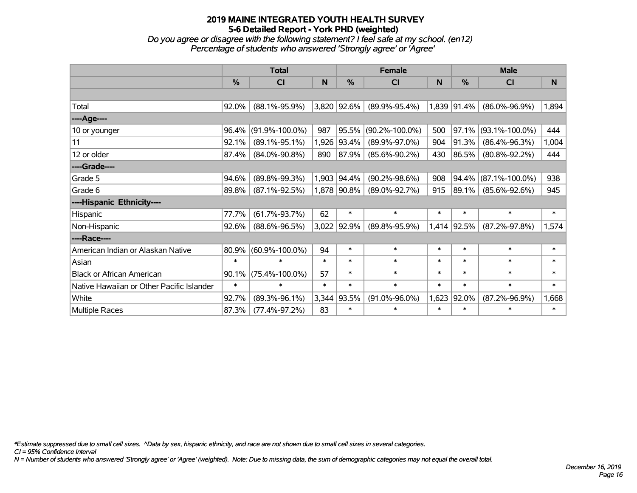*Do you agree or disagree with the following statement? I feel safe at my school. (en12) Percentage of students who answered 'Strongly agree' or 'Agree'*

|                                           |               | <b>Total</b>         |        | <b>Female</b> |                      | <b>Male</b> |               |                      |              |
|-------------------------------------------|---------------|----------------------|--------|---------------|----------------------|-------------|---------------|----------------------|--------------|
|                                           | $\frac{0}{0}$ | CI                   | N      | %             | <b>CI</b>            | N           | $\frac{0}{0}$ | <b>CI</b>            | <sub>N</sub> |
|                                           |               |                      |        |               |                      |             |               |                      |              |
| Total                                     | 92.0%         | $(88.1\% - 95.9\%)$  |        | 3,820 92.6%   | $(89.9\% - 95.4\%)$  |             | 1,839 91.4%   | $(86.0\% - 96.9\%)$  | 1,894        |
| ----Age----                               |               |                      |        |               |                      |             |               |                      |              |
| 10 or younger                             | 96.4%         | $(91.9\% - 100.0\%)$ | 987    | 95.5%         | $(90.2\% - 100.0\%)$ | 500         | 97.1%         | $(93.1\% - 100.0\%)$ | 444          |
| 11                                        | 92.1%         | $(89.1\% - 95.1\%)$  | 1,926  | 93.4%         | $(89.9\% - 97.0\%)$  | 904         | 91.3%         | $(86.4\% - 96.3\%)$  | 1,004        |
| 12 or older                               | 87.4%         | $(84.0\% - 90.8\%)$  | 890    | 87.9%         | $(85.6\% - 90.2\%)$  | 430         | 86.5%         | $(80.8\% - 92.2\%)$  | 444          |
| ----Grade----                             |               |                      |        |               |                      |             |               |                      |              |
| Grade 5                                   | 94.6%         | $(89.8\% - 99.3\%)$  | 1,903  | 94.4%         | $(90.2\% - 98.6\%)$  | 908         | 94.4%         | $(87.1\% - 100.0\%)$ | 938          |
| Grade 6                                   | 89.8%         | $(87.1\% - 92.5\%)$  |        | 1,878 90.8%   | $(89.0\% - 92.7\%)$  | 915         | 89.1%         | $(85.6\% - 92.6\%)$  | 945          |
| ----Hispanic Ethnicity----                |               |                      |        |               |                      |             |               |                      |              |
| Hispanic                                  | 77.7%         | $(61.7\% - 93.7\%)$  | 62     | $\ast$        | $\ast$               | $\ast$      | $\ast$        | $\ast$               | $\ast$       |
| Non-Hispanic                              | 92.6%         | $(88.6\% - 96.5\%)$  |        | 3,022 92.9%   | $(89.8\% - 95.9\%)$  |             | 1,414 92.5%   | $(87.2\% - 97.8\%)$  | 1,574        |
| ----Race----                              |               |                      |        |               |                      |             |               |                      |              |
| American Indian or Alaskan Native         | 80.9%         | $(60.9\% - 100.0\%)$ | 94     | $\ast$        | $\ast$               | $\ast$      | $\ast$        | $\ast$               | $\ast$       |
| Asian                                     | $\ast$        | $\ast$               | $\ast$ | $\ast$        | $\ast$               | $\ast$      | $\ast$        | $\ast$               | $\ast$       |
| <b>Black or African American</b>          | 90.1%         | $(75.4\% - 100.0\%)$ | 57     | $\ast$        | $\ast$               | $\ast$      | $\ast$        | $\ast$               | $\ast$       |
| Native Hawaiian or Other Pacific Islander | $\ast$        | $\ast$               | $\ast$ | $\ast$        | $\ast$               | $\ast$      | $\ast$        | $\ast$               | $\ast$       |
| White                                     | 92.7%         | $(89.3\% - 96.1\%)$  | 3,344  | 93.5%         | $(91.0\% - 96.0\%)$  | 1,623       | 92.0%         | $(87.2\% - 96.9\%)$  | 1,668        |
| <b>Multiple Races</b>                     | 87.3%         | $(77.4\% - 97.2\%)$  | 83     | $\ast$        | $\ast$               | $\ast$      | $\ast$        | $\ast$               | $\ast$       |

*\*Estimate suppressed due to small cell sizes. ^Data by sex, hispanic ethnicity, and race are not shown due to small cell sizes in several categories.*

*CI = 95% Confidence Interval*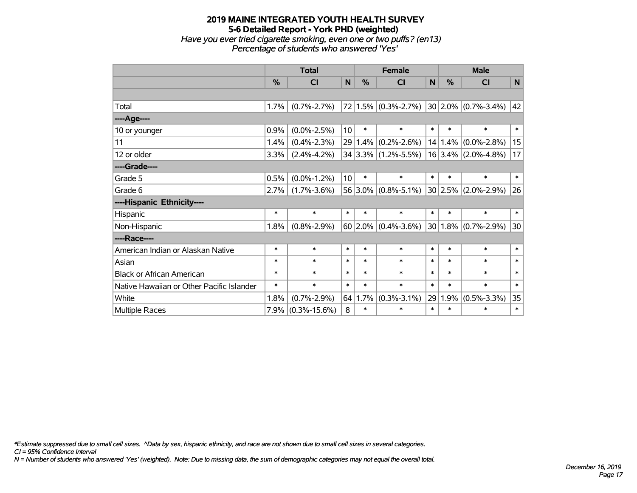## **2019 MAINE INTEGRATED YOUTH HEALTH SURVEY 5-6 Detailed Report - York PHD (weighted)** *Have you ever tried cigarette smoking, even one or two puffs? (en13) Percentage of students who answered 'Yes'*

|                                           | <b>Total</b> |                    |        | <b>Female</b> |                                             |              | <b>Male</b> |                          |              |  |
|-------------------------------------------|--------------|--------------------|--------|---------------|---------------------------------------------|--------------|-------------|--------------------------|--------------|--|
|                                           | %            | <b>CI</b>          | N      | %             | <b>CI</b>                                   | $\mathsf{N}$ | %           | <b>CI</b>                | $\mathsf{N}$ |  |
|                                           |              |                    |        |               |                                             |              |             |                          |              |  |
| Total                                     | $1.7\%$      | $(0.7\% - 2.7\%)$  |        |               | $72 1.5\% $ (0.3%-2.7%) 30 2.0% (0.7%-3.4%) |              |             |                          | 42           |  |
| ----Age----                               |              |                    |        |               |                                             |              |             |                          |              |  |
| 10 or younger                             | 0.9%         | $(0.0\% - 2.5\%)$  | 10     | $\ast$        | $\ast$                                      | $\ast$       | $\ast$      | $\ast$                   | $\ast$       |  |
| 11                                        | 1.4%         | $(0.4\% - 2.3\%)$  |        | $29 1.4\% $   | $(0.2\% - 2.6\%)$                           |              | 14 1.4%     | $(0.0\% - 2.8\%)$        | 15           |  |
| 12 or older                               | 3.3%         | $(2.4\% - 4.2\%)$  |        |               | $34 3.3\% $ (1.2%-5.5%)                     |              |             | $16 3.4\% $ (2.0%-4.8%)  | 17           |  |
| ----Grade----                             |              |                    |        |               |                                             |              |             |                          |              |  |
| Grade 5                                   | 0.5%         | $(0.0\% - 1.2\%)$  | 10     | $\ast$        | $\ast$                                      | $\ast$       | $\ast$      | $\ast$                   | $\ast$       |  |
| Grade 6                                   | $2.7\%$      | $(1.7\% - 3.6\%)$  |        |               | $56 3.0\% $ (0.8%-5.1%)                     |              | 30 2.5%     | $(2.0\% - 2.9\%)$        | 26           |  |
| ----Hispanic Ethnicity----                |              |                    |        |               |                                             |              |             |                          |              |  |
| Hispanic                                  | $\ast$       | $\ast$             | $\ast$ | $\ast$        | $\ast$                                      | $\ast$       | $\ast$      | $\ast$                   | $\ast$       |  |
| Non-Hispanic                              | 1.8%         | $(0.8\% - 2.9\%)$  |        |               | $60$ 2.0% (0.4%-3.6%)                       |              |             | $ 30 1.8\% $ (0.7%-2.9%) | 30           |  |
| ----Race----                              |              |                    |        |               |                                             |              |             |                          |              |  |
| American Indian or Alaskan Native         | $\ast$       | $\ast$             | $\ast$ | $\ast$        | $\ast$                                      | $\ast$       | $\ast$      | $\ast$                   | $\ast$       |  |
| Asian                                     | $\ast$       | $\ast$             | $\ast$ | $\ast$        | $\ast$                                      | $\ast$       | $\ast$      | $\ast$                   | $\ast$       |  |
| <b>Black or African American</b>          | $\ast$       | $\ast$             | $\ast$ | $\ast$        | $\ast$                                      | $\ast$       | $\ast$      | $\ast$                   | $\ast$       |  |
| Native Hawaiian or Other Pacific Islander | $\ast$       | $\ast$             | $\ast$ | $\ast$        | $\ast$                                      | $\ast$       | $\ast$      | $\ast$                   | $\ast$       |  |
| White                                     | 1.8%         | $(0.7\% - 2.9\%)$  | 64     | 1.7%          | $(0.3\% - 3.1\%)$                           | 29           | 1.9%        | $(0.5\% - 3.3\%)$        | 35           |  |
| Multiple Races                            | 7.9%         | $(0.3\% - 15.6\%)$ | 8      | $\ast$        | $\ast$                                      | $\ast$       | $\ast$      | $\ast$                   | $\ast$       |  |

*\*Estimate suppressed due to small cell sizes. ^Data by sex, hispanic ethnicity, and race are not shown due to small cell sizes in several categories.*

*CI = 95% Confidence Interval*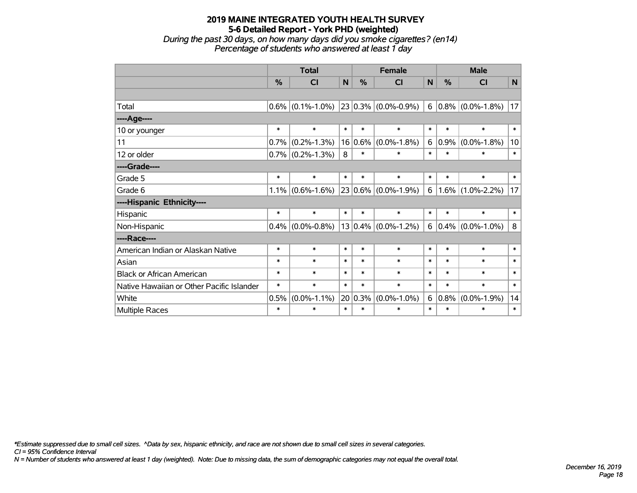*During the past 30 days, on how many days did you smoke cigarettes? (en14) Percentage of students who answered at least 1 day*

|                                           | <b>Total</b>  |                     |        | <b>Female</b> |                         |        | <b>Male</b> |                        |        |
|-------------------------------------------|---------------|---------------------|--------|---------------|-------------------------|--------|-------------|------------------------|--------|
|                                           | $\frac{0}{0}$ | C <sub>l</sub>      | N      | $\frac{0}{0}$ | <b>CI</b>               | N      | $\%$        | <b>CI</b>              | N      |
|                                           |               |                     |        |               |                         |        |             |                        |        |
| Total                                     | $0.6\%$       | $(0.1\% - 1.0\%)$   |        |               | $23 0.3\% $ (0.0%-0.9%) |        |             | $6 0.8\% $ (0.0%-1.8%) | 17     |
| ----Age----                               |               |                     |        |               |                         |        |             |                        |        |
| 10 or younger                             | $\ast$        | $\ast$              | $\ast$ | $\ast$        | $\ast$                  | $\ast$ | $\ast$      | $\ast$                 | $\ast$ |
| 11                                        | 0.7%          | $(0.2\% - 1.3\%)$   | 16     | $0.6\%$       | $(0.0\% - 1.8\%)$       | 6      | 0.9%        | $(0.0\% - 1.8\%)$      | 10     |
| 12 or older                               |               | $0.7\%$ (0.2%-1.3%) | 8      | $\ast$        | $\ast$                  | $\ast$ | $\ast$      | $\ast$                 | $\ast$ |
| ----Grade----                             |               |                     |        |               |                         |        |             |                        |        |
| Grade 5                                   | $\ast$        | $\ast$              | $\ast$ | $\ast$        | $\ast$                  | $\ast$ | $\ast$      | $\ast$                 | $\ast$ |
| Grade 6                                   | 1.1%          | $(0.6\% - 1.6\%)$   |        |               | $23 0.6\% $ (0.0%-1.9%) | 6      | $1.6\%$     | $(1.0\% - 2.2\%)$      | 17     |
| ----Hispanic Ethnicity----                |               |                     |        |               |                         |        |             |                        |        |
| Hispanic                                  | $\ast$        | $\ast$              | $\ast$ | $\ast$        | $\ast$                  | $\ast$ | $\ast$      | $\ast$                 | $\ast$ |
| Non-Hispanic                              | 0.4%          | $(0.0\% - 0.8\%)$   |        |               | $13 0.4\% $ (0.0%-1.2%) |        | 6   0.4%    | $(0.0\% - 1.0\%)$      | 8      |
| ----Race----                              |               |                     |        |               |                         |        |             |                        |        |
| American Indian or Alaskan Native         | $\ast$        | $\ast$              | $\ast$ | $\ast$        | $\ast$                  | $\ast$ | $\ast$      | $\ast$                 | $\ast$ |
| Asian                                     | $\ast$        | $\ast$              | $\ast$ | $\ast$        | $\ast$                  | $\ast$ | $\ast$      | $\ast$                 | $\ast$ |
| <b>Black or African American</b>          | $\ast$        | $\ast$              | $\ast$ | $\ast$        | $\ast$                  | $\ast$ | $\ast$      | $\ast$                 | $\ast$ |
| Native Hawaiian or Other Pacific Islander | $\ast$        | $\ast$              | $\ast$ | $\ast$        | $\ast$                  | $\ast$ | $\ast$      | $\ast$                 | $\ast$ |
| White                                     | 0.5%          | $(0.0\% - 1.1\%)$   | 20     | 0.3%          | $(0.0\% - 1.0\%)$       | 6      | 0.8%        | $(0.0\% - 1.9\%)$      | 14     |
| <b>Multiple Races</b>                     | $\ast$        | $\ast$              | $\ast$ | $\ast$        | $\ast$                  | $\ast$ | $\ast$      | $\ast$                 | $\ast$ |

*\*Estimate suppressed due to small cell sizes. ^Data by sex, hispanic ethnicity, and race are not shown due to small cell sizes in several categories.*

*CI = 95% Confidence Interval*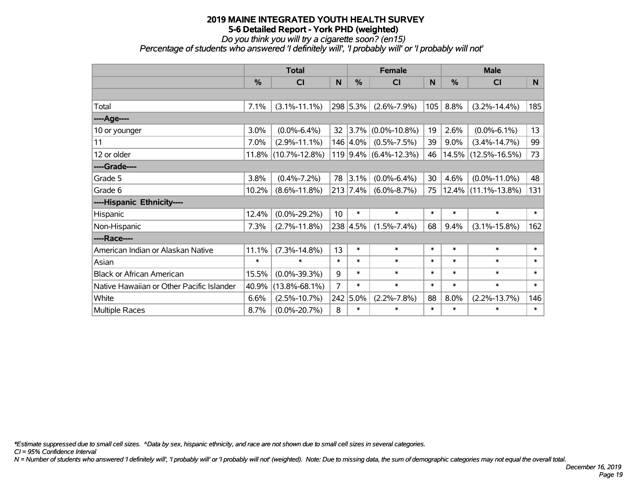*Do you think you will try a cigarette soon? (en15)*

*Percentage of students who answered 'I definitely will', 'I probably will' or 'I probably will not'*

|                                           | <b>Total</b>  |                     | <b>Female</b>   |          |                       | <b>Male</b> |          |                     |        |
|-------------------------------------------|---------------|---------------------|-----------------|----------|-----------------------|-------------|----------|---------------------|--------|
|                                           | $\frac{0}{0}$ | <b>CI</b>           | N               | %        | <b>CI</b>             | N           | %        | <b>CI</b>           | N      |
|                                           |               |                     |                 |          |                       |             |          |                     |        |
| Total                                     | 7.1%          | $(3.1\% - 11.1\%)$  |                 | 298 5.3% | $(2.6\% - 7.9\%)$     | 105         | 8.8%     | $(3.2\% - 14.4\%)$  | 185    |
| ----Age----                               |               |                     |                 |          |                       |             |          |                     |        |
| 10 or younger                             | 3.0%          | $(0.0\% - 6.4\%)$   | 32              | 3.7%     | $(0.0\% - 10.8\%)$    | 19          | 2.6%     | $(0.0\% - 6.1\%)$   | 13     |
| 11                                        | 7.0%          | $(2.9\% - 11.1\%)$  |                 | 146 4.0% | $(0.5\% - 7.5\%)$     | 39          | $9.0\%$  | $(3.4\% - 14.7\%)$  | 99     |
| 12 or older                               | 11.8%         | $(10.7\% - 12.8\%)$ |                 |          | 119 9.4% (6.4%-12.3%) | 46          | 14.5%    | $(12.5\% - 16.5\%)$ | 73     |
| ----Grade----                             |               |                     |                 |          |                       |             |          |                     |        |
| Grade 5                                   | 3.8%          | $(0.4\% - 7.2\%)$   | 78              | 3.1%     | $(0.0\% - 6.4\%)$     | 30          | 4.6%     | $(0.0\% - 11.0\%)$  | 48     |
| Grade 6                                   | 10.2%         | $(8.6\% - 11.8\%)$  |                 | 213 7.4% | $(6.0\% - 8.7\%)$     | 75          | $12.4\%$ | $(11.1\% - 13.8\%)$ | 131    |
| ----Hispanic Ethnicity----                |               |                     |                 |          |                       |             |          |                     |        |
| Hispanic                                  | 12.4%         | $(0.0\% - 29.2\%)$  | 10 <sup>1</sup> | $\ast$   | $\ast$                | $\ast$      | $\ast$   | $\ast$              | $\ast$ |
| Non-Hispanic                              | 7.3%          | $(2.7\% - 11.8\%)$  |                 | 238 4.5% | $(1.5\% - 7.4\%)$     | 68          | 9.4%     | $(3.1\% - 15.8\%)$  | 162    |
| ----Race----                              |               |                     |                 |          |                       |             |          |                     |        |
| American Indian or Alaskan Native         | 11.1%         | $(7.3\% - 14.8\%)$  | 13              | $\ast$   | $\pmb{\ast}$          | $\ast$      | $\ast$   | $\ast$              | $\ast$ |
| Asian                                     | $\ast$        | $\ast$              | $\ast$          | $\ast$   | $\ast$                | $\ast$      | $\ast$   | $\ast$              | $\ast$ |
| <b>Black or African American</b>          | 15.5%         | $(0.0\% - 39.3\%)$  | 9               | $\ast$   | $\ast$                | $\ast$      | $\ast$   | $\ast$              | $\ast$ |
| Native Hawaiian or Other Pacific Islander | 40.9%         | $(13.8\% - 68.1\%)$ | 7               | $\ast$   | $\ast$                | $\ast$      | $\ast$   | $\ast$              | $\ast$ |
| White                                     | 6.6%          | $(2.5\% - 10.7\%)$  | 242             | 5.0%     | $(2.2\% - 7.8\%)$     | 88          | 8.0%     | $(2.2\% - 13.7\%)$  | 146    |
| Multiple Races                            | 8.7%          | $(0.0\% - 20.7\%)$  | 8               | $\ast$   | $\ast$                | $\ast$      | $\ast$   | $\ast$              | $\ast$ |

*\*Estimate suppressed due to small cell sizes. ^Data by sex, hispanic ethnicity, and race are not shown due to small cell sizes in several categories.*

*CI = 95% Confidence Interval*

*N = Number of students who answered 'I definitely will', 'I probably will' or 'I probably will not' (weighted). Note: Due to missing data, the sum of demographic categories may not equal the overall total.*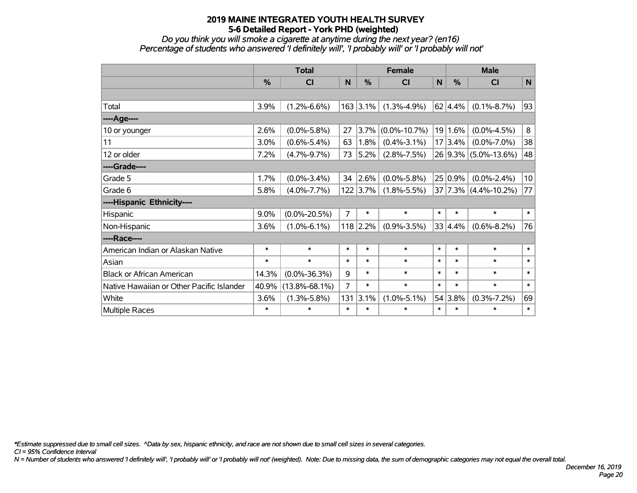*Do you think you will smoke a cigarette at anytime during the next year? (en16) Percentage of students who answered 'I definitely will', 'I probably will' or 'I probably will not'*

|                                           | <b>Total</b>  |                     |        |               | <b>Female</b>      | <b>Male</b>  |                 |                                 |             |
|-------------------------------------------|---------------|---------------------|--------|---------------|--------------------|--------------|-----------------|---------------------------------|-------------|
|                                           | $\frac{9}{6}$ | CI                  | N      | $\frac{0}{0}$ | <b>CI</b>          | $\mathsf{N}$ | %               | <b>CI</b>                       | $\mathbf N$ |
|                                           |               |                     |        |               |                    |              |                 |                                 |             |
| Total                                     | 3.9%          | $(1.2\% - 6.6\%)$   |        | $163$ 3.1%    | $(1.3\% - 4.9\%)$  |              | $62 \mid 4.4\%$ | $(0.1\% - 8.7\%)$               | 93          |
| ----Age----                               |               |                     |        |               |                    |              |                 |                                 |             |
| 10 or younger                             | 2.6%          | $(0.0\% - 5.8\%)$   | 27     | $3.7\%$       | $(0.0\% - 10.7\%)$ |              | 19 1.6%         | $(0.0\% - 4.5\%)$               | 8           |
| 11                                        | 3.0%          | $(0.6\% - 5.4\%)$   | 63     | 1.8%          | $(0.4\% - 3.1\%)$  |              | 17 3.4%         | $(0.0\% - 7.0\%)$               | 38          |
| 12 or older                               | 7.2%          | $(4.7\% - 9.7\%)$   | 73     | $ 5.2\% $     | $(2.8\% - 7.5\%)$  |              |                 | 26 9.3% (5.0%-13.6%)            | 48          |
| ----Grade----                             |               |                     |        |               |                    |              |                 |                                 |             |
| Grade 5                                   | 1.7%          | $(0.0\% - 3.4\%)$   | 34     | 2.6%          | $(0.0\% - 5.8\%)$  |              | 25 0.9%         | $(0.0\% - 2.4\%)$               | 10          |
| Grade 6                                   | 5.8%          | $(4.0\% - 7.7\%)$   |        | $122$ 3.7%    | $(1.8\% - 5.5\%)$  |              |                 | $37   7.3\%   (4.4\% - 10.2\%)$ | 77          |
| ----Hispanic Ethnicity----                |               |                     |        |               |                    |              |                 |                                 |             |
| Hispanic                                  | 9.0%          | $(0.0\% - 20.5\%)$  | 7      | $\ast$        | $\ast$             | $\ast$       | $\ast$          | $\ast$                          | $\ast$      |
| Non-Hispanic                              | 3.6%          | $(1.0\% - 6.1\%)$   |        | 118 2.2%      | $(0.9\% - 3.5\%)$  |              | 33 4.4%         | $(0.6\% - 8.2\%)$               | 76          |
| ----Race----                              |               |                     |        |               |                    |              |                 |                                 |             |
| American Indian or Alaskan Native         | $\ast$        | $\ast$              | $\ast$ | $\ast$        | $\ast$             | $\ast$       | $\ast$          | $\ast$                          | $\ast$      |
| Asian                                     | $\ast$        | $\ast$              | $\ast$ | $\ast$        | $\ast$             | $\ast$       | $\ast$          | $\ast$                          | $\ast$      |
| <b>Black or African American</b>          | 14.3%         | $(0.0\% - 36.3\%)$  | 9      | $\ast$        | $\ast$             | $\ast$       | $\ast$          | $\ast$                          | $\ast$      |
| Native Hawaiian or Other Pacific Islander | 40.9%         | $(13.8\% - 68.1\%)$ | 7      | $\ast$        | $\ast$             | $\ast$       | $\ast$          | $\ast$                          | $\ast$      |
| White                                     | 3.6%          | $(1.3\% - 5.8\%)$   | 131    | 3.1%          | $(1.0\% - 5.1\%)$  |              | 54 3.8%         | $(0.3\% - 7.2\%)$               | 69          |
| Multiple Races                            | $\ast$        | $\ast$              | $\ast$ | $\ast$        | $\ast$             | $\ast$       | $\ast$          | $\ast$                          | $\ast$      |

*\*Estimate suppressed due to small cell sizes. ^Data by sex, hispanic ethnicity, and race are not shown due to small cell sizes in several categories.*

*CI = 95% Confidence Interval*

*N = Number of students who answered 'I definitely will', 'I probably will' or 'I probably will not' (weighted). Note: Due to missing data, the sum of demographic categories may not equal the overall total.*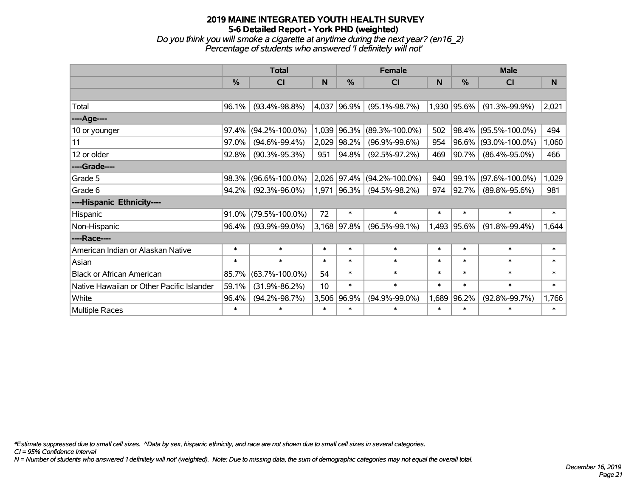## **2019 MAINE INTEGRATED YOUTH HEALTH SURVEY 5-6 Detailed Report - York PHD (weighted)** *Do you think you will smoke a cigarette at anytime during the next year? (en16\_2) Percentage of students who answered 'I definitely will not'*

|                                           | <b>Total</b>  |                      |        |               | <b>Female</b>        |        | <b>Male</b> |                      |        |  |
|-------------------------------------------|---------------|----------------------|--------|---------------|----------------------|--------|-------------|----------------------|--------|--|
|                                           | $\frac{0}{0}$ | <b>CI</b>            | N      | $\frac{0}{0}$ | <b>CI</b>            | N      | %           | <b>CI</b>            | N      |  |
|                                           |               |                      |        |               |                      |        |             |                      |        |  |
| Total                                     | 96.1%         | $(93.4\% - 98.8\%)$  | 4,037  | 96.9%         | $(95.1\% - 98.7\%)$  |        | 1,930 95.6% | $(91.3\% - 99.9\%)$  | 2,021  |  |
| ----Age----                               |               |                      |        |               |                      |        |             |                      |        |  |
| 10 or younger                             | 97.4%         | $(94.2\% - 100.0\%)$ |        | 1,039 96.3%   | $(89.3\% - 100.0\%)$ | 502    | 98.4%       | $(95.5\% - 100.0\%)$ | 494    |  |
| 11                                        | 97.0%         | $(94.6\% - 99.4\%)$  |        | 2,029 98.2%   | $(96.9\% - 99.6\%)$  | 954    | 96.6%       | $(93.0\% - 100.0\%)$ | 1,060  |  |
| 12 or older                               | 92.8%         | $(90.3\% - 95.3\%)$  | 951    | 94.8%         | $(92.5\% - 97.2\%)$  | 469    | 90.7%       | $(86.4\% - 95.0\%)$  | 466    |  |
| ----Grade----                             |               |                      |        |               |                      |        |             |                      |        |  |
| Grade 5                                   | 98.3%         | $(96.6\% - 100.0\%)$ |        | 2,026 97.4%   | $(94.2\% - 100.0\%)$ | 940    | 99.1%       | $(97.6\% - 100.0\%)$ | 1,029  |  |
| Grade 6                                   | 94.2%         | $(92.3\% - 96.0\%)$  | 1,971  | $ 96.3\% $    | $(94.5\% - 98.2\%)$  | 974    | 92.7%       | $(89.8\% - 95.6\%)$  | 981    |  |
| ----Hispanic Ethnicity----                |               |                      |        |               |                      |        |             |                      |        |  |
| Hispanic                                  | 91.0%         | $(79.5\% - 100.0\%)$ | 72     | $\ast$        | $\ast$               | $\ast$ | $\ast$      | $\ast$               | $\ast$ |  |
| Non-Hispanic                              | 96.4%         | $(93.9\% - 99.0\%)$  |        | 3,168 97.8%   | $(96.5\% - 99.1\%)$  | 1,493  | 95.6%       | $(91.8\% - 99.4\%)$  | 1,644  |  |
| ----Race----                              |               |                      |        |               |                      |        |             |                      |        |  |
| American Indian or Alaskan Native         | $\ast$        | $\ast$               | $\ast$ | $\ast$        | $\ast$               | $\ast$ | $\ast$      | $\ast$               | $\ast$ |  |
| Asian                                     | $\ast$        | $\ast$               | $\ast$ | $\ast$        | $\ast$               | $\ast$ | $\ast$      | $\ast$               | $\ast$ |  |
| <b>Black or African American</b>          | 85.7%         | $(63.7\% - 100.0\%)$ | 54     | $\ast$        | $\ast$               | $\ast$ | $\ast$      | $\ast$               | $\ast$ |  |
| Native Hawaiian or Other Pacific Islander | 59.1%         | $(31.9\% - 86.2\%)$  | 10     | $\ast$        | $\ast$               | $\ast$ | $\ast$      | $\ast$               | $\ast$ |  |
| White                                     | 96.4%         | $(94.2\% - 98.7\%)$  | 3,506  | 96.9%         | $(94.9\% - 99.0\%)$  | 1,689  | 96.2%       | $(92.8\% - 99.7\%)$  | 1,766  |  |
| Multiple Races                            | $\ast$        | $\ast$               | $\ast$ | $\ast$        | $\ast$               | $\ast$ | $\ast$      | $\ast$               | $\ast$ |  |

*\*Estimate suppressed due to small cell sizes. ^Data by sex, hispanic ethnicity, and race are not shown due to small cell sizes in several categories.*

*CI = 95% Confidence Interval*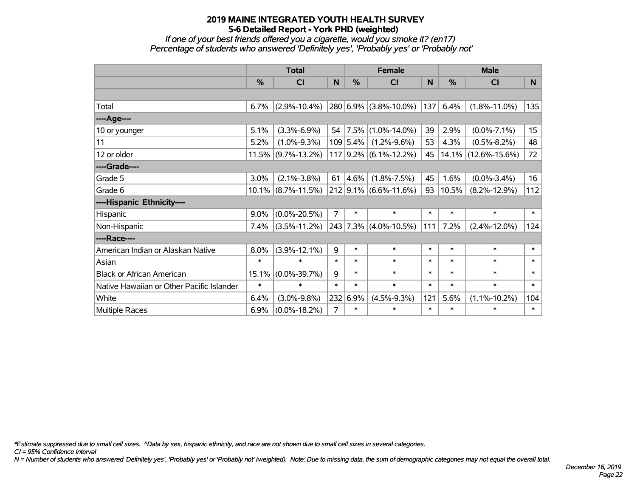*If one of your best friends offered you a cigarette, would you smoke it? (en17) Percentage of students who answered 'Definitely yes', 'Probably yes' or 'Probably not'*

|                                           | <b>Total</b> |                       |                | <b>Female</b> |                         |        | <b>Male</b> |                        |                  |  |
|-------------------------------------------|--------------|-----------------------|----------------|---------------|-------------------------|--------|-------------|------------------------|------------------|--|
|                                           | %            | <b>CI</b>             | N              | %             | <b>CI</b>               | N      | %           | <b>CI</b>              | N                |  |
|                                           |              |                       |                |               |                         |        |             |                        |                  |  |
| Total                                     | 6.7%         | $(2.9\% - 10.4\%)$    |                |               | 280 6.9% (3.8%-10.0%)   | 137    | 6.4%        | $(1.8\% - 11.0\%)$     | 135              |  |
| ----Age----                               |              |                       |                |               |                         |        |             |                        |                  |  |
| 10 or younger                             | 5.1%         | $(3.3\% - 6.9\%)$     | 54             | $ 7.5\% $     | $(1.0\% - 14.0\%)$      | 39     | 2.9%        | $(0.0\% - 7.1\%)$      | 15 <sub>15</sub> |  |
| 11                                        | 5.2%         | $(1.0\% - 9.3\%)$     |                | 109 5.4%      | $(1.2\% - 9.6\%)$       | 53     | 4.3%        | $(0.5\% - 8.2\%)$      | 48               |  |
| 12 or older                               |              | $11.5\%$ (9.7%-13.2%) |                |               | $117$ 9.2% (6.1%-12.2%) | 45     |             | $14.1\%$ (12.6%-15.6%) | 72               |  |
| ----Grade----                             |              |                       |                |               |                         |        |             |                        |                  |  |
| Grade 5                                   | 3.0%         | $(2.1\% - 3.8\%)$     | 61             | 4.6%          | $(1.8\% - 7.5\%)$       | 45     | 1.6%        | $(0.0\% - 3.4\%)$      | 16               |  |
| Grade 6                                   |              | $10.1\%$ (8.7%-11.5%) |                |               | $212$ 9.1% (6.6%-11.6%) | 93     | 10.5%       | $(8.2\% - 12.9\%)$     | 112              |  |
| ----Hispanic Ethnicity----                |              |                       |                |               |                         |        |             |                        |                  |  |
| Hispanic                                  | 9.0%         | $(0.0\% - 20.5\%)$    | $\overline{7}$ | $\ast$        | $\ast$                  | $\ast$ | $\ast$      | $\ast$                 | $\ast$           |  |
| Non-Hispanic                              | 7.4%         | $(3.5\% - 11.2\%)$    |                | 243 7.3%      | $(4.0\% - 10.5\%)$      | 111    | 7.2%        | $(2.4\% - 12.0\%)$     | 124              |  |
| ----Race----                              |              |                       |                |               |                         |        |             |                        |                  |  |
| American Indian or Alaskan Native         | 8.0%         | $(3.9\% - 12.1\%)$    | 9              | $\ast$        | $\ast$                  | $\ast$ | $\ast$      | $\ast$                 | $\ast$           |  |
| Asian                                     | $\ast$       | $\ast$                | $\ast$         | $\ast$        | $\ast$                  | $\ast$ | $\ast$      | $\ast$                 | $\ast$           |  |
| <b>Black or African American</b>          | 15.1%        | $(0.0\% - 39.7\%)$    | 9              | $\ast$        | $\ast$                  | $\ast$ | $\ast$      | $\ast$                 | $\ast$           |  |
| Native Hawaiian or Other Pacific Islander | $\ast$       | $\ast$                | $\ast$         | $\ast$        | $\ast$                  | $\ast$ | $\ast$      | $\ast$                 | $\ast$           |  |
| White                                     | 6.4%         | $(3.0\% - 9.8\%)$     | 232            | 6.9%          | $(4.5\% - 9.3\%)$       | 121    | 5.6%        | $(1.1\% - 10.2\%)$     | 104              |  |
| Multiple Races                            | 6.9%         | $(0.0\% - 18.2\%)$    | $\overline{7}$ | $\ast$        | $\ast$                  | $\ast$ | $\ast$      | $\ast$                 | $\ast$           |  |

*\*Estimate suppressed due to small cell sizes. ^Data by sex, hispanic ethnicity, and race are not shown due to small cell sizes in several categories.*

*CI = 95% Confidence Interval*

*N = Number of students who answered 'Definitely yes', 'Probably yes' or 'Probably not' (weighted). Note: Due to missing data, the sum of demographic categories may not equal the overall total.*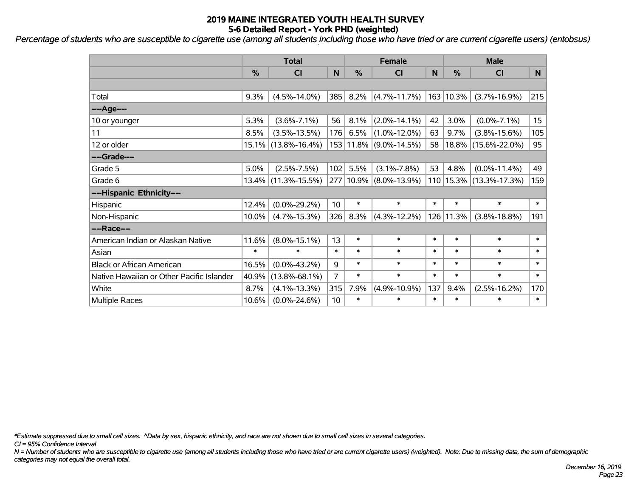*Percentage of students who are susceptible to cigarette use (among all students including those who have tried or are current cigarette users) (entobsus)*

|                                           | <b>Total</b> |                     |                |        | <b>Female</b>              |              | <b>Male</b> |                             |        |  |
|-------------------------------------------|--------------|---------------------|----------------|--------|----------------------------|--------------|-------------|-----------------------------|--------|--|
|                                           | %            | CI                  | N              | %      | CI                         | $\mathsf{N}$ | %           | <b>CI</b>                   | N      |  |
|                                           |              |                     |                |        |                            |              |             |                             |        |  |
| Total                                     | 9.3%         | $(4.5\% - 14.0\%)$  | 385            | 8.2%   | $(4.7\% - 11.7\%)$         |              | 163 10.3%   | $(3.7\% - 16.9\%)$          | 215    |  |
| ---- Age----                              |              |                     |                |        |                            |              |             |                             |        |  |
| 10 or younger                             | 5.3%         | $(3.6\% - 7.1\%)$   | 56             | 8.1%   | $(2.0\% - 14.1\%)$         | 42           | 3.0%        | $(0.0\% - 7.1\%)$           | 15     |  |
| 11                                        | 8.5%         | $(3.5\% - 13.5\%)$  | 176            | 6.5%   | $(1.0\% - 12.0\%)$         | 63           | 9.7%        | $(3.8\% - 15.6\%)$          | 105    |  |
| 12 or older                               |              | 15.1% (13.8%-16.4%) |                |        | 153 11.8% (9.0%-14.5%)     | 58           |             | 18.8% (15.6%-22.0%)         | 95     |  |
| ----Grade----                             |              |                     |                |        |                            |              |             |                             |        |  |
| Grade 5                                   | 5.0%         | $(2.5\% - 7.5\%)$   | 102            | 5.5%   | $(3.1\% - 7.8\%)$          | 53           | 4.8%        | $(0.0\% - 11.4\%)$          | 49     |  |
| Grade 6                                   |              | 13.4% (11.3%-15.5%) |                |        | 277   10.9%   (8.0%-13.9%) |              |             | 110   15.3%   (13.3%-17.3%) | 159    |  |
| ----Hispanic Ethnicity----                |              |                     |                |        |                            |              |             |                             |        |  |
| Hispanic                                  | 12.4%        | $(0.0\% - 29.2\%)$  | 10             | $\ast$ | $\ast$                     | $\ast$       | $\ast$      | $\ast$                      | $\ast$ |  |
| Non-Hispanic                              | 10.0%        | $(4.7\% - 15.3\%)$  | 326            | 8.3%   | $(4.3\% - 12.2\%)$         |              | 126 11.3%   | $(3.8\% - 18.8\%)$          | 191    |  |
| ----Race----                              |              |                     |                |        |                            |              |             |                             |        |  |
| American Indian or Alaskan Native         | 11.6%        | $(8.0\% - 15.1\%)$  | 13             | $\ast$ | $\ast$                     | $\ast$       | $\ast$      | $\ast$                      | $\ast$ |  |
| Asian                                     | $\ast$       | $\ast$              | $\ast$         | $\ast$ | $\ast$                     | $\ast$       | $\ast$      | $\ast$                      | $\ast$ |  |
| <b>Black or African American</b>          | 16.5%        | $(0.0\% - 43.2\%)$  | 9              | $\ast$ | $\ast$                     | $\ast$       | $\ast$      | $\ast$                      | $\ast$ |  |
| Native Hawaiian or Other Pacific Islander | 40.9%        | $(13.8\% - 68.1\%)$ | $\overline{7}$ | $\ast$ | $\ast$                     | $\ast$       | $\ast$      | $\ast$                      | $\ast$ |  |
| White                                     | 8.7%         | $(4.1\% - 13.3\%)$  | 315            | 7.9%   | $(4.9\% - 10.9\%)$         | 137          | 9.4%        | $(2.5\% - 16.2\%)$          | 170    |  |
| Multiple Races                            | 10.6%        | $(0.0\% - 24.6\%)$  | 10             | $\ast$ | $\ast$                     | $\ast$       | $\ast$      | $\ast$                      | $\ast$ |  |

*\*Estimate suppressed due to small cell sizes. ^Data by sex, hispanic ethnicity, and race are not shown due to small cell sizes in several categories.*

*CI = 95% Confidence Interval*

*N = Number of students who are susceptible to cigarette use (among all students including those who have tried or are current cigarette users) (weighted). Note: Due to missing data, the sum of demographic categories may not equal the overall total.*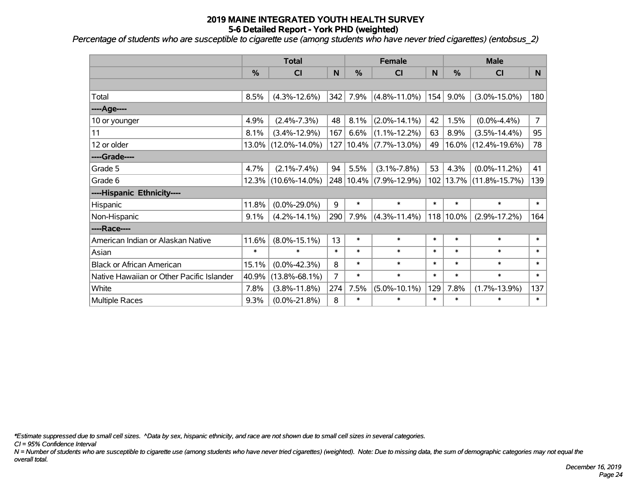*Percentage of students who are susceptible to cigarette use (among students who have never tried cigarettes) (entobsus\_2)*

|                                           | <b>Total</b> |                     |        |           | <b>Female</b>              |        | <b>Male</b>   |                     |                |  |
|-------------------------------------------|--------------|---------------------|--------|-----------|----------------------------|--------|---------------|---------------------|----------------|--|
|                                           | %            | C <sub>l</sub>      | N      | %         | <b>CI</b>                  | N      | $\frac{0}{0}$ | <b>CI</b>           | N              |  |
|                                           |              |                     |        |           |                            |        |               |                     |                |  |
| Total                                     | 8.5%         | $(4.3\% - 12.6\%)$  | 342    | 7.9%      | $(4.8\% - 11.0\%)$         | 154    | 9.0%          | $(3.0\% - 15.0\%)$  | 180            |  |
| ---- Age----                              |              |                     |        |           |                            |        |               |                     |                |  |
| 10 or younger                             | 4.9%         | $(2.4\% - 7.3\%)$   | 48     | 8.1%      | $(2.0\% - 14.1\%)$         | 42     | 1.5%          | $(0.0\% - 4.4\%)$   | $\overline{7}$ |  |
| 11                                        | 8.1%         | $(3.4\% - 12.9\%)$  | 167    | 6.6%      | $(1.1\% - 12.2\%)$         | 63     | 8.9%          | $(3.5\% - 14.4\%)$  | 95             |  |
| 12 or older                               | 13.0%        | $(12.0\% - 14.0\%)$ |        |           | 127   10.4%   (7.7%-13.0%) | 49     | $16.0\%$      | $(12.4\% - 19.6\%)$ | 78             |  |
| ----Grade----                             |              |                     |        |           |                            |        |               |                     |                |  |
| Grade 5                                   | 4.7%         | $(2.1\% - 7.4\%)$   | 94     | 5.5%      | $(3.1\% - 7.8\%)$          | 53     | 4.3%          | $(0.0\% - 11.2\%)$  | 41             |  |
| Grade 6                                   |              | 12.3% (10.6%-14.0%) |        | 248 10.4% | $(7.9\% - 12.9\%)$         | 102    | 13.7%         | $(11.8\% - 15.7\%)$ | 139            |  |
| ----Hispanic Ethnicity----                |              |                     |        |           |                            |        |               |                     |                |  |
| Hispanic                                  | 11.8%        | $(0.0\% - 29.0\%)$  | 9      | $\ast$    | $\ast$                     | $\ast$ | $\ast$        | $\ast$              | $\ast$         |  |
| Non-Hispanic                              | 9.1%         | $(4.2\% - 14.1\%)$  | 290    | 7.9%      | $(4.3\% - 11.4\%)$         |        | 118 10.0%     | $(2.9\% - 17.2\%)$  | 164            |  |
| ----Race----                              |              |                     |        |           |                            |        |               |                     |                |  |
| American Indian or Alaskan Native         | 11.6%        | $(8.0\% - 15.1\%)$  | 13     | $\ast$    | $\ast$                     | $\ast$ | $\ast$        | $\ast$              | $\ast$         |  |
| Asian                                     | $\ast$       | $\ast$              | $\ast$ | $\ast$    | $\ast$                     | $\ast$ | $\ast$        | $\ast$              | $\ast$         |  |
| <b>Black or African American</b>          | 15.1%        | $(0.0\% - 42.3\%)$  | 8      | $\ast$    | $\ast$                     | $\ast$ | $\ast$        | $\ast$              | $\ast$         |  |
| Native Hawaiian or Other Pacific Islander | 40.9%        | $(13.8\% - 68.1\%)$ | 7      | $\ast$    | $\ast$                     | $\ast$ | $\ast$        | $\ast$              | $\ast$         |  |
| White                                     | 7.8%         | $(3.8\% - 11.8\%)$  | 274    | 7.5%      | $(5.0\% - 10.1\%)$         | 129    | 7.8%          | $(1.7\% - 13.9\%)$  | 137            |  |
| <b>Multiple Races</b>                     | 9.3%         | $(0.0\% - 21.8\%)$  | 8      | $\ast$    | $\ast$                     | $\ast$ | $\ast$        | $\ast$              | $\ast$         |  |

*\*Estimate suppressed due to small cell sizes. ^Data by sex, hispanic ethnicity, and race are not shown due to small cell sizes in several categories.*

*CI = 95% Confidence Interval*

*N = Number of students who are susceptible to cigarette use (among students who have never tried cigarettes) (weighted). Note: Due to missing data, the sum of demographic categories may not equal the overall total.*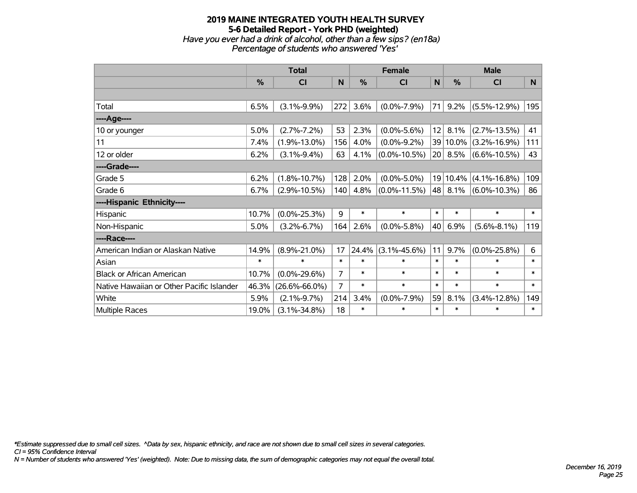## **2019 MAINE INTEGRATED YOUTH HEALTH SURVEY 5-6 Detailed Report - York PHD (weighted)** *Have you ever had a drink of alcohol, other than a few sips? (en18a) Percentage of students who answered 'Yes'*

|                                           | <b>Total</b>  |                     |                |        | <b>Female</b>      |              | <b>Male</b>   |                    |          |  |
|-------------------------------------------|---------------|---------------------|----------------|--------|--------------------|--------------|---------------|--------------------|----------|--|
|                                           | $\frac{0}{0}$ | <b>CI</b>           | N              | %      | <b>CI</b>          | $\mathsf{N}$ | $\frac{0}{0}$ | <b>CI</b>          | <b>N</b> |  |
|                                           |               |                     |                |        |                    |              |               |                    |          |  |
| Total                                     | 6.5%          | $(3.1\% - 9.9\%)$   | 272            | 3.6%   | $(0.0\% - 7.9\%)$  | 71           | 9.2%          | $(5.5\% - 12.9\%)$ | 195      |  |
| ----Age----                               |               |                     |                |        |                    |              |               |                    |          |  |
| 10 or younger                             | 5.0%          | $(2.7\% - 7.2\%)$   | 53             | 2.3%   | $(0.0\% - 5.6\%)$  | 12           | 8.1%          | $(2.7\% - 13.5\%)$ | 41       |  |
| 11                                        | 7.4%          | $(1.9\% - 13.0\%)$  | 156            | 4.0%   | $(0.0\% - 9.2\%)$  |              | 39 10.0%      | $(3.2\% - 16.9\%)$ | 111      |  |
| 12 or older                               | 6.2%          | $(3.1\% - 9.4\%)$   | 63             | 4.1%   | $(0.0\% - 10.5\%)$ | 20           | 8.5%          | $(6.6\% - 10.5\%)$ | 43       |  |
| ----Grade----                             |               |                     |                |        |                    |              |               |                    |          |  |
| Grade 5                                   | 6.2%          | $(1.8\% - 10.7\%)$  | 128            | 2.0%   | $(0.0\% - 5.0\%)$  |              | 19 10.4%      | $(4.1\% - 16.8\%)$ | 109      |  |
| Grade 6                                   | 6.7%          | $(2.9\% - 10.5\%)$  | 140            | 4.8%   | $(0.0\% - 11.5\%)$ | 48           | 8.1%          | $(6.0\% - 10.3\%)$ | 86       |  |
| ----Hispanic Ethnicity----                |               |                     |                |        |                    |              |               |                    |          |  |
| Hispanic                                  | 10.7%         | $(0.0\% - 25.3\%)$  | $\overline{9}$ | $\ast$ | $\ast$             | $\ast$       | $\ast$        | $\ast$             | $\ast$   |  |
| Non-Hispanic                              | 5.0%          | $(3.2\% - 6.7\%)$   | 164            | 2.6%   | $(0.0\% - 5.8\%)$  | 40           | 6.9%          | $(5.6\% - 8.1\%)$  | 119      |  |
| ----Race----                              |               |                     |                |        |                    |              |               |                    |          |  |
| American Indian or Alaskan Native         | 14.9%         | $(8.9\% - 21.0\%)$  | 17             | 24.4%  | $(3.1\% - 45.6\%)$ | 11           | 9.7%          | $(0.0\% - 25.8\%)$ | 6        |  |
| Asian                                     | $\ast$        | $\ast$              | $\ast$         | $\ast$ | $\ast$             | $\ast$       | $\ast$        | $\ast$             | $\ast$   |  |
| <b>Black or African American</b>          | 10.7%         | $(0.0\% - 29.6\%)$  | 7              | $\ast$ | $\ast$             | $\ast$       | $\ast$        | $\ast$             | $\ast$   |  |
| Native Hawaiian or Other Pacific Islander | 46.3%         | $(26.6\% - 66.0\%)$ | 7              | $\ast$ | $\ast$             | $\ast$       | $\ast$        | $\ast$             | $\ast$   |  |
| White                                     | 5.9%          | $(2.1\% - 9.7\%)$   | 214            | 3.4%   | $(0.0\% - 7.9\%)$  | 59           | 8.1%          | $(3.4\% - 12.8\%)$ | 149      |  |
| <b>Multiple Races</b>                     | 19.0%         | $(3.1\% - 34.8\%)$  | 18             | $\ast$ | $\ast$             | $\ast$       | $\ast$        | $\ast$             | $\ast$   |  |

*\*Estimate suppressed due to small cell sizes. ^Data by sex, hispanic ethnicity, and race are not shown due to small cell sizes in several categories.*

*CI = 95% Confidence Interval*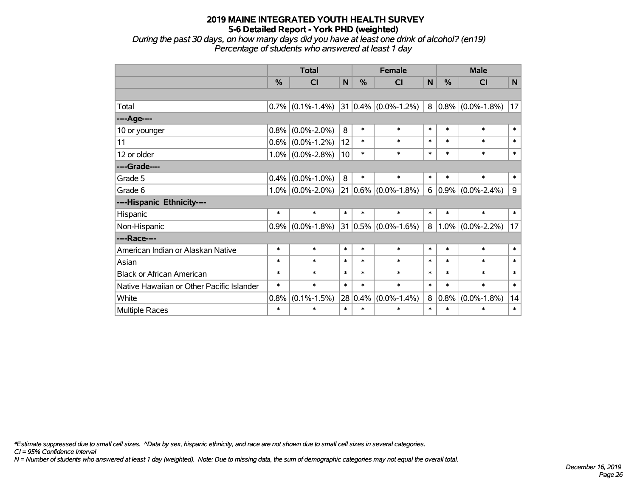*During the past 30 days, on how many days did you have at least one drink of alcohol? (en19) Percentage of students who answered at least 1 day*

|                                           | <b>Total</b> |                     |        | <b>Female</b> |                                |        | <b>Male</b> |                        |        |  |
|-------------------------------------------|--------------|---------------------|--------|---------------|--------------------------------|--------|-------------|------------------------|--------|--|
|                                           | $\%$         | <b>CI</b>           | N      | $\%$          | <b>CI</b>                      | N      | $\%$        | <b>CI</b>              | N      |  |
|                                           |              |                     |        |               |                                |        |             |                        |        |  |
| Total                                     |              | $0.7\%$ (0.1%-1.4%) |        |               | 31 0.4% $(0.0\% - 1.2\%)$      |        |             | $8 0.8\% $ (0.0%-1.8%) | 17     |  |
| ----Age----                               |              |                     |        |               |                                |        |             |                        |        |  |
| 10 or younger                             | 0.8%         | $(0.0\% - 2.0\%)$   | 8      | $\ast$        | $\ast$                         | $\ast$ | $\ast$      | $\ast$                 | $\ast$ |  |
| 11                                        | 0.6%         | $(0.0\% - 1.2\%)$   | 12     | $\ast$        | $\ast$                         | $\ast$ | $\ast$      | $\ast$                 | $\ast$ |  |
| 12 or older                               |              | $1.0\%$ (0.0%-2.8%) | 10     | $\ast$        | $\ast$                         | $\ast$ | $\ast$      | $\ast$                 | $\ast$ |  |
| ----Grade----                             |              |                     |        |               |                                |        |             |                        |        |  |
| Grade 5                                   | 0.4%         | $(0.0\% - 1.0\%)$   | 8      | $\ast$        | $\ast$                         | $\ast$ | $\ast$      | $\ast$                 | $\ast$ |  |
| Grade 6                                   | 1.0%         | $(0.0\% - 2.0\%)$   |        |               | $21   0.6\%   (0.0\% - 1.8\%)$ | 6      | $0.9\%$     | $(0.0\% - 2.4\%)$      | 9      |  |
| ----Hispanic Ethnicity----                |              |                     |        |               |                                |        |             |                        |        |  |
| Hispanic                                  | $\ast$       | $\ast$              | $\ast$ | $\ast$        | $\ast$                         | $\ast$ | $\ast$      | $\ast$                 | $\ast$ |  |
| Non-Hispanic                              | 0.9%         | $(0.0\% - 1.8\%)$   |        |               | $31 0.5\% $ (0.0%-1.6%)        | 8      |             | $1.0\%$ (0.0%-2.2%)    | 17     |  |
| ----Race----                              |              |                     |        |               |                                |        |             |                        |        |  |
| American Indian or Alaskan Native         | $\ast$       | $\ast$              | $\ast$ | $\ast$        | $\ast$                         | $\ast$ | $\ast$      | $\ast$                 | $\ast$ |  |
| Asian                                     | $\ast$       | $\ast$              | $\ast$ | $\ast$        | $\ast$                         | $\ast$ | $\ast$      | $\ast$                 | $\ast$ |  |
| <b>Black or African American</b>          | $\ast$       | $\ast$              | $\ast$ | $\ast$        | $\ast$                         | $\ast$ | $\ast$      | $\ast$                 | $\ast$ |  |
| Native Hawaiian or Other Pacific Islander | $\ast$       | $\ast$              | $\ast$ | $\ast$        | $\ast$                         | $\ast$ | $\ast$      | $\ast$                 | $\ast$ |  |
| White                                     | 0.8%         | $(0.1\% - 1.5\%)$   |        | 28 0.4%       | $(0.0\% - 1.4\%)$              | 8      | 0.8%        | $(0.0\% - 1.8\%)$      | 14     |  |
| Multiple Races                            | $\ast$       | $\ast$              | $\ast$ | $\ast$        | $\ast$                         | $\ast$ | $\ast$      | $\ast$                 | $\ast$ |  |

*\*Estimate suppressed due to small cell sizes. ^Data by sex, hispanic ethnicity, and race are not shown due to small cell sizes in several categories.*

*CI = 95% Confidence Interval*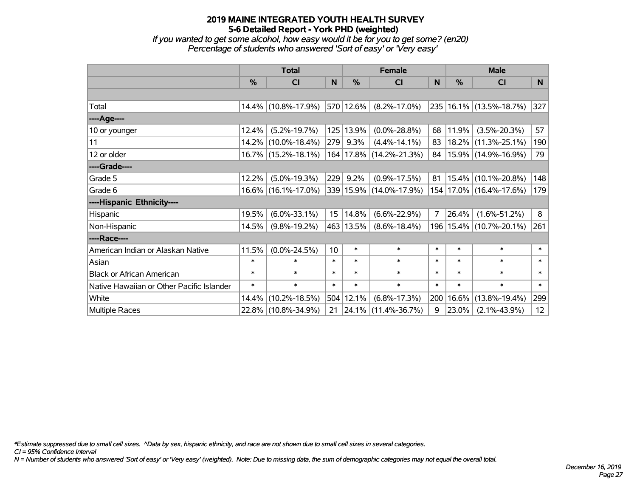*If you wanted to get some alcohol, how easy would it be for you to get some? (en20) Percentage of students who answered 'Sort of easy' or 'Very easy'*

|                                           | <b>Total</b>  |                     |        |           | <b>Female</b>               |                | <b>Male</b> |                             |                 |  |
|-------------------------------------------|---------------|---------------------|--------|-----------|-----------------------------|----------------|-------------|-----------------------------|-----------------|--|
|                                           | $\frac{0}{0}$ | CI                  | N      | $\%$      | <b>CI</b>                   | N              | %           | <b>CI</b>                   | <b>N</b>        |  |
|                                           |               |                     |        |           |                             |                |             |                             |                 |  |
| Total                                     |               | 14.4% (10.8%-17.9%) |        | 570 12.6% | $(8.2\% - 17.0\%)$          |                |             | 235 16.1% (13.5%-18.7%)     | 327             |  |
| ----Age----                               |               |                     |        |           |                             |                |             |                             |                 |  |
| 10 or younger                             | 12.4%         | $(5.2\% - 19.7\%)$  |        | 125 13.9% | $(0.0\% - 28.8\%)$          | 68             | 11.9%       | $(3.5\% - 20.3\%)$          | 57              |  |
| 11                                        |               | 14.2% (10.0%-18.4%) | 279    | 9.3%      | $(4.4\% - 14.1\%)$          | 83             | 18.2%       | $(11.3\% - 25.1\%)$         | 190             |  |
| 12 or older                               |               | 16.7% (15.2%-18.1%) |        |           | 164   17.8%   (14.2%-21.3%) | 84             |             | 15.9% (14.9%-16.9%)         | 79              |  |
| ----Grade----                             |               |                     |        |           |                             |                |             |                             |                 |  |
| Grade 5                                   | 12.2%         | $(5.0\% - 19.3\%)$  | 229    | 9.2%      | $(0.9\% - 17.5\%)$          | 81             | 15.4%       | $(10.1\% - 20.8\%)$         | 148             |  |
| Grade 6                                   |               | 16.6% (16.1%-17.0%) |        |           | 339 15.9% (14.0%-17.9%)     |                |             | 154   17.0%   (16.4%-17.6%) | 179             |  |
| ----Hispanic Ethnicity----                |               |                     |        |           |                             |                |             |                             |                 |  |
| Hispanic                                  | 19.5%         | $(6.0\% - 33.1\%)$  | 15     | 14.8%     | $(6.6\% - 22.9\%)$          | $\overline{7}$ | 26.4%       | $(1.6\% - 51.2\%)$          | 8               |  |
| Non-Hispanic                              | 14.5%         | $(9.8\% - 19.2\%)$  |        | 463 13.5% | $(8.6\% - 18.4\%)$          |                |             | 196   15.4%   (10.7%-20.1%) | 261             |  |
| ----Race----                              |               |                     |        |           |                             |                |             |                             |                 |  |
| American Indian or Alaskan Native         | 11.5%         | $(0.0\% - 24.5\%)$  | 10     | $\ast$    | $\ast$                      | $\ast$         | $\ast$      | $\ast$                      | $\ast$          |  |
| Asian                                     | $\ast$        | $\ast$              | $\ast$ | $\ast$    | $\ast$                      | $\ast$         | $\ast$      | $\ast$                      | $\ast$          |  |
| <b>Black or African American</b>          | $\ast$        | $\ast$              | $\ast$ | $\ast$    | $\ast$                      | $\ast$         | $\ast$      | $\ast$                      | $\ast$          |  |
| Native Hawaiian or Other Pacific Islander | $\ast$        | $\ast$              | $\ast$ | $\ast$    | $\ast$                      | $\ast$         | $\ast$      | $\ast$                      | $\ast$          |  |
| White                                     | 14.4%         | $(10.2\% - 18.5\%)$ |        | 504 12.1% | $(6.8\% - 17.3\%)$          | 200            | 16.6%       | $(13.8\% - 19.4\%)$         | 299             |  |
| Multiple Races                            |               | 22.8% (10.8%-34.9%) | 21     |           | $ 24.1\% $ (11.4%-36.7%)    | 9              | 23.0%       | $(2.1\% - 43.9\%)$          | 12 <sub>2</sub> |  |

*\*Estimate suppressed due to small cell sizes. ^Data by sex, hispanic ethnicity, and race are not shown due to small cell sizes in several categories.*

*CI = 95% Confidence Interval*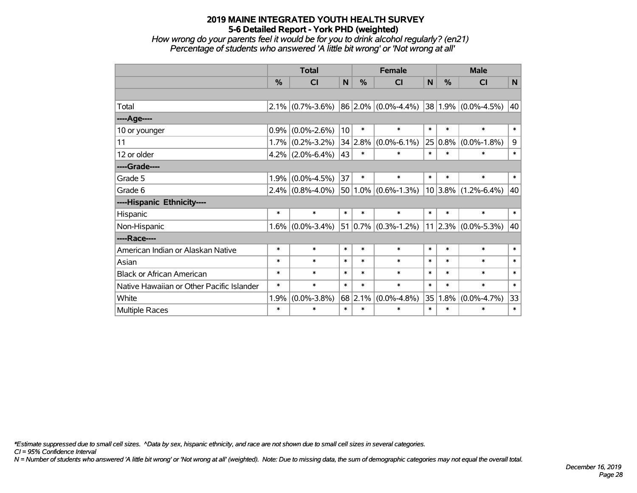*How wrong do your parents feel it would be for you to drink alcohol regularly? (en21) Percentage of students who answered 'A little bit wrong' or 'Not wrong at all'*

|                                           | <b>Total</b> |                     |        | <b>Female</b> |                         |        | <b>Male</b> |                          |        |  |
|-------------------------------------------|--------------|---------------------|--------|---------------|-------------------------|--------|-------------|--------------------------|--------|--|
|                                           | %            | <b>CI</b>           | N      | %             | <b>CI</b>               | N      | %           | <b>CI</b>                | N      |  |
|                                           |              |                     |        |               |                         |        |             |                          |        |  |
| Total                                     | 2.1%         | $(0.7\% - 3.6\%)$   |        |               | $86 2.0\% $ (0.0%-4.4%) |        |             | $ 38 1.9\% $ (0.0%-4.5%) | 40     |  |
| ----Age----                               |              |                     |        |               |                         |        |             |                          |        |  |
| 10 or younger                             | 0.9%         | $(0.0\% - 2.6\%)$   | 10     | $\ast$        | $\ast$                  | $\ast$ | $\ast$      | $\ast$                   | $\ast$ |  |
| 11                                        | 1.7%         | $(0.2\% - 3.2\%)$   |        | 34 2.8%       | $(0.0\% - 6.1\%)$       |        | $25 0.8\% $ | $(0.0\% - 1.8\%)$        | 9      |  |
| 12 or older                               |              | $4.2\%$ (2.0%-6.4%) | 43     | $\ast$        | $\ast$                  | $\ast$ | $\ast$      | $\ast$                   | $\ast$ |  |
| ----Grade----                             |              |                     |        |               |                         |        |             |                          |        |  |
| Grade 5                                   | 1.9%         | $(0.0\% - 4.5\%)$   | 37     | $\ast$        | $\ast$                  | $\ast$ | $\ast$      | $\ast$                   | $\ast$ |  |
| Grade 6                                   |              | $2.4\%$ (0.8%-4.0%) |        |               | $50 1.0\% $ (0.6%-1.3%) |        |             | $10 3.8\% $ (1.2%-6.4%)  | 40     |  |
| ----Hispanic Ethnicity----                |              |                     |        |               |                         |        |             |                          |        |  |
| Hispanic                                  | $\ast$       | $\ast$              | $\ast$ | $\ast$        | $\ast$                  | $\ast$ | $\ast$      | $\ast$                   | $\ast$ |  |
| Non-Hispanic                              | 1.6%         | $(0.0\% - 3.4\%)$   |        |               | $51 0.7\% $ (0.3%-1.2%) |        |             | $11 2.3\% $ (0.0%-5.3%)  | 40     |  |
| ----Race----                              |              |                     |        |               |                         |        |             |                          |        |  |
| American Indian or Alaskan Native         | $\ast$       | $\ast$              | $\ast$ | $\ast$        | $\ast$                  | $\ast$ | $\ast$      | $\ast$                   | $\ast$ |  |
| Asian                                     | $\ast$       | $\ast$              | $\ast$ | $\ast$        | $\ast$                  | $\ast$ | $\ast$      | $\ast$                   | $\ast$ |  |
| <b>Black or African American</b>          | $\ast$       | $\ast$              | $\ast$ | $\ast$        | $\ast$                  | $\ast$ | $\ast$      | $\ast$                   | $\ast$ |  |
| Native Hawaiian or Other Pacific Islander | $\ast$       | $\ast$              | $\ast$ | $\ast$        | $\ast$                  | $\ast$ | $\ast$      | $\ast$                   | $\ast$ |  |
| White                                     | 1.9%         | $(0.0\% - 3.8\%)$   |        | 68 2.1%       | $(0.0\% - 4.8\%)$       | 35     | 1.8%        | $(0.0\% - 4.7\%)$        | 33     |  |
| Multiple Races                            | $\ast$       | $\ast$              | $\ast$ | $\ast$        | $\ast$                  | $\ast$ | $\ast$      | $\ast$                   | $\ast$ |  |

*\*Estimate suppressed due to small cell sizes. ^Data by sex, hispanic ethnicity, and race are not shown due to small cell sizes in several categories.*

*CI = 95% Confidence Interval*

*N = Number of students who answered 'A little bit wrong' or 'Not wrong at all' (weighted). Note: Due to missing data, the sum of demographic categories may not equal the overall total.*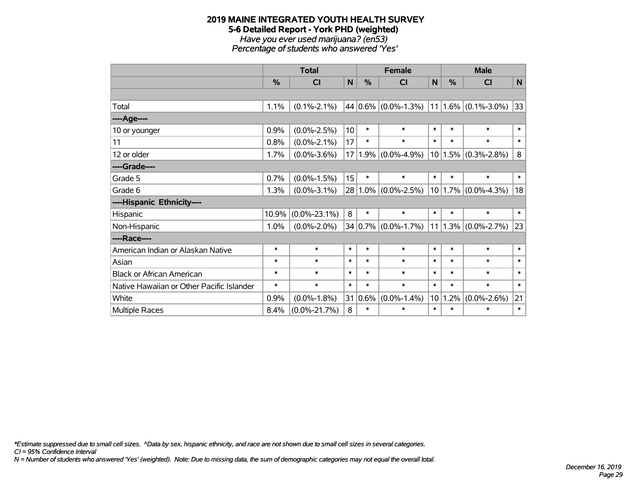# **2019 MAINE INTEGRATED YOUTH HEALTH SURVEY 5-6 Detailed Report - York PHD (weighted)** *Have you ever used marijuana? (en53)*

*Percentage of students who answered 'Yes'*

|                                           | <b>Total</b> |                    |        | <b>Female</b> |                           |        | <b>Male</b> |                              |        |  |
|-------------------------------------------|--------------|--------------------|--------|---------------|---------------------------|--------|-------------|------------------------------|--------|--|
|                                           | %            | <b>CI</b>          | N      | $\%$          | CI                        | N      | $\%$        | <b>CI</b>                    | N      |  |
|                                           |              |                    |        |               |                           |        |             |                              |        |  |
| Total                                     | 1.1%         | $(0.1\% - 2.1\%)$  |        |               | 44 0.6% $(0.0\% - 1.3\%)$ |        |             | $11 1.6\% $ (0.1%-3.0%)      | 33     |  |
| ----Age----                               |              |                    |        |               |                           |        |             |                              |        |  |
| 10 or younger                             | 0.9%         | $(0.0\% - 2.5\%)$  | 10     | $\ast$        | $\ast$                    | $\ast$ | $\ast$      | $\ast$                       | $\ast$ |  |
| 11                                        | 0.8%         | $(0.0\% - 2.1\%)$  | 17     | $\ast$        | $\ast$                    | $\ast$ | $\ast$      | $\ast$                       | $\ast$ |  |
| 12 or older                               | 1.7%         | $(0.0\% - 3.6\%)$  |        | 17 1.9%       | $(0.0\% - 4.9\%)$         |        |             | $10 1.5\% $ (0.3%-2.8%)      | 8      |  |
| ----Grade----                             |              |                    |        |               |                           |        |             |                              |        |  |
| Grade 5                                   | 0.7%         | $(0.0\% - 1.5\%)$  | 15     | $\ast$        | $\ast$                    | $\ast$ | $\ast$      | $\ast$                       | $\ast$ |  |
| Grade 6                                   | 1.3%         | $(0.0\% - 3.1\%)$  |        |               | $28 1.0\% $ (0.0%-2.5%)   |        |             | $10 1.7\% $ (0.0%-4.3%)      | 18     |  |
| ----Hispanic Ethnicity----                |              |                    |        |               |                           |        |             |                              |        |  |
| Hispanic                                  | 10.9%        | $(0.0\% - 23.1\%)$ | 8      | $\ast$        | $\ast$                    | $\ast$ | $\ast$      | $\ast$                       | $\ast$ |  |
| Non-Hispanic                              | 1.0%         | $(0.0\% - 2.0\%)$  |        |               | $34 0.7\% $ (0.0%-1.7%)   |        |             | 11   1.3% $ (0.0\% - 2.7\%)$ | 23     |  |
| ----Race----                              |              |                    |        |               |                           |        |             |                              |        |  |
| American Indian or Alaskan Native         | $\ast$       | $\ast$             | $\ast$ | $\ast$        | $\ast$                    | $\ast$ | $\ast$      | $\ast$                       | $\ast$ |  |
| Asian                                     | $\ast$       | $\ast$             | $\ast$ | $\ast$        | $\ast$                    | $\ast$ | $\ast$      | $\ast$                       | $\ast$ |  |
| <b>Black or African American</b>          | $\ast$       | $\ast$             | $\ast$ | $\ast$        | $\ast$                    | $\ast$ | $\ast$      | $\ast$                       | $\ast$ |  |
| Native Hawaiian or Other Pacific Islander | $\ast$       | $\ast$             | $\ast$ | $\ast$        | $\ast$                    | $\ast$ | $\ast$      | $\ast$                       | $\ast$ |  |
| White                                     | 0.9%         | $(0.0\% - 1.8\%)$  | 31     | 0.6%          | $(0.0\% - 1.4\%)$         | 10     | 1.2%        | $(0.0\% - 2.6\%)$            | 21     |  |
| Multiple Races                            | 8.4%         | $(0.0\% - 21.7\%)$ | 8      | $\ast$        | $\ast$                    | $\ast$ | $\ast$      | $\ast$                       | $\ast$ |  |

*\*Estimate suppressed due to small cell sizes. ^Data by sex, hispanic ethnicity, and race are not shown due to small cell sizes in several categories.*

*CI = 95% Confidence Interval*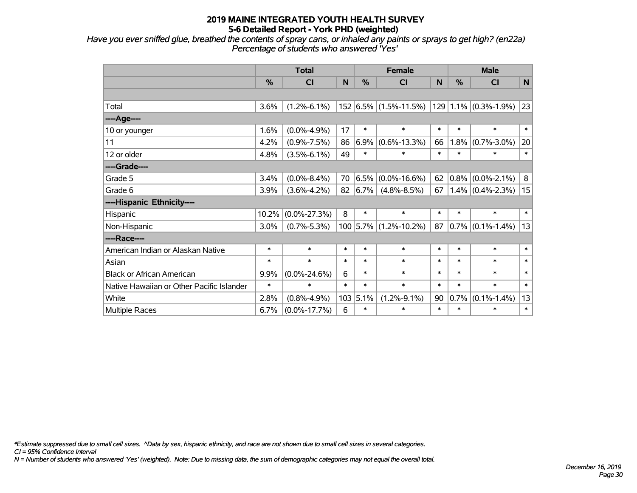*Have you ever sniffed glue, breathed the contents of spray cans, or inhaled any paints or sprays to get high? (en22a) Percentage of students who answered 'Yes'*

|                                           | <b>Total</b> |                    |        |            | <b>Female</b>         |        | <b>Male</b> |                          |              |  |
|-------------------------------------------|--------------|--------------------|--------|------------|-----------------------|--------|-------------|--------------------------|--------------|--|
|                                           | %            | CI                 | N      | %          | <b>CI</b>             | N      | %           | CI                       | $\mathsf{N}$ |  |
|                                           |              |                    |        |            |                       |        |             |                          |              |  |
| Total                                     | 3.6%         | $(1.2\% - 6.1\%)$  |        |            | 152 6.5% (1.5%-11.5%) |        |             | $129 1.1\% $ (0.3%-1.9%) | 23           |  |
| ---- Age----                              |              |                    |        |            |                       |        |             |                          |              |  |
| 10 or younger                             | 1.6%         | $(0.0\% - 4.9\%)$  | 17     | $\ast$     | $\ast$                | $\ast$ | $\ast$      | $\ast$                   | $\ast$       |  |
| 11                                        | 4.2%         | $(0.9\% - 7.5\%)$  | 86     | 6.9%       | $(0.6\% - 13.3\%)$    | 66     | 1.8%        | $(0.7\% - 3.0\%)$        | 20           |  |
| 12 or older                               | 4.8%         | $(3.5\% - 6.1\%)$  | 49     | $\ast$     | $\ast$                | $\ast$ | $\ast$      | $\ast$                   | $\ast$       |  |
| ----Grade----                             |              |                    |        |            |                       |        |             |                          |              |  |
| Grade 5                                   | 3.4%         | $(0.0\% - 8.4\%)$  | 70     | 6.5%       | $(0.0\% - 16.6\%)$    | 62     | $0.8\%$     | $(0.0\% - 2.1\%)$        | 8            |  |
| Grade 6                                   | 3.9%         | $(3.6\% - 4.2\%)$  | 82     | $6.7\%$    | $(4.8\% - 8.5\%)$     | 67     |             | $1.4\%$ (0.4%-2.3%)      | 15           |  |
| ----Hispanic Ethnicity----                |              |                    |        |            |                       |        |             |                          |              |  |
| Hispanic                                  | 10.2%        | $(0.0\% - 27.3\%)$ | 8      | $\ast$     | $\ast$                | $\ast$ | $\ast$      | $\ast$                   | $\ast$       |  |
| Non-Hispanic                              | 3.0%         | $(0.7\% - 5.3\%)$  |        | $100$ 5.7% | $(1.2\% - 10.2\%)$    | 87     |             | $0.7\%$ (0.1%-1.4%)      | 13           |  |
| ----Race----                              |              |                    |        |            |                       |        |             |                          |              |  |
| American Indian or Alaskan Native         | $\ast$       | $\ast$             | $\ast$ | $\ast$     | $\ast$                | $\ast$ | $\ast$      | $\ast$                   | $\ast$       |  |
| Asian                                     | $\ast$       | $\ast$             | $\ast$ | $\ast$     | $\ast$                | $\ast$ | $\ast$      | $\ast$                   | $\ast$       |  |
| <b>Black or African American</b>          | 9.9%         | $(0.0\% - 24.6\%)$ | 6      | $\ast$     | $\ast$                | $\ast$ | $\ast$      | $\ast$                   | $\ast$       |  |
| Native Hawaiian or Other Pacific Islander | $\ast$       | $\ast$             | $\ast$ | $\ast$     | $\ast$                | $\ast$ | $\ast$      | $\ast$                   | $\ast$       |  |
| White                                     | 2.8%         | $(0.8\% - 4.9\%)$  | 103    | 5.1%       | $(1.2\% - 9.1\%)$     | 90     | 0.7%        | $(0.1\% - 1.4\%)$        | 13           |  |
| Multiple Races                            | 6.7%         | $(0.0\% - 17.7\%)$ | 6      | $\ast$     | $\ast$                | $\ast$ | $\ast$      | *                        | $\ast$       |  |

*\*Estimate suppressed due to small cell sizes. ^Data by sex, hispanic ethnicity, and race are not shown due to small cell sizes in several categories.*

*CI = 95% Confidence Interval*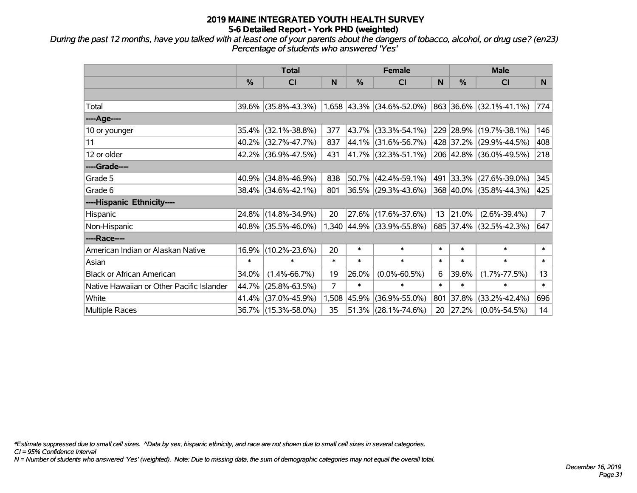*During the past 12 months, have you talked with at least one of your parents about the dangers of tobacco, alcohol, or drug use? (en23) Percentage of students who answered 'Yes'*

|                                           | <b>Total</b>  |                     |        |               | <b>Female</b>               |        | <b>Male</b>   |                         |                |  |
|-------------------------------------------|---------------|---------------------|--------|---------------|-----------------------------|--------|---------------|-------------------------|----------------|--|
|                                           | $\frac{0}{0}$ | <b>CI</b>           | N      | $\frac{0}{0}$ | <b>CI</b>                   | N      | $\frac{0}{0}$ | <b>CI</b>               | N.             |  |
|                                           |               |                     |        |               |                             |        |               |                         |                |  |
| Total                                     |               | 39.6% (35.8%-43.3%) |        |               | $1,658$ 43.3% (34.6%-52.0%) |        |               | 863 36.6% (32.1%-41.1%) | 774            |  |
| ----Age----                               |               |                     |        |               |                             |        |               |                         |                |  |
| 10 or younger                             | 35.4%         | $(32.1\% - 38.8\%)$ | 377    | 43.7%         | $(33.3\% - 54.1\%)$         |        |               | 229 28.9% (19.7%-38.1%) | 146            |  |
| 11                                        | 40.2%         | $(32.7\% - 47.7\%)$ | 837    | 44.1%         | $(31.6\% - 56.7\%)$         |        |               | 428 37.2% (29.9%-44.5%) | 408            |  |
| 12 or older                               |               | 42.2% (36.9%-47.5%) | 431    |               | $ 41.7\% $ (32.3%-51.1%)    |        |               | 206 42.8% (36.0%-49.5%) | 218            |  |
| ----Grade----                             |               |                     |        |               |                             |        |               |                         |                |  |
| Grade 5                                   | 40.9%         | $(34.8\% - 46.9\%)$ | 838    | 50.7%         | $(42.4\% - 59.1\%)$         |        |               | 491 33.3% (27.6%-39.0%) | 345            |  |
| Grade 6                                   |               | 38.4% (34.6%-42.1%) | 801    |               | 36.5% (29.3%-43.6%)         |        |               | 368 40.0% (35.8%-44.3%) | 425            |  |
| ----Hispanic Ethnicity----                |               |                     |        |               |                             |        |               |                         |                |  |
| Hispanic                                  |               | 24.8% (14.8%-34.9%) | 20     | 27.6%         | $(17.6\% - 37.6\%)$         | 13     | 21.0%         | $(2.6\% - 39.4\%)$      | 7 <sup>1</sup> |  |
| Non-Hispanic                              |               | 40.8% (35.5%-46.0%) |        |               | 1,340 44.9% (33.9%-55.8%)   |        |               | 685 37.4% (32.5%-42.3%) | 647            |  |
| ----Race----                              |               |                     |        |               |                             |        |               |                         |                |  |
| American Indian or Alaskan Native         | 16.9%         | $(10.2\% - 23.6\%)$ | 20     | $\ast$        | $\ast$                      | $\ast$ | $\ast$        | $\ast$                  | $\ast$         |  |
| Asian                                     | $\ast$        | $\ast$              | $\ast$ | $\ast$        | $\ast$                      | $\ast$ | $\ast$        | $\ast$                  | $\ast$         |  |
| <b>Black or African American</b>          | 34.0%         | $(1.4\% - 66.7\%)$  | 19     | 26.0%         | $(0.0\% - 60.5\%)$          | 6      | 39.6%         | $(1.7\% - 77.5\%)$      | 13             |  |
| Native Hawaiian or Other Pacific Islander | 44.7%         | $(25.8\% - 63.5\%)$ | 7      | $\ast$        | $\ast$                      | $\ast$ | $\ast$        | $\ast$                  | $\ast$         |  |
| White                                     | 41.4%         | $(37.0\% - 45.9\%)$ | 1,508  | 45.9%         | $(36.9\% - 55.0\%)$         | 801    | 37.8%         | $(33.2\% - 42.4\%)$     | 696            |  |
| Multiple Races                            |               | 36.7% (15.3%-58.0%) | 35     | 51.3%         | $(28.1\% - 74.6\%)$         | 20     | 27.2%         | $(0.0\% - 54.5\%)$      | 14             |  |

*\*Estimate suppressed due to small cell sizes. ^Data by sex, hispanic ethnicity, and race are not shown due to small cell sizes in several categories.*

*CI = 95% Confidence Interval*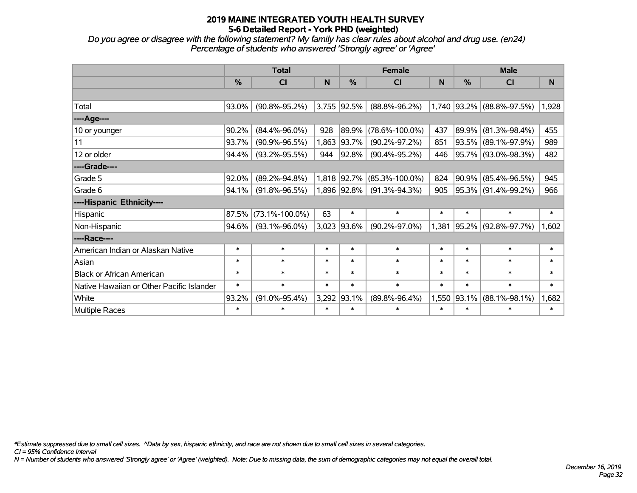*Do you agree or disagree with the following statement? My family has clear rules about alcohol and drug use. (en24) Percentage of students who answered 'Strongly agree' or 'Agree'*

|                                           | <b>Total</b>  |                      |        |             | <b>Female</b>        |        | <b>Male</b>   |                               |        |  |
|-------------------------------------------|---------------|----------------------|--------|-------------|----------------------|--------|---------------|-------------------------------|--------|--|
|                                           | $\frac{0}{0}$ | <b>CI</b>            | N      | %           | <b>CI</b>            | N      | $\frac{0}{0}$ | <b>CI</b>                     | N      |  |
|                                           |               |                      |        |             |                      |        |               |                               |        |  |
| Total                                     | 93.0%         | $(90.8\% - 95.2\%)$  |        | 3,755 92.5% | $(88.8\% - 96.2\%)$  |        |               | 1,740   93.2%   (88.8%-97.5%) | 1,928  |  |
| ----Age----                               |               |                      |        |             |                      |        |               |                               |        |  |
| 10 or younger                             | 90.2%         | $(84.4\% - 96.0\%)$  | 928    | 89.9%       | $(78.6\% - 100.0\%)$ | 437    | 89.9%         | $(81.3\% - 98.4\%)$           | 455    |  |
| 11                                        | 93.7%         | $(90.9\% - 96.5\%)$  | 1,863  | 93.7%       | $(90.2\% - 97.2\%)$  | 851    | 93.5%         | $(89.1\% - 97.9\%)$           | 989    |  |
| 12 or older                               | 94.4%         | $(93.2\% - 95.5\%)$  | 944    | 92.8%       | $(90.4\% - 95.2\%)$  | 446    |               | 95.7% (93.0%-98.3%)           | 482    |  |
| ----Grade----                             |               |                      |        |             |                      |        |               |                               |        |  |
| Grade 5                                   | 92.0%         | $(89.2\% - 94.8\%)$  |        | 1,818 92.7% | $(85.3\% - 100.0\%)$ | 824    | 90.9%         | $(85.4\% - 96.5\%)$           | 945    |  |
| Grade 6                                   | 94.1%         | $(91.8\% - 96.5\%)$  |        | 1,896 92.8% | $(91.3\% - 94.3\%)$  | 905    |               | $95.3\%$ (91.4%-99.2%)        | 966    |  |
| ----Hispanic Ethnicity----                |               |                      |        |             |                      |        |               |                               |        |  |
| Hispanic                                  | 87.5%         | $(73.1\% - 100.0\%)$ | 63     | $\ast$      | $\ast$               | $\ast$ | $\ast$        | $\ast$                        | $\ast$ |  |
| Non-Hispanic                              | 94.6%         | $(93.1\% - 96.0\%)$  | 3,023  | 93.6%       | $(90.2\% - 97.0\%)$  | 1,381  | 95.2%         | $(92.8\% - 97.7\%)$           | 1,602  |  |
| ----Race----                              |               |                      |        |             |                      |        |               |                               |        |  |
| American Indian or Alaskan Native         | $\ast$        | $\ast$               | $\ast$ | $\ast$      | $\ast$               | $\ast$ | $\ast$        | $\ast$                        | $\ast$ |  |
| Asian                                     | $\ast$        | $\ast$               | $\ast$ | $\ast$      | $\ast$               | $\ast$ | $\ast$        | $\ast$                        | $\ast$ |  |
| <b>Black or African American</b>          | $\ast$        | $\ast$               | $\ast$ | $\ast$      | $\ast$               | $\ast$ | $\ast$        | $\ast$                        | $\ast$ |  |
| Native Hawaiian or Other Pacific Islander | $\ast$        | $\ast$               | $\ast$ | $\ast$      | $\ast$               | $\ast$ | $\ast$        | $\ast$                        | $\ast$ |  |
| White                                     | 93.2%         | $(91.0\% - 95.4\%)$  | 3,292  | 93.1%       | $(89.8\% - 96.4\%)$  | 1,550  | 93.1%         | $(88.1\% - 98.1\%)$           | 1,682  |  |
| Multiple Races                            | $\ast$        | $\ast$               | $\ast$ | $\ast$      | $\ast$               | $\ast$ | $\ast$        | $\ast$                        | $\ast$ |  |

*\*Estimate suppressed due to small cell sizes. ^Data by sex, hispanic ethnicity, and race are not shown due to small cell sizes in several categories.*

*CI = 95% Confidence Interval*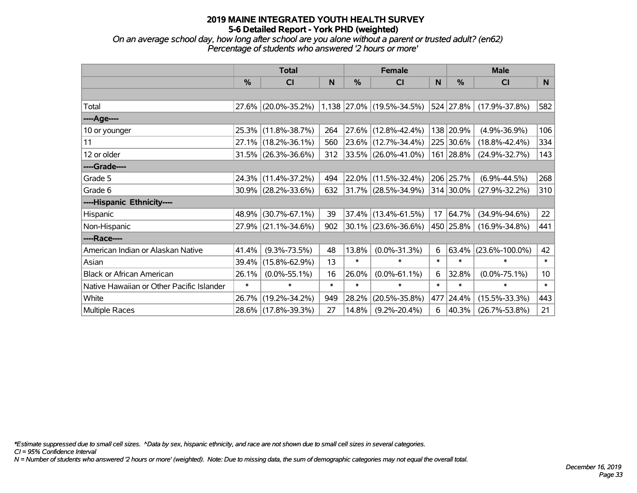*On an average school day, how long after school are you alone without a parent or trusted adult? (en62) Percentage of students who answered '2 hours or more'*

|                                           | <b>Total</b> |                     |        |        | <b>Female</b>             |        | <b>Male</b> |                      |                 |  |
|-------------------------------------------|--------------|---------------------|--------|--------|---------------------------|--------|-------------|----------------------|-----------------|--|
|                                           | %            | <b>CI</b>           | N      | %      | CI                        | N      | %           | <b>CI</b>            | N.              |  |
|                                           |              |                     |        |        |                           |        |             |                      |                 |  |
| Total                                     | 27.6%        | $(20.0\% - 35.2\%)$ |        |        | 1,138 27.0% (19.5%-34.5%) |        | 524 27.8%   | $(17.9\% - 37.8\%)$  | 582             |  |
| ----Age----                               |              |                     |        |        |                           |        |             |                      |                 |  |
| 10 or younger                             | 25.3%        | $(11.8\% - 38.7\%)$ | 264    |        | 27.6% (12.8%-42.4%)       |        | 138 20.9%   | $(4.9\% - 36.9\%)$   | 106             |  |
| 11                                        | 27.1%        | $(18.2\% - 36.1\%)$ | 560    |        | 23.6% (12.7%-34.4%)       |        | 225 30.6%   | $(18.8\% - 42.4\%)$  | 334             |  |
| 12 or older                               |              | 31.5% (26.3%-36.6%) | 312    |        | 33.5% (26.0%-41.0%)       | 161    | 28.8%       | $(24.9\% - 32.7\%)$  | 143             |  |
| ----Grade----                             |              |                     |        |        |                           |        |             |                      |                 |  |
| Grade 5                                   | 24.3%        | $(11.4\% - 37.2\%)$ | 494    |        | 22.0% (11.5%-32.4%)       |        | 206 25.7%   | $(6.9\% - 44.5\%)$   | 268             |  |
| Grade 6                                   |              | 30.9% (28.2%-33.6%) | 632    |        | 31.7% (28.5%-34.9%)       |        | 314 30.0%   | $(27.9\% - 32.2\%)$  | 310             |  |
| ----Hispanic Ethnicity----                |              |                     |        |        |                           |        |             |                      |                 |  |
| Hispanic                                  | 48.9%        | $(30.7\% - 67.1\%)$ | 39     | 37.4%  | $(13.4\% - 61.5\%)$       | 17     | 64.7%       | $(34.9\% - 94.6\%)$  | 22              |  |
| Non-Hispanic                              |              | 27.9% (21.1%-34.6%) | 902    |        | $30.1\%$ (23.6%-36.6%)    |        | 450 25.8%   | $(16.9\% - 34.8\%)$  | 441             |  |
| ----Race----                              |              |                     |        |        |                           |        |             |                      |                 |  |
| American Indian or Alaskan Native         | 41.4%        | $(9.3\% - 73.5\%)$  | 48     | 13.8%  | $(0.0\% - 31.3\%)$        | 6      | 63.4%       | $(23.6\% - 100.0\%)$ | 42              |  |
| Asian                                     | 39.4%        | $(15.8\% - 62.9\%)$ | 13     | $\ast$ | $\ast$                    | $\ast$ | $\ast$      | $\ast$               | $\ast$          |  |
| <b>Black or African American</b>          | 26.1%        | $(0.0\% - 55.1\%)$  | 16     | 26.0%  | $(0.0\% - 61.1\%)$        | 6      | 32.8%       | $(0.0\% - 75.1\%)$   | 10 <sup>°</sup> |  |
| Native Hawaiian or Other Pacific Islander | $\ast$       | $\ast$              | $\ast$ | $\ast$ | $\ast$                    | $\ast$ | $\ast$      | $\ast$               | $\ast$          |  |
| White                                     | 26.7%        | $(19.2\% - 34.2\%)$ | 949    | 28.2%  | $(20.5\% - 35.8\%)$       | 477    | 24.4%       | $(15.5\% - 33.3\%)$  | 443             |  |
| <b>Multiple Races</b>                     |              | 28.6% (17.8%-39.3%) | 27     | 14.8%  | $(9.2\% - 20.4\%)$        | 6      | 40.3%       | $(26.7\% - 53.8\%)$  | 21              |  |

*\*Estimate suppressed due to small cell sizes. ^Data by sex, hispanic ethnicity, and race are not shown due to small cell sizes in several categories.*

*CI = 95% Confidence Interval*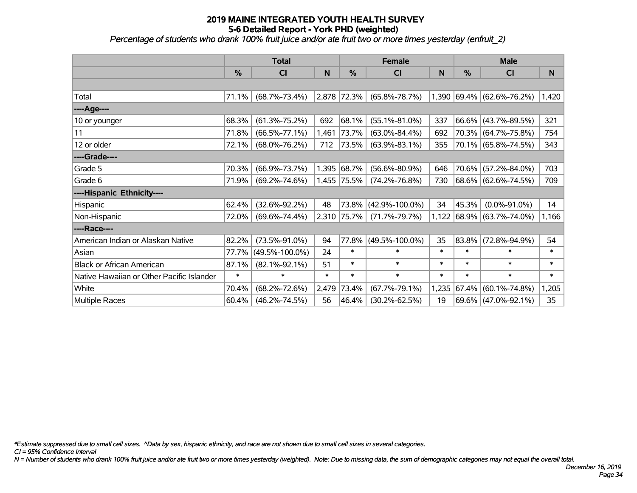*Percentage of students who drank 100% fruit juice and/or ate fruit two or more times yesterday (enfruit\_2)*

|                                           | <b>Total</b>  |                      |        |             | <b>Female</b>        |        | <b>Male</b> |                           |              |  |
|-------------------------------------------|---------------|----------------------|--------|-------------|----------------------|--------|-------------|---------------------------|--------------|--|
|                                           | $\frac{0}{0}$ | <b>CI</b>            | N      | %           | <b>CI</b>            | N      | %           | <b>CI</b>                 | <sub>N</sub> |  |
|                                           |               |                      |        |             |                      |        |             |                           |              |  |
| Total                                     | 71.1%         | $(68.7\% - 73.4\%)$  |        | 2,878 72.3% | $(65.8\% - 78.7\%)$  |        |             | 1,390 69.4% (62.6%-76.2%) | 1,420        |  |
| ----Age----                               |               |                      |        |             |                      |        |             |                           |              |  |
| 10 or younger                             | 68.3%         | $(61.3\% - 75.2\%)$  | 692    | 68.1%       | $(55.1\% - 81.0\%)$  | 337    |             | 66.6% (43.7%-89.5%)       | 321          |  |
| 11                                        | 71.8%         | $(66.5\% - 77.1\%)$  | 1,461  | 73.7%       | $(63.0\% - 84.4\%)$  | 692    |             | 70.3% (64.7%-75.8%)       | 754          |  |
| 12 or older                               | 72.1%         | $(68.0\% - 76.2\%)$  | 712    | $ 73.5\% $  | $(63.9\% - 83.1\%)$  | 355    |             | 70.1% (65.8%-74.5%)       | 343          |  |
| ----Grade----                             |               |                      |        |             |                      |        |             |                           |              |  |
| Grade 5                                   | 70.3%         | $(66.9\% - 73.7\%)$  |        | 1,395 68.7% | $(56.6\% - 80.9\%)$  | 646    |             | 70.6% (57.2%-84.0%)       | 703          |  |
| Grade 6                                   | 71.9%         | $(69.2\% - 74.6\%)$  |        | 1,455 75.5% | $(74.2\% - 76.8\%)$  | 730    |             | 68.6% (62.6%-74.5%)       | 709          |  |
| ----Hispanic Ethnicity----                |               |                      |        |             |                      |        |             |                           |              |  |
| Hispanic                                  | 62.4%         | $(32.6\% - 92.2\%)$  | 48     | 73.8%       | $(42.9\% - 100.0\%)$ | 34     | 45.3%       | $(0.0\% - 91.0\%)$        | 14           |  |
| Non-Hispanic                              | 72.0%         | $(69.6\% - 74.4\%)$  |        | 2,310 75.7% | $(71.7\% - 79.7\%)$  | 1,122  |             | 68.9% (63.7%-74.0%)       | 1,166        |  |
| ----Race----                              |               |                      |        |             |                      |        |             |                           |              |  |
| American Indian or Alaskan Native         | 82.2%         | $(73.5\% - 91.0\%)$  | 94     | 77.8%       | $(49.5\% - 100.0\%)$ | 35     |             | 83.8% (72.8%-94.9%)       | 54           |  |
| Asian                                     | 77.7%         | $(49.5\% - 100.0\%)$ | 24     | $\ast$      | $\ast$               | $\ast$ | $\ast$      | $\ast$                    | $\ast$       |  |
| <b>Black or African American</b>          | 87.1%         | $(82.1\% - 92.1\%)$  | 51     | $\ast$      | $\ast$               | $\ast$ | $\ast$      | $\ast$                    | $\ast$       |  |
| Native Hawaiian or Other Pacific Islander | $\ast$        | $\ast$               | $\ast$ | $\ast$      | $\ast$               | $\ast$ | $\ast$      | $\ast$                    | $\ast$       |  |
| White                                     | 70.4%         | $(68.2\% - 72.6\%)$  | 2,479  | 73.4%       | $(67.7\% - 79.1\%)$  | 1,235  | 67.4%       | $(60.1\% - 74.8\%)$       | 1,205        |  |
| Multiple Races                            | 60.4%         | $(46.2\% - 74.5\%)$  | 56     | 46.4%       | $(30.2\% - 62.5\%)$  | 19     |             | 69.6% (47.0%-92.1%)       | 35           |  |

*\*Estimate suppressed due to small cell sizes. ^Data by sex, hispanic ethnicity, and race are not shown due to small cell sizes in several categories.*

*CI = 95% Confidence Interval*

*N = Number of students who drank 100% fruit juice and/or ate fruit two or more times yesterday (weighted). Note: Due to missing data, the sum of demographic categories may not equal the overall total.*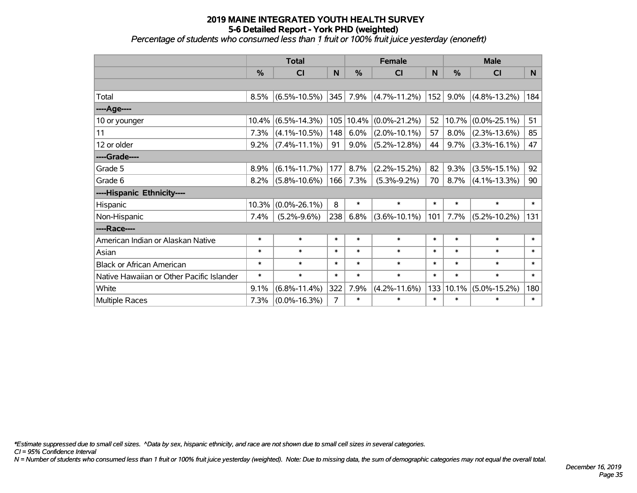## **2019 MAINE INTEGRATED YOUTH HEALTH SURVEY 5-6 Detailed Report - York PHD (weighted)** *Percentage of students who consumed less than 1 fruit or 100% fruit juice yesterday (enonefrt)*

|                                           | <b>Total</b> |                    |        |               | <b>Female</b>      | <b>Male</b> |           |                    |          |
|-------------------------------------------|--------------|--------------------|--------|---------------|--------------------|-------------|-----------|--------------------|----------|
|                                           | %            | CI                 | N      | $\frac{0}{0}$ | CI                 | N           | %         | CI                 | <b>N</b> |
|                                           |              |                    |        |               |                    |             |           |                    |          |
| Total                                     | 8.5%         | $(6.5\% - 10.5\%)$ | 345    | 7.9%          | $(4.7\% - 11.2\%)$ | 152         | 9.0%      | $(4.8\% - 13.2\%)$ | 184      |
| ----Age----                               |              |                    |        |               |                    |             |           |                    |          |
| 10 or younger                             | 10.4%        | $(6.5\% - 14.3\%)$ | 105    | 10.4%         | $(0.0\% - 21.2\%)$ | 52          | 10.7%     | $(0.0\% - 25.1\%)$ | 51       |
| 11                                        | 7.3%         | $(4.1\% - 10.5\%)$ | 148    | 6.0%          | $(2.0\% - 10.1\%)$ | 57          | 8.0%      | $(2.3\% - 13.6\%)$ | 85       |
| 12 or older                               | 9.2%         | $(7.4\% - 11.1\%)$ | 91     | $9.0\%$       | $(5.2\% - 12.8\%)$ | 44          | 9.7%      | $(3.3\% - 16.1\%)$ | 47       |
| ----Grade----                             |              |                    |        |               |                    |             |           |                    |          |
| Grade 5                                   | 8.9%         | $(6.1\% - 11.7\%)$ | 177    | 8.7%          | $(2.2\% - 15.2\%)$ | 82          | 9.3%      | $(3.5\% - 15.1\%)$ | 92       |
| Grade 6                                   | 8.2%         | $(5.8\% - 10.6\%)$ | 166    | 7.3%          | $(5.3\% - 9.2\%)$  | 70          | 8.7%      | $(4.1\% - 13.3\%)$ | 90       |
| ----Hispanic Ethnicity----                |              |                    |        |               |                    |             |           |                    |          |
| Hispanic                                  | 10.3%        | $(0.0\% - 26.1\%)$ | 8      | $\ast$        | $\ast$             | $\ast$      | $\ast$    | $\ast$             | $\ast$   |
| Non-Hispanic                              | 7.4%         | $(5.2\% - 9.6\%)$  | 238    | 6.8%          | $(3.6\% - 10.1\%)$ | 101         | 7.7%      | $(5.2\% - 10.2\%)$ | 131      |
| ----Race----                              |              |                    |        |               |                    |             |           |                    |          |
| American Indian or Alaskan Native         | $\ast$       | $\ast$             | $\ast$ | $\ast$        | $\ast$             | $\ast$      | $\ast$    | $\ast$             | $\ast$   |
| Asian                                     | $\ast$       | $\ast$             | $\ast$ | $\ast$        | $\ast$             | $\ast$      | $\ast$    | $\ast$             | $\ast$   |
| <b>Black or African American</b>          | $\ast$       | $\ast$             | $\ast$ | $\ast$        | $\ast$             | $\ast$      | $\ast$    | $\ast$             | $\ast$   |
| Native Hawaiian or Other Pacific Islander | $\ast$       | $\ast$             | $\ast$ | $\ast$        | $\ast$             | $\ast$      | $\ast$    | $\ast$             | $\ast$   |
| White                                     | 9.1%         | $(6.8\% - 11.4\%)$ | 322    | 7.9%          | $(4.2\% - 11.6\%)$ |             | 133 10.1% | $(5.0\% - 15.2\%)$ | 180      |
| <b>Multiple Races</b>                     | 7.3%         | $(0.0\% - 16.3\%)$ | 7      | $\ast$        | $\ast$             | $\ast$      | $\ast$    | $\ast$             | $\ast$   |

*\*Estimate suppressed due to small cell sizes. ^Data by sex, hispanic ethnicity, and race are not shown due to small cell sizes in several categories.*

*CI = 95% Confidence Interval*

*N = Number of students who consumed less than 1 fruit or 100% fruit juice yesterday (weighted). Note: Due to missing data, the sum of demographic categories may not equal the overall total.*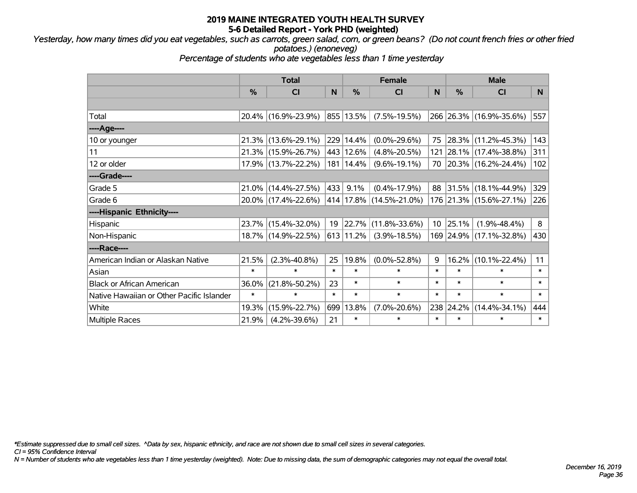*Yesterday, how many times did you eat vegetables, such as carrots, green salad, corn, or green beans? (Do not count french fries or other fried potatoes.) (enoneveg)*

*Percentage of students who ate vegetables less than 1 time yesterday*

|                                           | <b>Total</b>  |                     |        | <b>Female</b> | <b>Male</b>                  |        |            |                         |                |
|-------------------------------------------|---------------|---------------------|--------|---------------|------------------------------|--------|------------|-------------------------|----------------|
|                                           | $\frac{0}{0}$ | <b>CI</b>           | N      | %             | <b>CI</b>                    | N      | %          | <b>CI</b>               | N <sub>1</sub> |
|                                           |               |                     |        |               |                              |        |            |                         |                |
| Total                                     |               | 20.4% (16.9%-23.9%) |        | 855 13.5%     | $(7.5\% - 19.5\%)$           |        |            | 266 26.3% (16.9%-35.6%) | 557            |
| ----Age----                               |               |                     |        |               |                              |        |            |                         |                |
| 10 or younger                             | 21.3%         | $(13.6\% - 29.1\%)$ |        | 229 14.4%     | $(0.0\% - 29.6\%)$           | 75     | 28.3%      | $(11.2\% - 45.3\%)$     | 143            |
| 11                                        |               | 21.3% (15.9%-26.7%) |        | 443 12.6%     | $(4.8\% - 20.5\%)$           |        |            | 121 28.1% (17.4%-38.8%) | 311            |
| 12 or older                               |               | 17.9% (13.7%-22.2%) |        | 181   14.4%   | $(9.6\% - 19.1\%)$           |        |            | 70 20.3% (16.2%-24.4%)  | 102            |
| ----Grade----                             |               |                     |        |               |                              |        |            |                         |                |
| Grade 5                                   |               | 21.0% (14.4%-27.5%) | 433    | 9.1%          | $(0.4\% - 17.9\%)$           | 88     | 31.5%      | $(18.1\% - 44.9\%)$     | 329            |
| Grade 6                                   |               | 20.0% (17.4%-22.6%) |        |               | $ 414 17.8\% $ (14.5%-21.0%) |        |            | 176 21.3% (15.6%-27.1%) | 226            |
| ----Hispanic Ethnicity----                |               |                     |        |               |                              |        |            |                         |                |
| Hispanic                                  | 23.7%         | $(15.4\% - 32.0\%)$ | 19     | 22.7%         | $(11.8\% - 33.6\%)$          |        | $10$ 25.1% | $(1.9\% - 48.4\%)$      | 8              |
| Non-Hispanic                              |               | 18.7% (14.9%-22.5%) |        | 613 11.2%     | $(3.9\% - 18.5\%)$           |        |            | 169 24.9% (17.1%-32.8%) | 430            |
| ----Race----                              |               |                     |        |               |                              |        |            |                         |                |
| American Indian or Alaskan Native         | 21.5%         | $(2.3\% - 40.8\%)$  | 25     | 19.8%         | $(0.0\% - 52.8\%)$           | 9      | 16.2%      | $(10.1\% - 22.4\%)$     | 11             |
| Asian                                     | $\ast$        | $\ast$              | $\ast$ | $\ast$        | $\ast$                       | $\ast$ | $\ast$     | $\ast$                  | $\ast$         |
| <b>Black or African American</b>          | 36.0%         | $(21.8\% - 50.2\%)$ | 23     | $\ast$        | $\ast$                       | $\ast$ | $\ast$     | $\ast$                  | $\ast$         |
| Native Hawaiian or Other Pacific Islander | $\ast$        | $\ast$              | $\ast$ | $\ast$        | $\ast$                       | $\ast$ | $\ast$     | $\ast$                  | $\pmb{\ast}$   |
| White                                     | 19.3%         | $(15.9\% - 22.7\%)$ | 699    | 13.8%         | $(7.0\% - 20.6\%)$           | 238    | 24.2%      | $(14.4\% - 34.1\%)$     | 444            |
| <b>Multiple Races</b>                     | 21.9%         | $(4.2\% - 39.6\%)$  | 21     | $\ast$        | $\ast$                       | $\ast$ | $\ast$     | $\ast$                  | $\ast$         |

*\*Estimate suppressed due to small cell sizes. ^Data by sex, hispanic ethnicity, and race are not shown due to small cell sizes in several categories.*

*CI = 95% Confidence Interval*

*N = Number of students who ate vegetables less than 1 time yesterday (weighted). Note: Due to missing data, the sum of demographic categories may not equal the overall total.*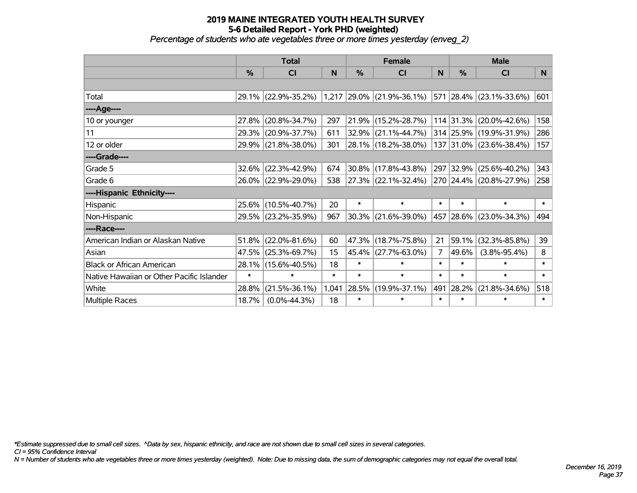#### **2019 MAINE INTEGRATED YOUTH HEALTH SURVEY 5-6 Detailed Report - York PHD (weighted)** *Percentage of students who ate vegetables three or more times yesterday (enveg\_2)*

|                                           | <b>Total</b>  |                     |        |        | <b>Female</b>               |        | <b>Male</b>   |                         |              |  |
|-------------------------------------------|---------------|---------------------|--------|--------|-----------------------------|--------|---------------|-------------------------|--------------|--|
|                                           | $\frac{0}{0}$ | CI                  | N      | %      | <b>CI</b>                   | N      | $\frac{0}{0}$ | <b>CI</b>               | <sub>N</sub> |  |
|                                           |               |                     |        |        |                             |        |               |                         |              |  |
| Total                                     |               | 29.1% (22.9%-35.2%) |        |        | $1,217$ 29.0% (21.9%-36.1%) |        |               | 571 28.4% (23.1%-33.6%) | 601          |  |
| ----Age----                               |               |                     |        |        |                             |        |               |                         |              |  |
| 10 or younger                             | 27.8%         | $(20.8\% - 34.7\%)$ | 297    | 21.9%  | $(15.2\% - 28.7\%)$         |        | 114 31.3%     | $(20.0\% - 42.6\%)$     | 158          |  |
| 11                                        |               | 29.3% (20.9%-37.7%) | 611    | 32.9%  | $(21.1\% - 44.7\%)$         |        |               | 314 25.9% (19.9%-31.9%) | 286          |  |
| 12 or older                               |               | 29.9% (21.8%-38.0%) | 301    |        | 28.1% (18.2%-38.0%)         |        |               | 137 31.0% (23.6%-38.4%) | 157          |  |
| ----Grade----                             |               |                     |        |        |                             |        |               |                         |              |  |
| Grade 5                                   | $32.6\%$      | $(22.3\% - 42.9\%)$ | 674    | 30.8%  | $(17.8\% - 43.8\%)$         |        | 297 32.9%     | $(25.6\% - 40.2\%)$     | 343          |  |
| Grade 6                                   |               | 26.0% (22.9%-29.0%) | 538    |        | $27.3\%$ (22.1%-32.4%)      |        |               | 270 24.4% (20.8%-27.9%) | 258          |  |
| ----Hispanic Ethnicity----                |               |                     |        |        |                             |        |               |                         |              |  |
| Hispanic                                  |               | 25.6% (10.5%-40.7%) | 20     | $\ast$ | $\ast$                      | $\ast$ | $\ast$        | $\ast$                  | $\ast$       |  |
| Non-Hispanic                              |               | 29.5% (23.2%-35.9%) | 967    | 30.3%  | $(21.6\% - 39.0\%)$         |        | 457 28.6%     | $(23.0\% - 34.3\%)$     | 494          |  |
| ----Race----                              |               |                     |        |        |                             |        |               |                         |              |  |
| American Indian or Alaskan Native         | 51.8%         | $(22.0\% - 81.6\%)$ | 60     | 47.3%  | $(18.7\% - 75.8\%)$         | 21     | 59.1%         | $(32.3\% - 85.8\%)$     | 39           |  |
| Asian                                     | 47.5%         | $(25.3\% - 69.7\%)$ | 15     | 45.4%  | $(27.7\% - 63.0\%)$         | 7      | 49.6%         | $(3.8\% - 95.4\%)$      | 8            |  |
| <b>Black or African American</b>          | 28.1%         | $(15.6\% - 40.5\%)$ | 18     | $\ast$ | $\ast$                      | $\ast$ | $\ast$        | $\ast$                  | $\ast$       |  |
| Native Hawaiian or Other Pacific Islander | $\ast$        | $\ast$              | $\ast$ | $\ast$ | $\ast$                      | $\ast$ | $\ast$        | $\ast$                  | $\ast$       |  |
| White                                     | 28.8%         | $(21.5\% - 36.1\%)$ | 1,041  | 28.5%  | $(19.9\% - 37.1\%)$         | 491    | 28.2%         | $(21.8\% - 34.6\%)$     | 518          |  |
| <b>Multiple Races</b>                     | 18.7%         | $(0.0\% - 44.3\%)$  | 18     | $\ast$ | $\ast$                      | $\ast$ | $\ast$        | $\ast$                  | $\ast$       |  |

*\*Estimate suppressed due to small cell sizes. ^Data by sex, hispanic ethnicity, and race are not shown due to small cell sizes in several categories.*

*CI = 95% Confidence Interval*

*N = Number of students who ate vegetables three or more times yesterday (weighted). Note: Due to missing data, the sum of demographic categories may not equal the overall total.*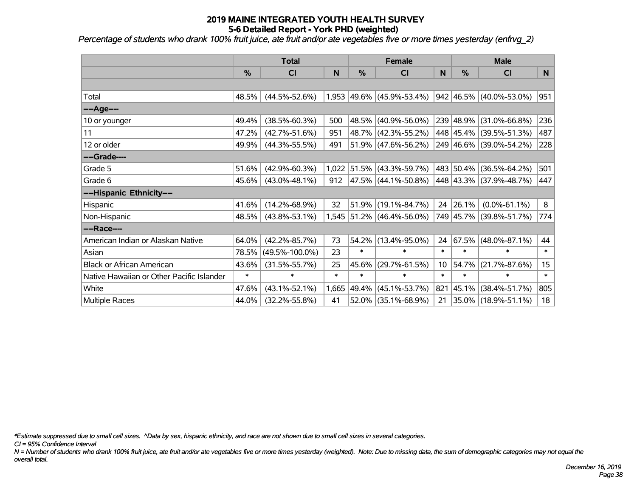*Percentage of students who drank 100% fruit juice, ate fruit and/or ate vegetables five or more times yesterday (enfrvg\_2)*

|                                           | <b>Total</b>  |                      |        | <b>Female</b> |                           |           | <b>Male</b>   |                         |        |  |
|-------------------------------------------|---------------|----------------------|--------|---------------|---------------------------|-----------|---------------|-------------------------|--------|--|
|                                           | $\frac{0}{0}$ | CI                   | N      | %             | <b>CI</b>                 | ${\sf N}$ | $\frac{9}{6}$ | CI                      | N      |  |
|                                           |               |                      |        |               |                           |           |               |                         |        |  |
| Total                                     | 48.5%         | $(44.5\% - 52.6\%)$  |        |               | 1,953 49.6% (45.9%-53.4%) |           |               | 942 46.5% (40.0%-53.0%) | 951    |  |
| ----Age----                               |               |                      |        |               |                           |           |               |                         |        |  |
| 10 or younger                             | 49.4%         | $(38.5\% - 60.3\%)$  | 500    |               | 48.5% (40.9%-56.0%)       |           |               | 239 48.9% (31.0%-66.8%) | 236    |  |
| 11                                        | 47.2%         | $(42.7\% - 51.6\%)$  | 951    |               | 48.7% (42.3%-55.2%)       |           |               | 448 45.4% (39.5%-51.3%) | 487    |  |
| 12 or older                               | 49.9%         | $(44.3\% - 55.5\%)$  | 491    |               | $51.9\%$ (47.6%-56.2%)    |           |               | 249 46.6% (39.0%-54.2%) | 228    |  |
| ----Grade----                             |               |                      |        |               |                           |           |               |                         |        |  |
| Grade 5                                   | 51.6%         | $(42.9\% - 60.3\%)$  | 1,022  |               | $51.5\%$ (43.3%-59.7%)    |           | 483 50.4%     | $(36.5\% - 64.2\%)$     | 501    |  |
| Grade 6                                   | 45.6%         | $(43.0\% - 48.1\%)$  | 912    |               | 47.5% (44.1%-50.8%)       |           |               | 448 43.3% (37.9%-48.7%) | 447    |  |
| ----Hispanic Ethnicity----                |               |                      |        |               |                           |           |               |                         |        |  |
| Hispanic                                  | 41.6%         | $(14.2\% - 68.9\%)$  | 32     | 51.9%         | $(19.1\% - 84.7\%)$       |           | 24 26.1%      | $(0.0\% - 61.1\%)$      | 8      |  |
| Non-Hispanic                              | 48.5%         | $(43.8\% - 53.1\%)$  |        |               | 1,545 51.2% (46.4%-56.0%) |           |               | 749 45.7% (39.8%-51.7%) | 774    |  |
| ----Race----                              |               |                      |        |               |                           |           |               |                         |        |  |
| American Indian or Alaskan Native         | 64.0%         | $(42.2\% - 85.7\%)$  | 73     |               | 54.2% (13.4%-95.0%)       | 24        | 67.5%         | $(48.0\% - 87.1\%)$     | 44     |  |
| Asian                                     | 78.5%         | $(49.5\% - 100.0\%)$ | 23     | $\ast$        | *                         | $\ast$    | $\ast$        | $\ast$                  | $\ast$ |  |
| <b>Black or African American</b>          | 43.6%         | $(31.5\% - 55.7\%)$  | 25     | 45.6%         | $(29.7\% - 61.5\%)$       | 10        | 54.7%         | $(21.7\% - 87.6\%)$     | 15     |  |
| Native Hawaiian or Other Pacific Islander | $\ast$        | $\ast$               | $\ast$ | $\ast$        | $\ast$                    | $\ast$    | $\ast$        | $\ast$                  | $\ast$ |  |
| White                                     | 47.6%         | $(43.1\% - 52.1\%)$  | 1,665  | 49.4%         | $(45.1\% - 53.7\%)$       | 821       | 45.1%         | $(38.4\% - 51.7\%)$     | 805    |  |
| Multiple Races                            | 44.0%         | $(32.2\% - 55.8\%)$  | 41     |               | $52.0\%$ (35.1%-68.9%)    | 21        |               | 35.0% (18.9%-51.1%)     | 18     |  |

*\*Estimate suppressed due to small cell sizes. ^Data by sex, hispanic ethnicity, and race are not shown due to small cell sizes in several categories.*

*CI = 95% Confidence Interval*

*N = Number of students who drank 100% fruit juice, ate fruit and/or ate vegetables five or more times yesterday (weighted). Note: Due to missing data, the sum of demographic categories may not equal the overall total.*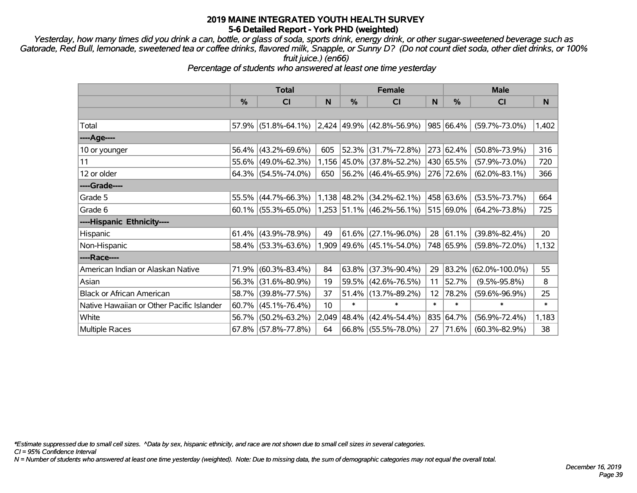*Yesterday, how many times did you drink a can, bottle, or glass of soda, sports drink, energy drink, or other sugar-sweetened beverage such as Gatorade, Red Bull, lemonade, sweetened tea or coffee drinks, flavored milk, Snapple, or Sunny D? (Do not count diet soda, other diet drinks, or 100% fruit juice.) (en66)*

*Percentage of students who answered at least one time yesterday*

|                                           | <b>Total</b> |                        |       | <b>Female</b> |                             | <b>Male</b> |           |                      |        |
|-------------------------------------------|--------------|------------------------|-------|---------------|-----------------------------|-------------|-----------|----------------------|--------|
|                                           | %            | C <sub>l</sub>         | N     | %             | <b>CI</b>                   | N           | %         | <b>CI</b>            | N      |
|                                           |              |                        |       |               |                             |             |           |                      |        |
| Total                                     |              | $57.9\%$ (51.8%-64.1%) |       |               | $2,424$ 49.9% (42.8%-56.9%) |             | 985 66.4% | $(59.7\% - 73.0\%)$  | 1,402  |
| ----Age----                               |              |                        |       |               |                             |             |           |                      |        |
| 10 or younger                             | 56.4%        | $(43.2\% - 69.6\%)$    | 605   |               | 52.3% (31.7%-72.8%)         |             | 273 62.4% | $(50.8\% - 73.9\%)$  | 316    |
| 11                                        |              | 55.6% (49.0%-62.3%)    |       |               | 1,156 45.0% (37.8%-52.2%)   |             | 430 65.5% | $(57.9\% - 73.0\%)$  | 720    |
| 12 or older                               |              | $64.3\%$ (54.5%-74.0%) | 650   |               | 56.2% (46.4%-65.9%)         |             | 276 72.6% | $(62.0\% - 83.1\%)$  | 366    |
| ----Grade----                             |              |                        |       |               |                             |             |           |                      |        |
| Grade 5                                   | 55.5%        | $(44.7\% - 66.3\%)$    |       |               | $1,138$ 48.2% (34.2%-62.1%) |             | 458 63.6% | $(53.5\% - 73.7\%)$  | 664    |
| Grade 6                                   |              | $60.1\%$ (55.3%-65.0%) |       |               | $1,253$ 51.1% (46.2%-56.1%) |             | 515 69.0% | $(64.2\% - 73.8\%)$  | 725    |
| ----Hispanic Ethnicity----                |              |                        |       |               |                             |             |           |                      |        |
| Hispanic                                  |              | $61.4\%$ (43.9%-78.9%) | 49    |               | $61.6\%$ (27.1%-96.0%)      | 28          | 61.1%     | $(39.8\% - 82.4\%)$  | 20     |
| Non-Hispanic                              |              | 58.4% (53.3%-63.6%)    |       |               | $1,909$ 49.6% (45.1%-54.0%) |             | 748 65.9% | $(59.8\% - 72.0\%)$  | 1,132  |
| ----Race----                              |              |                        |       |               |                             |             |           |                      |        |
| American Indian or Alaskan Native         | 71.9%        | $(60.3\% - 83.4\%)$    | 84    |               | $63.8\%$ (37.3%-90.4%)      | 29          | 83.2%     | $(62.0\% - 100.0\%)$ | 55     |
| Asian                                     |              | 56.3% (31.6%-80.9%)    | 19    |               | 59.5% (42.6%-76.5%)         | 11          | 52.7%     | $(9.5\% - 95.8\%)$   | 8      |
| <b>Black or African American</b>          | 58.7%        | $(39.8\% - 77.5\%)$    | 37    |               | 51.4% (13.7%-89.2%)         | 12          | 78.2%     | $(59.6\% - 96.9\%)$  | 25     |
| Native Hawaiian or Other Pacific Islander | 60.7%        | $(45.1\% - 76.4\%)$    | 10    | $\ast$        | $\ast$                      | $\ast$      | $\ast$    | $\ast$               | $\ast$ |
| White                                     | 56.7%        | $(50.2\% - 63.2\%)$    | 2,049 | 48.4%         | $(42.4\% - 54.4\%)$         |             | 835 64.7% | $(56.9\% - 72.4\%)$  | 1,183  |
| <b>Multiple Races</b>                     |              | $67.8\%$ (57.8%-77.8%) | 64    |               | $66.8\%$ (55.5%-78.0%)      | 27          | 71.6%     | $(60.3\% - 82.9\%)$  | 38     |

*\*Estimate suppressed due to small cell sizes. ^Data by sex, hispanic ethnicity, and race are not shown due to small cell sizes in several categories.*

*CI = 95% Confidence Interval*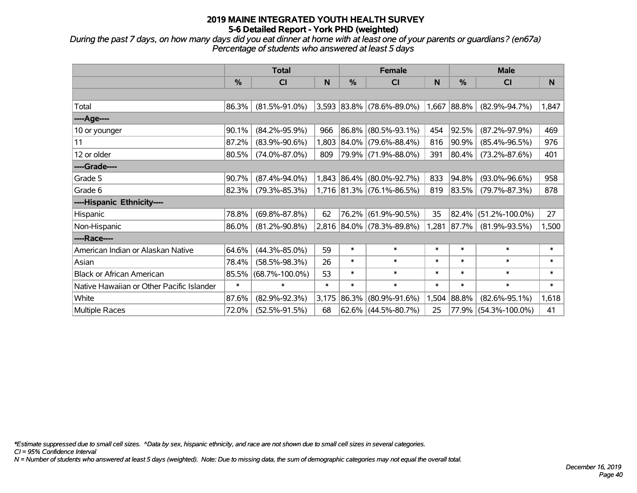*During the past 7 days, on how many days did you eat dinner at home with at least one of your parents or guardians? (en67a) Percentage of students who answered at least 5 days*

|                                           | <b>Total</b> |                      |        |               | <b>Female</b>               |        | <b>Male</b> |                      |        |  |
|-------------------------------------------|--------------|----------------------|--------|---------------|-----------------------------|--------|-------------|----------------------|--------|--|
|                                           | $\%$         | <b>CI</b>            | N      | $\frac{0}{0}$ | <b>CI</b>                   | N      | $\%$        | <b>CI</b>            | N      |  |
|                                           |              |                      |        |               |                             |        |             |                      |        |  |
| Total                                     | 86.3%        | $(81.5\% - 91.0\%)$  |        |               | $3,593$ 83.8% (78.6%-89.0%) |        | 1,667 88.8% | $(82.9\% - 94.7\%)$  | 1,847  |  |
| ----Age----                               |              |                      |        |               |                             |        |             |                      |        |  |
| 10 or younger                             | 90.1%        | $(84.2\% - 95.9\%)$  | 966    |               | 86.8% (80.5%-93.1%)         | 454    | 92.5%       | $(87.2\% - 97.9\%)$  | 469    |  |
| 11                                        | 87.2%        | $(83.9\% - 90.6\%)$  | 1,803  |               | 84.0% (79.6%-88.4%)         | 816    | 90.9%       | $(85.4\% - 96.5\%)$  | 976    |  |
| 12 or older                               | 80.5%        | $(74.0\% - 87.0\%)$  | 809    |               | 79.9% (71.9%-88.0%)         | 391    | 80.4%       | $(73.2\% - 87.6\%)$  | 401    |  |
| ----Grade----                             |              |                      |        |               |                             |        |             |                      |        |  |
| Grade 5                                   | 90.7%        | $(87.4\% - 94.0\%)$  |        |               | 1,843 86.4% (80.0%-92.7%)   | 833    | 94.8%       | $(93.0\% - 96.6\%)$  | 958    |  |
| Grade 6                                   | 82.3%        | $(79.3\% - 85.3\%)$  |        |               | 1,716 81.3% (76.1%-86.5%)   | 819    | $ 83.5\% $  | $(79.7\% - 87.3\%)$  | 878    |  |
| ----Hispanic Ethnicity----                |              |                      |        |               |                             |        |             |                      |        |  |
| Hispanic                                  | 78.8%        | $(69.8\% - 87.8\%)$  | 62     |               | 76.2% (61.9%-90.5%)         | 35     | 82.4%       | $(51.2\% - 100.0\%)$ | 27     |  |
| Non-Hispanic                              | 86.0%        | $(81.2\% - 90.8\%)$  |        |               | 2,816 84.0% (78.3%-89.8%)   | 1,281  | 87.7%       | $(81.9\% - 93.5\%)$  | 1,500  |  |
| ----Race----                              |              |                      |        |               |                             |        |             |                      |        |  |
| American Indian or Alaskan Native         | 64.6%        | $(44.3\% - 85.0\%)$  | 59     | $\ast$        | $\ast$                      | $\ast$ | $\ast$      | $\ast$               | $\ast$ |  |
| Asian                                     | 78.4%        | $(58.5\% - 98.3\%)$  | 26     | $\ast$        | $\ast$                      | $\ast$ | $\ast$      | $\ast$               | $\ast$ |  |
| <b>Black or African American</b>          | 85.5%        | $(68.7\% - 100.0\%)$ | 53     | $\ast$        | $\ast$                      | $\ast$ | $\ast$      | $\ast$               | $\ast$ |  |
| Native Hawaiian or Other Pacific Islander | $\ast$       | $\ast$               | $\ast$ | $\ast$        | $\ast$                      | $\ast$ | $\ast$      | $\ast$               | $\ast$ |  |
| White                                     | 87.6%        | $(82.9\% - 92.3\%)$  | 3,175  |               | 86.3% (80.9%-91.6%)         | 1,504  | 88.8%       | $(82.6\% - 95.1\%)$  | 1,618  |  |
| Multiple Races                            | 72.0%        | $(52.5\% - 91.5\%)$  | 68     |               | $62.6\%$ (44.5%-80.7%)      | 25     |             | 77.9% (54.3%-100.0%) | 41     |  |

*\*Estimate suppressed due to small cell sizes. ^Data by sex, hispanic ethnicity, and race are not shown due to small cell sizes in several categories.*

*CI = 95% Confidence Interval*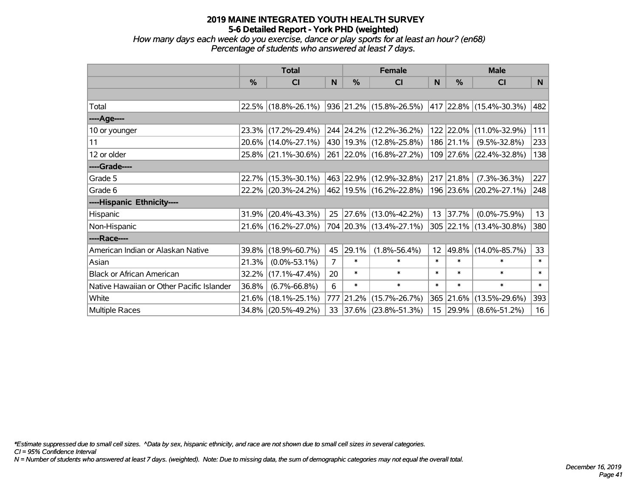*How many days each week do you exercise, dance or play sports for at least an hour? (en68) Percentage of students who answered at least 7 days.*

|                                           | <b>Total</b>  |                        |                | <b>Female</b> | <b>Male</b>                 |                 |             |                              |        |
|-------------------------------------------|---------------|------------------------|----------------|---------------|-----------------------------|-----------------|-------------|------------------------------|--------|
|                                           | $\frac{0}{0}$ | <b>CI</b>              | N.             | $\frac{0}{0}$ | <b>CI</b>                   | <b>N</b>        | %           | <b>CI</b>                    | N      |
|                                           |               |                        |                |               |                             |                 |             |                              |        |
| Total                                     |               | $22.5\%$ (18.8%-26.1%) |                |               | 936  21.2%  (15.8%-26.5%)   |                 |             | $ 417 22.8\% $ (15.4%-30.3%) | 482    |
| ----Age----                               |               |                        |                |               |                             |                 |             |                              |        |
| 10 or younger                             |               | 23.3% (17.2%-29.4%)    |                |               | 244 24.2% (12.2%-36.2%)     |                 | 122 22.0%   | $(11.0\% - 32.9\%)$          | 111    |
| 11                                        |               | 20.6% (14.0%-27.1%)    |                |               | 430   19.3%   (12.8%-25.8%) |                 | $186$ 21.1% | $(9.5\% - 32.8\%)$           | 233    |
| 12 or older                               |               | 25.8% (21.1%-30.6%)    |                |               | 261 22.0% (16.8%-27.2%)     |                 |             | 109 27.6% (22.4%-32.8%)      | 138    |
| ----Grade----                             |               |                        |                |               |                             |                 |             |                              |        |
| Grade 5                                   |               | 22.7% (15.3%-30.1%)    |                |               | 463 22.9% (12.9%-32.8%)     |                 | 217 21.8%   | $(7.3\% - 36.3\%)$           | 227    |
| Grade 6                                   |               | 22.2% (20.3%-24.2%)    |                |               | 462 19.5% (16.2%-22.8%)     |                 |             | 196 23.6% (20.2%-27.1%)      | 248    |
| ----Hispanic Ethnicity----                |               |                        |                |               |                             |                 |             |                              |        |
| Hispanic                                  | 31.9%         | $(20.4\% - 43.3\%)$    | 25             |               | 27.6% (13.0%-42.2%)         |                 | 13 37.7%    | $(0.0\% - 75.9\%)$           | 13     |
| Non-Hispanic                              |               | 21.6% (16.2%-27.0%)    |                |               | 704 20.3% (13.4%-27.1%)     |                 |             | 305 22.1% (13.4%-30.8%)      | 380    |
| ----Race----                              |               |                        |                |               |                             |                 |             |                              |        |
| American Indian or Alaskan Native         |               | 39.8% (18.9%-60.7%)    | 45             | 29.1%         | $(1.8\% - 56.4\%)$          | 12 <sup>2</sup> | 49.8%       | $(14.0\% - 85.7\%)$          | 33     |
| Asian                                     | 21.3%         | $(0.0\% - 53.1\%)$     | $\overline{7}$ | $\ast$        | $\ast$                      | $\ast$          | $\ast$      | $\ast$                       | $\ast$ |
| <b>Black or African American</b>          | $32.2\%$      | $(17.1\% - 47.4\%)$    | 20             | $\ast$        | $\ast$                      | $\ast$          | $\ast$      | $\ast$                       | $\ast$ |
| Native Hawaiian or Other Pacific Islander | 36.8%         | $(6.7\% - 66.8\%)$     | 6              | $\ast$        | $\ast$                      | $\ast$          | $\ast$      | $\ast$                       | $\ast$ |
| White                                     | 21.6%         | $(18.1\% - 25.1\%)$    | 777            | 21.2%         | $(15.7\% - 26.7\%)$         |                 | 365 21.6%   | $(13.5\% - 29.6\%)$          | 393    |
| Multiple Races                            |               | 34.8% (20.5%-49.2%)    | 33             |               | $ 37.6\% $ (23.8%-51.3%)    | 15              | 29.9%       | $(8.6\% - 51.2\%)$           | 16     |

*\*Estimate suppressed due to small cell sizes. ^Data by sex, hispanic ethnicity, and race are not shown due to small cell sizes in several categories.*

*CI = 95% Confidence Interval*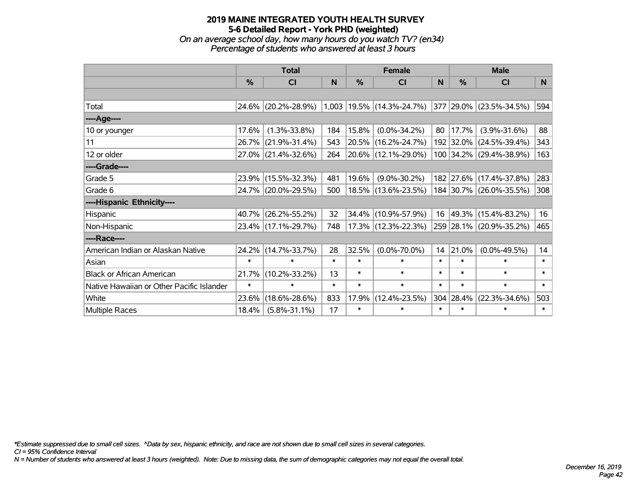# **2019 MAINE INTEGRATED YOUTH HEALTH SURVEY 5-6 Detailed Report - York PHD (weighted)** *On an average school day, how many hours do you watch TV? (en34)*

*Percentage of students who answered at least 3 hours*

|                                           | <b>Total</b>  |                     | <b>Female</b> |        |                                 | <b>Male</b> |           |                              |        |
|-------------------------------------------|---------------|---------------------|---------------|--------|---------------------------------|-------------|-----------|------------------------------|--------|
|                                           | $\frac{0}{0}$ | <b>CI</b>           | N             | %      | <b>CI</b>                       | N           | %         | <b>CI</b>                    | N.     |
|                                           |               |                     |               |        |                                 |             |           |                              |        |
| Total                                     |               | 24.6% (20.2%-28.9%) |               |        | $1,003$   19.5%   (14.3%-24.7%) |             |           | $ 377 29.0\% $ (23.5%-34.5%) | 594    |
| ----Age----                               |               |                     |               |        |                                 |             |           |                              |        |
| 10 or younger                             | 17.6%         | $(1.3\% - 33.8\%)$  | 184           | 15.8%  | $(0.0\% - 34.2\%)$              | 80          | 17.7%     | $(3.9\% - 31.6\%)$           | 88     |
| 11                                        | $26.7\%$      | $(21.9\% - 31.4\%)$ | 543           |        | 20.5% (16.2%-24.7%)             |             |           | 192 32.0% (24.5%-39.4%)      | 343    |
| 12 or older                               |               | 27.0% (21.4%-32.6%) | 264           |        | 20.6% (12.1%-29.0%)             |             |           | 100 34.2% (29.4%-38.9%)      | 163    |
| ----Grade----                             |               |                     |               |        |                                 |             |           |                              |        |
| Grade 5                                   |               | 23.9% (15.5%-32.3%) | 481           | 19.6%  | $(9.0\% - 30.2\%)$              |             |           | 182 27.6% (17.4%-37.8%)      | 283    |
| Grade 6                                   |               | 24.7% (20.0%-29.5%) | 500           |        | 18.5% (13.6%-23.5%)             |             |           | 184 30.7% (26.0%-35.5%)      | 308    |
| ----Hispanic Ethnicity----                |               |                     |               |        |                                 |             |           |                              |        |
| Hispanic                                  | 40.7%         | $(26.2\% - 55.2\%)$ | 32            | 34.4%  | $(10.9\% - 57.9\%)$             | 16          |           | 49.3% (15.4%-83.2%)          | 16     |
| Non-Hispanic                              |               | 23.4% (17.1%-29.7%) | 748           |        | 17.3% (12.3%-22.3%)             |             |           | 259 28.1% (20.9%-35.2%)      | 465    |
| ----Race----                              |               |                     |               |        |                                 |             |           |                              |        |
| American Indian or Alaskan Native         | 24.2%         | $(14.7\% - 33.7\%)$ | 28            | 32.5%  | $(0.0\% - 70.0\%)$              | 14          | 21.0%     | $(0.0\% - 49.5\%)$           | 14     |
| Asian                                     | $\ast$        | $\ast$              | $\ast$        | $\ast$ | $\ast$                          | $\ast$      | $\ast$    | $\ast$                       | $\ast$ |
| <b>Black or African American</b>          | 21.7%         | $(10.2\% - 33.2\%)$ | 13            | $\ast$ | $\ast$                          | $\ast$      | $\ast$    | $\ast$                       | $\ast$ |
| Native Hawaiian or Other Pacific Islander | $\ast$        | $\ast$              | $\ast$        | $\ast$ | $\ast$                          | $\ast$      | $\ast$    | $\ast$                       | $\ast$ |
| White                                     | 23.6%         | $(18.6\% - 28.6\%)$ | 833           | 17.9%  | $(12.4\% - 23.5\%)$             |             | 304 28.4% | $(22.3\% - 34.6\%)$          | 503    |
| Multiple Races                            | 18.4%         | $(5.8\% - 31.1\%)$  | 17            | $\ast$ | $\ast$                          | $\ast$      | $\ast$    | $\ast$                       | $\ast$ |

*\*Estimate suppressed due to small cell sizes. ^Data by sex, hispanic ethnicity, and race are not shown due to small cell sizes in several categories.*

*CI = 95% Confidence Interval*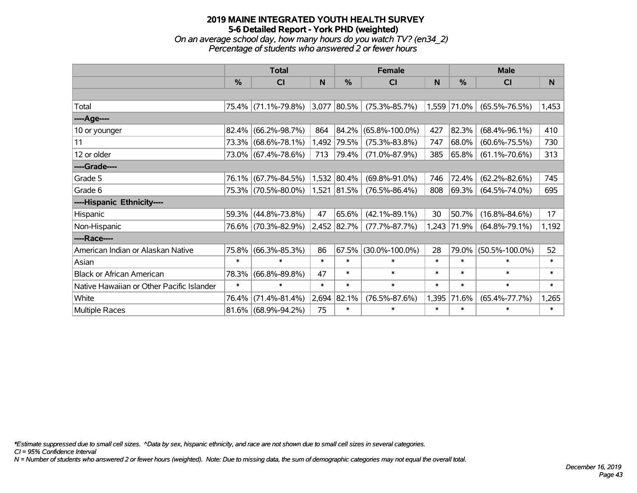#### **2019 MAINE INTEGRATED YOUTH HEALTH SURVEY 5-6 Detailed Report - York PHD (weighted)** *On an average school day, how many hours do you watch TV? (en34\_2)*

*Percentage of students who answered 2 or fewer hours*

|                                           | <b>Total</b>  |                        |        |             | <b>Female</b>        |        | <b>Male</b> |                      |          |  |
|-------------------------------------------|---------------|------------------------|--------|-------------|----------------------|--------|-------------|----------------------|----------|--|
|                                           | $\frac{0}{0}$ | <b>CI</b>              | N      | %           | <b>CI</b>            | N      | %           | <b>CI</b>            | <b>N</b> |  |
|                                           |               |                        |        |             |                      |        |             |                      |          |  |
| Total                                     |               | 75.4% (71.1%-79.8%)    |        | 3,077 80.5% | $(75.3\% - 85.7\%)$  |        | 1,559 71.0% | $(65.5\% - 76.5\%)$  | 1,453    |  |
| ----Age----                               |               |                        |        |             |                      |        |             |                      |          |  |
| 10 or younger                             | 82.4%         | $(66.2\% - 98.7\%)$    | 864    | 84.2%       | $(65.8\% - 100.0\%)$ | 427    | 82.3%       | $(68.4\% - 96.1\%)$  | 410      |  |
| 11                                        | 73.3%         | $(68.6\% - 78.1\%)$    | 1,492  | 79.5%       | $(75.3\% - 83.8\%)$  | 747    | 68.0%       | $(60.6\% - 75.5\%)$  | 730      |  |
| 12 or older                               |               | 73.0% (67.4%-78.6%)    | 713    | 79.4%       | $(71.0\% - 87.9\%)$  | 385    | 65.8%       | $(61.1\% - 70.6\%)$  | 313      |  |
| ----Grade----                             |               |                        |        |             |                      |        |             |                      |          |  |
| Grade 5                                   | 76.1%         | $(67.7\% - 84.5\%)$    |        | 1,532 80.4% | $(69.8\% - 91.0\%)$  | 746    | 72.4%       | $(62.2\% - 82.6\%)$  | 745      |  |
| Grade 6                                   |               | 75.3% (70.5%-80.0%)    |        | 1,521 81.5% | $(76.5\% - 86.4\%)$  | 808    | 69.3%       | $(64.5\% - 74.0\%)$  | 695      |  |
| ----Hispanic Ethnicity----                |               |                        |        |             |                      |        |             |                      |          |  |
| Hispanic                                  | 59.3%         | $(44.8\% - 73.8\%)$    | 47     | 65.6%       | $(42.1\% - 89.1\%)$  | 30     | 50.7%       | $(16.8\% - 84.6\%)$  | 17       |  |
| Non-Hispanic                              | 76.6%         | $(70.3\% - 82.9\%)$    |        | 2,452 82.7% | $(77.7\% - 87.7\%)$  |        | 1,243 71.9% | $(64.8\% - 79.1\%)$  | 1,192    |  |
| ----Race----                              |               |                        |        |             |                      |        |             |                      |          |  |
| American Indian or Alaskan Native         | 75.8%         | $(66.3\% - 85.3\%)$    | 86     | 67.5%       | $(30.0\% - 100.0\%)$ | 28     | 79.0%       | $(50.5\% - 100.0\%)$ | 52       |  |
| Asian                                     | $\ast$        | $\ast$                 | $\ast$ | $\ast$      | $\ast$               | $\ast$ | $\ast$      | $\ast$               | $\ast$   |  |
| <b>Black or African American</b>          | 78.3%         | $(66.8\% - 89.8\%)$    | 47     | $\ast$      | $\ast$               | $\ast$ | $\ast$      | $\ast$               | $\ast$   |  |
| Native Hawaiian or Other Pacific Islander | $\ast$        | $\ast$                 | $\ast$ | $\ast$      | $\ast$               | $\ast$ | $\ast$      | $\ast$               | $\ast$   |  |
| White                                     | 76.4%         | $(71.4\% - 81.4\%)$    | 2,694  | 82.1%       | $(76.5\% - 87.6\%)$  | 1,395  | 71.6%       | $(65.4\% - 77.7\%)$  | 1,265    |  |
| Multiple Races                            |               | $81.6\%$ (68.9%-94.2%) | 75     | $\ast$      | $\ast$               | $\ast$ | $\ast$      | $\ast$               | $\ast$   |  |

*\*Estimate suppressed due to small cell sizes. ^Data by sex, hispanic ethnicity, and race are not shown due to small cell sizes in several categories.*

*CI = 95% Confidence Interval*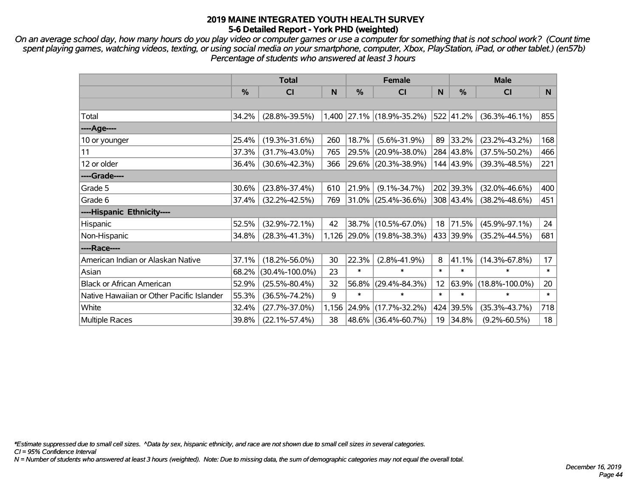*On an average school day, how many hours do you play video or computer games or use a computer for something that is not school work? (Count time spent playing games, watching videos, texting, or using social media on your smartphone, computer, Xbox, PlayStation, iPad, or other tablet.) (en57b) Percentage of students who answered at least 3 hours*

|                                           | <b>Total</b> |                      |       | <b>Female</b> |                           | <b>Male</b> |           |                      |              |
|-------------------------------------------|--------------|----------------------|-------|---------------|---------------------------|-------------|-----------|----------------------|--------------|
|                                           | %            | <b>CI</b>            | N     | %             | <b>CI</b>                 | N           | %         | <b>CI</b>            | <sub>N</sub> |
|                                           |              |                      |       |               |                           |             |           |                      |              |
| Total                                     | 34.2%        | $(28.8\% - 39.5\%)$  |       |               | 1,400 27.1% (18.9%-35.2%) |             | 522 41.2% | $(36.3\% - 46.1\%)$  | 855          |
| ----Age----                               |              |                      |       |               |                           |             |           |                      |              |
| 10 or younger                             | 25.4%        | $(19.3\% - 31.6\%)$  | 260   | 18.7%         | $(5.6\% - 31.9\%)$        | 89          | 33.2%     | $(23.2\% - 43.2\%)$  | 168          |
| 11                                        | 37.3%        | $(31.7\% - 43.0\%)$  | 765   | 29.5%         | $(20.9\% - 38.0\%)$       |             | 284 43.8% | $(37.5\% - 50.2\%)$  | 466          |
| 12 or older                               | 36.4%        | $(30.6\% - 42.3\%)$  | 366   |               | 29.6% (20.3%-38.9%)       |             | 144 43.9% | $(39.3\% - 48.5\%)$  | 221          |
| ----Grade----                             |              |                      |       |               |                           |             |           |                      |              |
| Grade 5                                   | 30.6%        | $(23.8\% - 37.4\%)$  | 610   | 21.9%         | $(9.1\% - 34.7\%)$        |             | 202 39.3% | $(32.0\% - 46.6\%)$  | 400          |
| Grade 6                                   | 37.4%        | $(32.2\% - 42.5\%)$  | 769   |               | 31.0% (25.4%-36.6%)       |             | 308 43.4% | $(38.2\% - 48.6\%)$  | 451          |
| ----Hispanic Ethnicity----                |              |                      |       |               |                           |             |           |                      |              |
| Hispanic                                  | 52.5%        | $(32.9\% - 72.1\%)$  | 42    |               | 38.7% (10.5%-67.0%)       | 18          | 71.5%     | $(45.9\% - 97.1\%)$  | 24           |
| Non-Hispanic                              | 34.8%        | $(28.3\% - 41.3\%)$  |       |               | 1,126 29.0% (19.8%-38.3%) |             | 433 39.9% | $(35.2\% - 44.5\%)$  | 681          |
| ----Race----                              |              |                      |       |               |                           |             |           |                      |              |
| American Indian or Alaskan Native         | 37.1%        | $(18.2\% - 56.0\%)$  | 30    | 22.3%         | $(2.8\% - 41.9\%)$        | 8           | 41.1%     | $(14.3\% - 67.8\%)$  | 17           |
| Asian                                     | 68.2%        | $(30.4\% - 100.0\%)$ | 23    | $\ast$        | $\ast$                    | $\ast$      | $\ast$    | $\ast$               | $\ast$       |
| <b>Black or African American</b>          | 52.9%        | $(25.5\% - 80.4\%)$  | 32    | 56.8%         | $(29.4\% - 84.3\%)$       | 12          | 63.9%     | $(18.8\% - 100.0\%)$ | 20           |
| Native Hawaiian or Other Pacific Islander | 55.3%        | $(36.5\% - 74.2\%)$  | 9     | $\ast$        | $\ast$                    | $\ast$      | $\ast$    | $\ast$               | $\ast$       |
| White                                     | 32.4%        | $(27.7\% - 37.0\%)$  | 1,156 | 24.9%         | $(17.7\% - 32.2\%)$       | 424         | 39.5%     | $(35.3\% - 43.7\%)$  | 718          |
| Multiple Races                            | 39.8%        | $(22.1\% - 57.4\%)$  | 38    |               | 48.6% (36.4%-60.7%)       | 19          | 34.8%     | $(9.2\% - 60.5\%)$   | 18           |

*\*Estimate suppressed due to small cell sizes. ^Data by sex, hispanic ethnicity, and race are not shown due to small cell sizes in several categories.*

*CI = 95% Confidence Interval*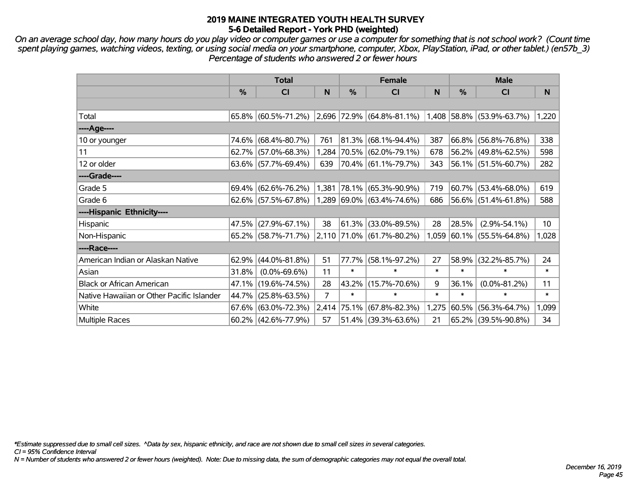*On an average school day, how many hours do you play video or computer games or use a computer for something that is not school work? (Count time spent playing games, watching videos, texting, or using social media on your smartphone, computer, Xbox, PlayStation, iPad, or other tablet.) (en57b\_3) Percentage of students who answered 2 or fewer hours*

|                                           | <b>Total</b> |                        |                |               | <b>Female</b>                                      |        | <b>Male</b>   |                           |                 |  |
|-------------------------------------------|--------------|------------------------|----------------|---------------|----------------------------------------------------|--------|---------------|---------------------------|-----------------|--|
|                                           | $\%$         | <b>CI</b>              | <sub>N</sub>   | $\frac{0}{0}$ | <b>CI</b>                                          | N      | $\frac{0}{0}$ | <b>CI</b>                 | N.              |  |
|                                           |              |                        |                |               |                                                    |        |               |                           |                 |  |
| Total                                     |              | $65.8\%$ (60.5%-71.2%) |                |               | $ 2,696 72.9\%  (64.8\% - 81.1\%)$                 |        |               | 1,408 58.8% (53.9%-63.7%) | 1,220           |  |
| ----Age----                               |              |                        |                |               |                                                    |        |               |                           |                 |  |
| 10 or younger                             |              | 74.6% (68.4%-80.7%)    | 761            |               | 81.3% (68.1%-94.4%)                                | 387    |               | 66.8% (56.8%-76.8%)       | 338             |  |
| 11                                        |              | $62.7\%$ (57.0%-68.3%) |                |               | 1,284 70.5% (62.0%-79.1%)                          | 678    |               | 56.2% (49.8%-62.5%)       | 598             |  |
| 12 or older                               |              | $63.6\%$ (57.7%-69.4%) | 639            |               | 70.4% (61.1%-79.7%)                                | 343    |               | $56.1\%$ (51.5%-60.7%)    | 282             |  |
| ----Grade----                             |              |                        |                |               |                                                    |        |               |                           |                 |  |
| Grade 5                                   |              | $69.4\%$ (62.6%-76.2%) |                |               | 1,381 78.1% (65.3%-90.9%)                          | 719    |               | $60.7\%$ (53.4%-68.0%)    | 619             |  |
| Grade 6                                   |              | $62.6\%$ (57.5%-67.8%) |                |               | $1,289$ 69.0% (63.4%-74.6%)                        | 686    |               | 56.6% (51.4%-61.8%)       | 588             |  |
| ----Hispanic Ethnicity----                |              |                        |                |               |                                                    |        |               |                           |                 |  |
| Hispanic                                  | 47.5%        | $(27.9\% - 67.1\%)$    | 38             |               | $61.3\%$ (33.0%-89.5%)                             | 28     | 28.5%         | $(2.9\% - 54.1\%)$        | 10 <sup>°</sup> |  |
| Non-Hispanic                              |              | 65.2% (58.7%-71.7%)    |                |               | $\vert 2,110 \vert 71.0\% \vert (61.7\% - 80.2\%)$ | 1,059  |               | $ 60.1\% $ (55.5%-64.8%)  | 1,028           |  |
| ----Race----                              |              |                        |                |               |                                                    |        |               |                           |                 |  |
| American Indian or Alaskan Native         | 62.9%        | $(44.0\% - 81.8\%)$    | 51             |               | 77.7% (58.1%-97.2%)                                | 27     | 58.9%         | $(32.2\% - 85.7\%)$       | 24              |  |
| Asian                                     | 31.8%        | $(0.0\% - 69.6\%)$     | 11             | $\ast$        | $\ast$                                             | $\ast$ | $\ast$        | $\ast$                    | $\ast$          |  |
| <b>Black or African American</b>          |              | 47.1% (19.6%-74.5%)    | 28             |               | 43.2% (15.7%-70.6%)                                | 9      | 36.1%         | $(0.0\% - 81.2\%)$        | 11              |  |
| Native Hawaiian or Other Pacific Islander | 44.7%        | $(25.8\% - 63.5\%)$    | $\overline{7}$ | $\ast$        | $\ast$                                             | $\ast$ | $\ast$        | $\ast$                    | $\ast$          |  |
| White                                     |              | $67.6\%$ (63.0%-72.3%) | 2,414          |               | 75.1% (67.8%-82.3%)                                | 1,275  | 60.5%         | $(56.3\% - 64.7\%)$       | 1,099           |  |
| Multiple Races                            |              | $60.2\%$ (42.6%-77.9%) | 57             |               | $51.4\%$ (39.3%-63.6%)                             | 21     |               | 65.2% (39.5%-90.8%)       | 34              |  |

*\*Estimate suppressed due to small cell sizes. ^Data by sex, hispanic ethnicity, and race are not shown due to small cell sizes in several categories.*

*CI = 95% Confidence Interval*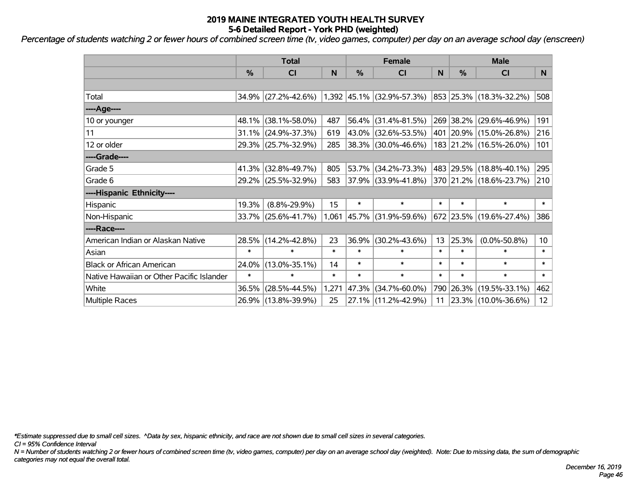*Percentage of students watching 2 or fewer hours of combined screen time (tv, video games, computer) per day on an average school day (enscreen)*

|                                           | <b>Total</b>  |                                               |        | <b>Female</b> | <b>Male</b>              |        |               |                         |                 |
|-------------------------------------------|---------------|-----------------------------------------------|--------|---------------|--------------------------|--------|---------------|-------------------------|-----------------|
|                                           | $\frac{0}{0}$ | CI                                            | N      | $\frac{0}{0}$ | C <sub>l</sub>           | N      | $\frac{0}{0}$ | CI                      | N.              |
|                                           |               |                                               |        |               |                          |        |               |                         |                 |
| Total                                     |               | 34.9% (27.2%-42.6%) 1,392 45.1% (32.9%-57.3%) |        |               |                          |        |               | 853 25.3% (18.3%-32.2%) | 508             |
| ----Age----                               |               |                                               |        |               |                          |        |               |                         |                 |
| 10 or younger                             | 48.1%         | $(38.1\% - 58.0\%)$                           | 487    | 56.4%         | $(31.4\% - 81.5\%)$      |        | 269 38.2%     | $(29.6\% - 46.9\%)$     | 191             |
| 11                                        | 31.1%         | $(24.9\% - 37.3\%)$                           | 619    |               | 43.0% (32.6%-53.5%)      |        | 401 20.9%     | $(15.0\% - 26.8\%)$     | 216             |
| 12 or older                               |               | 29.3% (25.7%-32.9%)                           | 285    |               | 38.3% (30.0%-46.6%)      |        |               | 183 21.2% (16.5%-26.0%) | 101             |
| ----Grade----                             |               |                                               |        |               |                          |        |               |                         |                 |
| Grade 5                                   | 41.3%         | $(32.8\% - 49.7\%)$                           | 805    | 53.7%         | $(34.2\% - 73.3\%)$      |        | 483 29.5%     | $(18.8\% - 40.1\%)$     | 295             |
| Grade 6                                   |               | 29.2% (25.5%-32.9%)                           | 583    |               | $ 37.9\% $ (33.9%-41.8%) |        |               | 370 21.2% (18.6%-23.7%) | 210             |
| ----Hispanic Ethnicity----                |               |                                               |        |               |                          |        |               |                         |                 |
| Hispanic                                  | 19.3%         | $(8.8\% - 29.9\%)$                            | 15     | $\ast$        | $\ast$                   | $\ast$ | $\ast$        | $\ast$                  | $\ast$          |
| Non-Hispanic                              |               | $33.7\%$ (25.6%-41.7%)                        |        | $1,061$ 45.7% | $(31.9\% - 59.6\%)$      |        |               | 672 23.5% (19.6%-27.4%) | 386             |
| ----Race----                              |               |                                               |        |               |                          |        |               |                         |                 |
| American Indian or Alaskan Native         | 28.5%         | $(14.2\% - 42.8\%)$                           | 23     | 36.9%         | $(30.2\% - 43.6\%)$      | 13     | 25.3%         | $(0.0\% - 50.8\%)$      | 10 <sup>°</sup> |
| Asian                                     | $\ast$        | $\ast$                                        | $\ast$ | $\ast$        | $\ast$                   | $\ast$ | $\ast$        | $\ast$                  | $\ast$          |
| <b>Black or African American</b>          | 24.0%         | $(13.0\% - 35.1\%)$                           | 14     | $\ast$        | $\ast$                   | $\ast$ | $\ast$        | $\ast$                  | $\ast$          |
| Native Hawaiian or Other Pacific Islander | $\ast$        | $\ast$                                        | $\ast$ | $\ast$        | $\ast$                   | $\ast$ | $\ast$        | $\ast$                  | $\ast$          |
| White                                     | 36.5%         | $(28.5\% - 44.5\%)$                           | 1,271  | 47.3%         | $(34.7\% - 60.0\%)$      |        | 790 26.3%     | $(19.5\% - 33.1\%)$     | 462             |
| Multiple Races                            |               | 26.9% (13.8%-39.9%)                           | 25     |               | 27.1% (11.2%-42.9%)      | 11     |               | 23.3% (10.0%-36.6%)     | 12              |

*\*Estimate suppressed due to small cell sizes. ^Data by sex, hispanic ethnicity, and race are not shown due to small cell sizes in several categories.*

*CI = 95% Confidence Interval*

*N = Number of students watching 2 or fewer hours of combined screen time (tv, video games, computer) per day on an average school day (weighted). Note: Due to missing data, the sum of demographic categories may not equal the overall total.*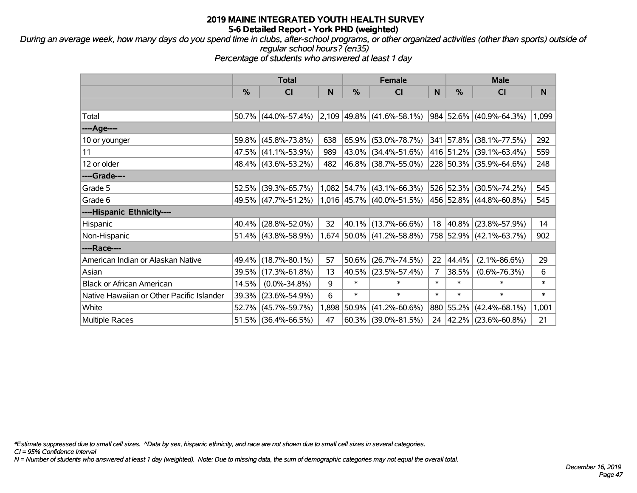*During an average week, how many days do you spend time in clubs, after-school programs, or other organized activities (other than sports) outside of regular school hours? (en35)*

*Percentage of students who answered at least 1 day*

|                                           | <b>Total</b> |                     |       | <b>Female</b> |                             | <b>Male</b> |           |                         |        |
|-------------------------------------------|--------------|---------------------|-------|---------------|-----------------------------|-------------|-----------|-------------------------|--------|
|                                           | %            | <b>CI</b>           | N     | %             | <b>CI</b>                   | N           | %         | <b>CI</b>               | N      |
|                                           |              |                     |       |               |                             |             |           |                         |        |
| Total                                     |              | 50.7% (44.0%-57.4%) |       |               | $2,109$ 49.8% (41.6%-58.1%) |             |           | 984 52.6% (40.9%-64.3%) | 1,099  |
| ----Age----                               |              |                     |       |               |                             |             |           |                         |        |
| 10 or younger                             | 59.8%        | $(45.8\% - 73.8\%)$ | 638   |               | 65.9% (53.0%-78.7%)         |             |           | 341 57.8% (38.1%-77.5%) | 292    |
| 11                                        | 47.5%        | $(41.1\% - 53.9\%)$ | 989   |               | 43.0% (34.4%-51.6%)         |             |           | 416 51.2% (39.1%-63.4%) | 559    |
| 12 or older                               |              | 48.4% (43.6%-53.2%) | 482   |               | 46.8% (38.7%-55.0%)         |             |           | 228 50.3% (35.9%-64.6%) | 248    |
| ----Grade----                             |              |                     |       |               |                             |             |           |                         |        |
| Grade 5                                   | 52.5%        | $(39.3\% - 65.7\%)$ |       |               | $1,082$ 54.7% (43.1%-66.3%) |             |           | 526 52.3% (30.5%-74.2%) | 545    |
| Grade 6                                   |              | 49.5% (47.7%-51.2%) |       |               | 1,016 45.7% (40.0%-51.5%)   |             |           | 456 52.8% (44.8%-60.8%) | 545    |
| ----Hispanic Ethnicity----                |              |                     |       |               |                             |             |           |                         |        |
| Hispanic                                  | 40.4%        | $(28.8\% - 52.0\%)$ | 32    |               | 40.1% (13.7%-66.6%)         | 18          |           | 40.8% (23.8%-57.9%)     | 14     |
| Non-Hispanic                              |              | 51.4% (43.8%-58.9%) |       |               | 1,674 50.0% (41.2%-58.8%)   |             |           | 758 52.9% (42.1%-63.7%) | 902    |
| ----Race----                              |              |                     |       |               |                             |             |           |                         |        |
| American Indian or Alaskan Native         | 49.4%        | $(18.7\% - 80.1\%)$ | 57    |               | $50.6\%$ (26.7%-74.5%)      | 22          | 44.4%     | $(2.1\% - 86.6\%)$      | 29     |
| Asian                                     | 39.5%        | $(17.3\% - 61.8\%)$ | 13    |               | 40.5% (23.5%-57.4%)         | 7           | 38.5%     | $(0.6\% - 76.3\%)$      | 6      |
| <b>Black or African American</b>          | 14.5%        | $(0.0\% - 34.8\%)$  | 9     | $\ast$        | $\ast$                      | $\ast$      | $\ast$    | $\ast$                  | $\ast$ |
| Native Hawaiian or Other Pacific Islander | 39.3%        | $(23.6\% - 54.9\%)$ | 6     | $\ast$        | $\ast$                      | $\ast$      | $\ast$    | $\ast$                  | $\ast$ |
| White                                     | 52.7%        | $(45.7\% - 59.7\%)$ | 1,898 | 50.9%         | $(41.2\% - 60.6\%)$         |             | 880 55.2% | $(42.4\% - 68.1\%)$     | 1,001  |
| Multiple Races                            | 51.5%        | $(36.4\% - 66.5\%)$ | 47    |               | $60.3\%$ (39.0%-81.5%)      |             |           | 24 42.2% (23.6%-60.8%)  | 21     |

*\*Estimate suppressed due to small cell sizes. ^Data by sex, hispanic ethnicity, and race are not shown due to small cell sizes in several categories.*

*CI = 95% Confidence Interval*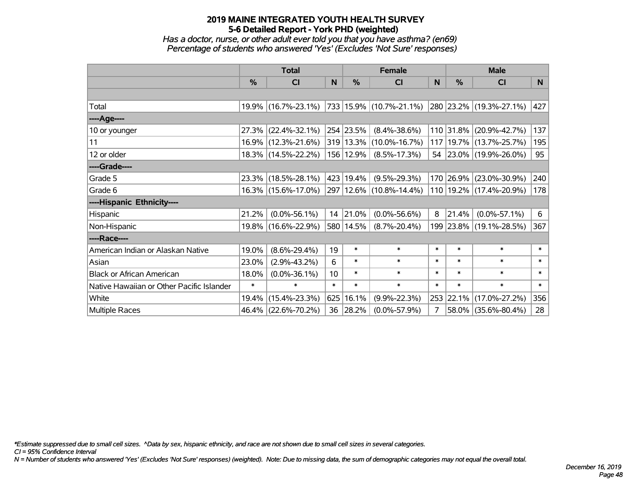*Has a doctor, nurse, or other adult ever told you that you have asthma? (en69) Percentage of students who answered 'Yes' (Excludes 'Not Sure' responses)*

|                                           | <b>Total</b>  |                     | <b>Female</b> |           |                             | <b>Male</b> |           |                             |          |
|-------------------------------------------|---------------|---------------------|---------------|-----------|-----------------------------|-------------|-----------|-----------------------------|----------|
|                                           | $\frac{0}{0}$ | CI                  | N             | $\%$      | <b>CI</b>                   | N           | $\%$      | <b>CI</b>                   | <b>N</b> |
|                                           |               |                     |               |           |                             |             |           |                             |          |
| Total                                     |               | 19.9% (16.7%-23.1%) |               |           | 733   15.9%   (10.7%-21.1%) |             |           | 280 23.2% (19.3%-27.1%)     | 427      |
| ----Age----                               |               |                     |               |           |                             |             |           |                             |          |
| 10 or younger                             | 27.3%         | $(22.4\% - 32.1\%)$ |               | 254 23.5% | $(8.4\% - 38.6\%)$          |             | 110 31.8% | $(20.9\% - 42.7\%)$         | 137      |
| 11                                        |               | 16.9% (12.3%-21.6%) |               |           | 319 13.3% (10.0%-16.7%)     |             |           | 117   19.7%   (13.7%-25.7%) | 195      |
| 12 or older                               |               | 18.3% (14.5%-22.2%) |               | 156 12.9% | $(8.5\% - 17.3\%)$          |             |           | 54 23.0% (19.9%-26.0%)      | 95       |
| ----Grade----                             |               |                     |               |           |                             |             |           |                             |          |
| Grade 5                                   |               | 23.3% (18.5%-28.1%) |               | 423 19.4% | $(9.5\% - 29.3\%)$          |             | 170 26.9% | $(23.0\% - 30.9\%)$         | 240      |
| Grade 6                                   |               | 16.3% (15.6%-17.0%) |               |           | 297   12.6%   (10.8%-14.4%) |             |           | 110 19.2% (17.4%-20.9%)     | 178      |
| ----Hispanic Ethnicity----                |               |                     |               |           |                             |             |           |                             |          |
| Hispanic                                  | 21.2%         | $(0.0\% - 56.1\%)$  | 14            | 21.0%     | $(0.0\% - 56.6\%)$          | 8           | 21.4%     | $(0.0\% - 57.1\%)$          | 6        |
| Non-Hispanic                              |               | 19.8% (16.6%-22.9%) |               | 580 14.5% | $(8.7\% - 20.4\%)$          |             |           | 199 23.8% (19.1%-28.5%)     | 367      |
| ----Race----                              |               |                     |               |           |                             |             |           |                             |          |
| American Indian or Alaskan Native         | 19.0%         | $(8.6\% - 29.4\%)$  | 19            | $\ast$    | $\ast$                      | $\ast$      | $\ast$    | $\ast$                      | $\ast$   |
| Asian                                     | 23.0%         | $(2.9\% - 43.2\%)$  | 6             | $\ast$    | $\ast$                      | $\ast$      | $\ast$    | $\ast$                      | $\ast$   |
| <b>Black or African American</b>          | 18.0%         | $(0.0\% - 36.1\%)$  | 10            | $\ast$    | $\ast$                      | $\ast$      | $\ast$    | $\ast$                      | $\ast$   |
| Native Hawaiian or Other Pacific Islander | $\ast$        | ∗                   | $\ast$        | $\ast$    | $\ast$                      | $\ast$      | $\ast$    | $\ast$                      | $\ast$   |
| White                                     | 19.4%         | $(15.4\% - 23.3\%)$ | 625           | 16.1%     | $(9.9\% - 22.3\%)$          |             | 253 22.1% | $(17.0\% - 27.2\%)$         | 356      |
| Multiple Races                            |               | 46.4% (22.6%-70.2%) | 36            | 28.2%     | $(0.0\% - 57.9\%)$          | 7           | 58.0%     | $(35.6\% - 80.4\%)$         | 28       |

*\*Estimate suppressed due to small cell sizes. ^Data by sex, hispanic ethnicity, and race are not shown due to small cell sizes in several categories.*

*CI = 95% Confidence Interval*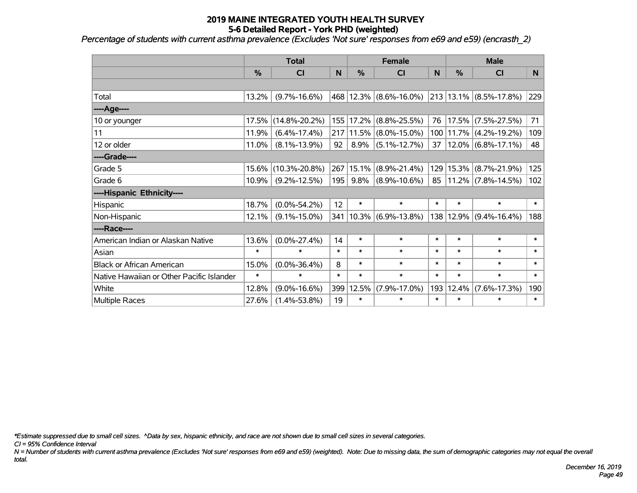*Percentage of students with current asthma prevalence (Excludes 'Not sure' responses from e69 and e59) (encrasth\_2)*

|                                           | <b>Total</b>  |                     |        | <b>Female</b> |                         |           | <b>Male</b>   |                            |        |  |
|-------------------------------------------|---------------|---------------------|--------|---------------|-------------------------|-----------|---------------|----------------------------|--------|--|
|                                           | $\frac{0}{0}$ | CI                  | N      | $\frac{9}{6}$ | CI                      | N         | $\frac{0}{0}$ | CI                         | N      |  |
|                                           |               |                     |        |               |                         |           |               |                            |        |  |
| Total                                     | 13.2%         | $(9.7\% - 16.6\%)$  |        |               | 468 12.3% (8.6%-16.0%)  |           |               | $213 13.1\% $ (8.5%-17.8%) | 229    |  |
| ----Age----                               |               |                     |        |               |                         |           |               |                            |        |  |
| 10 or younger                             | 17.5%         | $(14.8\% - 20.2\%)$ |        | 155 17.2%     | $(8.8\% - 25.5\%)$      | 76        |               | 17.5% (7.5%-27.5%)         | 71     |  |
| 11                                        | 11.9%         | $(6.4\% - 17.4\%)$  |        | 217 11.5%     | $(8.0\% - 15.0\%)$      | 100       |               | $11.7\%$ (4.2%-19.2%)      | 109    |  |
| 12 or older                               | 11.0%         | $(8.1\% - 13.9\%)$  | 92     | 8.9%          | $(5.1\% - 12.7\%)$      | 37        |               | $12.0\%$ (6.8%-17.1%)      | 48     |  |
| ----Grade----                             |               |                     |        |               |                         |           |               |                            |        |  |
| Grade 5                                   | 15.6%         | $(10.3\% - 20.8\%)$ | 267    | 15.1%         | $(8.9\% - 21.4\%)$      | 129       |               | 15.3% (8.7%-21.9%)         | 125    |  |
| Grade 6                                   | 10.9%         | $(9.2\% - 12.5\%)$  | 195    | 9.8%          | $(8.9\% - 10.6\%)$      | $85 \mid$ |               | $11.2\%$ (7.8%-14.5%)      | 102    |  |
| ----Hispanic Ethnicity----                |               |                     |        |               |                         |           |               |                            |        |  |
| Hispanic                                  | 18.7%         | $(0.0\% - 54.2\%)$  | 12     | $\ast$        | $\ast$                  | $\ast$    | $\ast$        | $\ast$                     | $\ast$ |  |
| Non-Hispanic                              | 12.1%         | $(9.1\% - 15.0\%)$  | 341    |               | $ 10.3\% $ (6.9%-13.8%) |           | 138 12.9%     | $(9.4\% - 16.4\%)$         | 188    |  |
| ----Race----                              |               |                     |        |               |                         |           |               |                            |        |  |
| American Indian or Alaskan Native         | 13.6%         | $(0.0\% - 27.4\%)$  | 14     | $\ast$        | $\ast$                  | $\ast$    | $\ast$        | $\ast$                     | $\ast$ |  |
| Asian                                     | $\ast$        | $\ast$              | $\ast$ | $\ast$        | $\ast$                  | $\ast$    | $\ast$        | $\ast$                     | $\ast$ |  |
| <b>Black or African American</b>          | 15.0%         | $(0.0\% - 36.4\%)$  | 8      | $\ast$        | $\ast$                  | $\ast$    | $\ast$        | $\ast$                     | $\ast$ |  |
| Native Hawaiian or Other Pacific Islander | $\ast$        | $\ast$              | $\ast$ | $\ast$        | $\ast$                  | $\ast$    | $\ast$        | $\ast$                     | $\ast$ |  |
| White                                     | 12.8%         | $(9.0\% - 16.6\%)$  | 399    | 12.5%         | $(7.9\% - 17.0\%)$      | 193       | 12.4%         | $(7.6\% - 17.3\%)$         | 190    |  |
| Multiple Races                            | 27.6%         | $(1.4\% - 53.8\%)$  | 19     | $\ast$        | $\ast$                  | $\ast$    | $\ast$        | $\ast$                     | $\ast$ |  |

*\*Estimate suppressed due to small cell sizes. ^Data by sex, hispanic ethnicity, and race are not shown due to small cell sizes in several categories.*

*CI = 95% Confidence Interval*

*N = Number of students with current asthma prevalence (Excludes 'Not sure' responses from e69 and e59) (weighted). Note: Due to missing data, the sum of demographic categories may not equal the overall total.*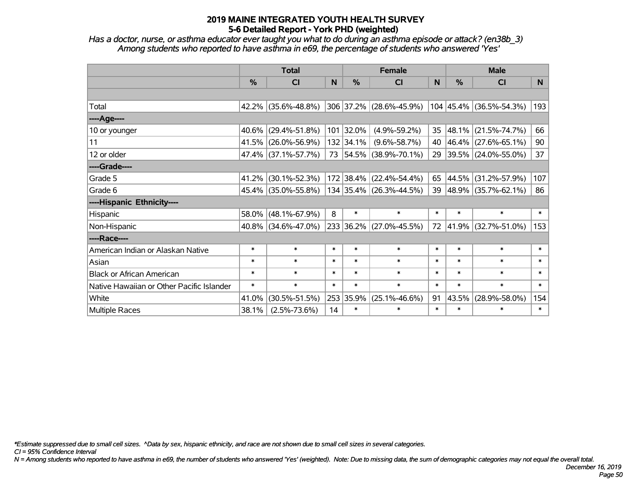*Has a doctor, nurse, or asthma educator ever taught you what to do during an asthma episode or attack? (en38b\_3) Among students who reported to have asthma in e69, the percentage of students who answered 'Yes'*

|                                           | <b>Total</b>  |                        |        |           | <b>Female</b>           | <b>Male</b>  |        |                             |        |
|-------------------------------------------|---------------|------------------------|--------|-----------|-------------------------|--------------|--------|-----------------------------|--------|
|                                           | $\frac{0}{0}$ | <b>CI</b>              | N      | $\%$      | <b>CI</b>               | <sub>N</sub> | $\%$   | <b>CI</b>                   | N      |
|                                           |               |                        |        |           |                         |              |        |                             |        |
| Total                                     |               | $42.2\%$ (35.6%-48.8%) |        |           | 306 37.2% (28.6%-45.9%) |              |        | $104 45.4\% $ (36.5%-54.3%) | 193    |
| ----Age----                               |               |                        |        |           |                         |              |        |                             |        |
| 10 or younger                             | $40.6\%$      | $(29.4\% - 51.8\%)$    |        | 101 32.0% | $(4.9\% - 59.2\%)$      | 35           | 48.1%  | $(21.5\% - 74.7\%)$         | 66     |
| 11                                        |               | 41.5% (26.0%-56.9%)    |        | 132 34.1% | $(9.6\% - 58.7\%)$      | 40           |        | 46.4% (27.6%-65.1%)         | 90     |
| 12 or older                               |               | 47.4% (37.1%-57.7%)    |        |           | 73 54.5% (38.9%-70.1%)  |              |        | 29 39.5% (24.0%-55.0%)      | 37     |
| ----Grade----                             |               |                        |        |           |                         |              |        |                             |        |
| Grade 5                                   | $41.2\%$      | $(30.1\% - 52.3\%)$    |        |           | 172 38.4% (22.4%-54.4%) | 65           | 44.5%  | $(31.2\% - 57.9\%)$         | 107    |
| Grade 6                                   |               | 45.4% (35.0%-55.8%)    |        |           | 134 35.4% (26.3%-44.5%) |              |        | 39 48.9% (35.7%-62.1%)      | 86     |
| ----Hispanic Ethnicity----                |               |                        |        |           |                         |              |        |                             |        |
| Hispanic                                  |               | 58.0% (48.1%-67.9%)    | 8      | $\ast$    | $\ast$                  | $\ast$       | $\ast$ | $\ast$                      | $\ast$ |
| Non-Hispanic                              |               | $40.8\%$ (34.6%-47.0%) |        |           | 233 36.2% (27.0%-45.5%) | 72           |        | 41.9% (32.7%-51.0%)         | 153    |
| ----Race----                              |               |                        |        |           |                         |              |        |                             |        |
| American Indian or Alaskan Native         | $\ast$        | $\ast$                 | $\ast$ | $\ast$    | $\ast$                  | $\ast$       | $\ast$ | $\ast$                      | $\ast$ |
| Asian                                     | $\ast$        | $\ast$                 | $\ast$ | $\ast$    | $\ast$                  | $\ast$       | $\ast$ | $\ast$                      | $\ast$ |
| <b>Black or African American</b>          | $\ast$        | $\ast$                 | $\ast$ | $\ast$    | $\ast$                  | $\ast$       | $\ast$ | $\ast$                      | $\ast$ |
| Native Hawaiian or Other Pacific Islander | $\ast$        | $\ast$                 | $\ast$ | $\ast$    | $\ast$                  | $\ast$       | $\ast$ | $\ast$                      | $\ast$ |
| White                                     | 41.0%         | $(30.5\% - 51.5\%)$    | 253    | 35.9%     | $(25.1\% - 46.6\%)$     | 91           | 43.5%  | $(28.9\% - 58.0\%)$         | 154    |
| <b>Multiple Races</b>                     | 38.1%         | $(2.5\% - 73.6\%)$     | 14     | $\ast$    | $\ast$                  | $\ast$       | $\ast$ | $\ast$                      | $\ast$ |

*\*Estimate suppressed due to small cell sizes. ^Data by sex, hispanic ethnicity, and race are not shown due to small cell sizes in several categories.*

*CI = 95% Confidence Interval*

*N = Among students who reported to have asthma in e69, the number of students who answered 'Yes' (weighted). Note: Due to missing data, the sum of demographic categories may not equal the overall total.*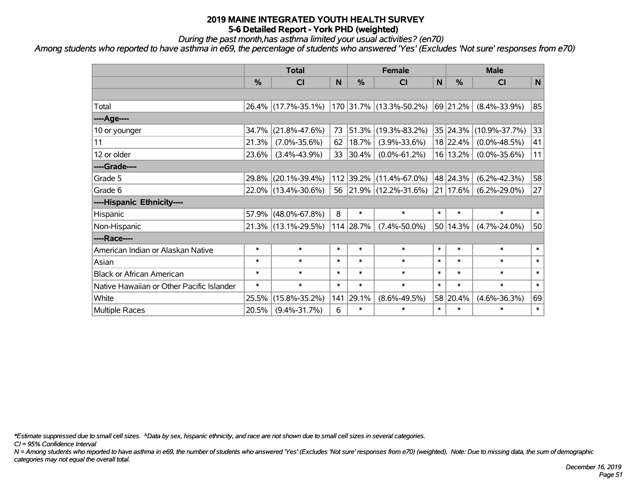*During the past month,has asthma limited your usual activities? (en70)*

*Among students who reported to have asthma in e69, the percentage of students who answered 'Yes' (Excludes 'Not sure' responses from e70)*

|                                           | <b>Total</b> |                     |        |               | <b>Female</b>           | <b>Male</b>  |              |                     |             |
|-------------------------------------------|--------------|---------------------|--------|---------------|-------------------------|--------------|--------------|---------------------|-------------|
|                                           | %            | C <sub>l</sub>      | N      | $\frac{0}{0}$ | C <sub>1</sub>          | $\mathsf{N}$ | %            | <b>CI</b>           | $\mathbf N$ |
|                                           |              |                     |        |               |                         |              |              |                     |             |
| Total                                     |              | 26.4% (17.7%-35.1%) |        |               | 170 31.7% (13.3%-50.2%) |              | 69 21.2%     | $(8.4\% - 33.9\%)$  | 85          |
| ----Age----                               |              |                     |        |               |                         |              |              |                     |             |
| 10 or younger                             | 34.7%        | $(21.8\% - 47.6\%)$ | 73     | 51.3%         | $(19.3\% - 83.2\%)$     |              | 35 24.3%     | $(10.9\% - 37.7\%)$ | 33          |
| 11                                        | 21.3%        | $(7.0\% - 35.6\%)$  | 62     | 18.7%         | $(3.9\% - 33.6\%)$      |              | 18 22.4%     | $(0.0\% - 48.5\%)$  | 41          |
| 12 or older                               | 23.6%        | $(3.4\% - 43.9\%)$  | 33     | 30.4%         | $(0.0\% - 61.2\%)$      |              | 16 13.2%     | $(0.0\% - 35.6\%)$  | 11          |
| ----Grade----                             |              |                     |        |               |                         |              |              |                     |             |
| Grade 5                                   | 29.8%        | $(20.1\% - 39.4\%)$ |        |               | 112 39.2% (11.4%-67.0%) |              | 48 24.3%     | $(6.2\% - 42.3\%)$  | 58          |
| Grade 6                                   |              | 22.0% (13.4%-30.6%) |        |               | 56 21.9% (12.2%-31.6%)  |              | $21 17.6\% $ | $(6.2\% - 29.0\%)$  | 27          |
| ----Hispanic Ethnicity----                |              |                     |        |               |                         |              |              |                     |             |
| Hispanic                                  | 57.9%        | $(48.0\% - 67.8\%)$ | 8      | $\ast$        | $\ast$                  | $\ast$       | $\ast$       | $\ast$              | $\ast$      |
| Non-Hispanic                              |              | 21.3% (13.1%-29.5%) |        | 114 28.7%     | $(7.4\% - 50.0\%)$      |              | 50 14.3%     | $(4.7\% - 24.0\%)$  | 50          |
| ----Race----                              |              |                     |        |               |                         |              |              |                     |             |
| American Indian or Alaskan Native         | $\ast$       | $\ast$              | $\ast$ | $\ast$        | $\ast$                  | $\ast$       | $\ast$       | $\ast$              | $\ast$      |
| Asian                                     | $\ast$       | $\ast$              | $\ast$ | $\ast$        | $\ast$                  | $\ast$       | $\ast$       | $\ast$              | $\ast$      |
| <b>Black or African American</b>          | $\ast$       | $\ast$              | $\ast$ | $\ast$        | $\ast$                  | $\ast$       | $\ast$       | $\ast$              | $\ast$      |
| Native Hawaiian or Other Pacific Islander | $\ast$       | $\ast$              | $\ast$ | $\ast$        | $\ast$                  | $\ast$       | $\ast$       | $\ast$              | $\ast$      |
| White                                     | 25.5%        | $(15.8\% - 35.2\%)$ | 141    | 29.1%         | $(8.6\% - 49.5\%)$      |              | 58 20.4%     | $(4.6\% - 36.3\%)$  | 69          |
| <b>Multiple Races</b>                     | 20.5%        | $(9.4\% - 31.7\%)$  | 6      | $\ast$        | $\ast$                  | $\ast$       | $\ast$       | $\ast$              | $\ast$      |

*\*Estimate suppressed due to small cell sizes. ^Data by sex, hispanic ethnicity, and race are not shown due to small cell sizes in several categories.*

*CI = 95% Confidence Interval*

*N = Among students who reported to have asthma in e69, the number of students who answered 'Yes' (Excludes 'Not sure' responses from e70) (weighted). Note: Due to missing data, the sum of demographic categories may not equal the overall total.*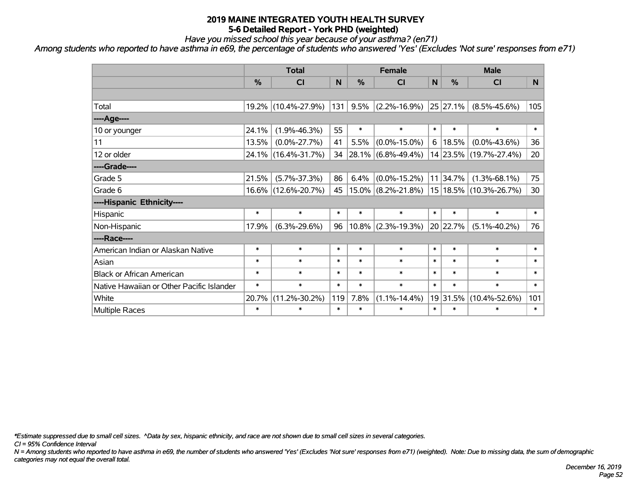*Have you missed school this year because of your asthma? (en71)*

*Among students who reported to have asthma in e69, the percentage of students who answered 'Yes' (Excludes 'Not sure' responses from e71)*

|                                           | <b>Total</b>  |                     |        | <b>Female</b> |                       |        | <b>Male</b>   |                        |        |  |
|-------------------------------------------|---------------|---------------------|--------|---------------|-----------------------|--------|---------------|------------------------|--------|--|
|                                           | $\frac{0}{0}$ | CI                  | N      | $\frac{0}{0}$ | CI                    | N      | $\frac{0}{0}$ | <b>CI</b>              | N.     |  |
|                                           |               |                     |        |               |                       |        |               |                        |        |  |
| Total                                     |               | 19.2% (10.4%-27.9%) | 131    | 9.5%          | $(2.2\% - 16.9\%)$    |        | 25 27.1%      | $(8.5\% - 45.6\%)$     | 105    |  |
| ----Age----                               |               |                     |        |               |                       |        |               |                        |        |  |
| 10 or younger                             | 24.1%         | $(1.9\% - 46.3\%)$  | 55     | $\ast$        | $\ast$                | $\ast$ | $\ast$        | $\ast$                 | $\ast$ |  |
| 11                                        | 13.5%         | $(0.0\% - 27.7\%)$  | 41     | 5.5%          | $(0.0\% - 15.0\%)$    | 6      | 18.5%         | $(0.0\% - 43.6\%)$     | 36     |  |
| 12 or older                               |               | 24.1% (16.4%-31.7%) | 34     |               | $28.1\%$ (6.8%-49.4%) |        |               | 14 23.5% (19.7%-27.4%) | 20     |  |
| ----Grade----                             |               |                     |        |               |                       |        |               |                        |        |  |
| Grade 5                                   | 21.5%         | $(5.7\% - 37.3\%)$  | 86     | 6.4%          | $(0.0\% - 15.2\%)$    |        | 11 34.7%      | $(1.3\% - 68.1\%)$     | 75     |  |
| Grade 6                                   |               | 16.6% (12.6%-20.7%) | 45     |               | $15.0\%$ (8.2%-21.8%) |        |               | 15 18.5% (10.3%-26.7%) | 30     |  |
| ----Hispanic Ethnicity----                |               |                     |        |               |                       |        |               |                        |        |  |
| Hispanic                                  | $\ast$        | $\ast$              | $\ast$ | $\ast$        | $\ast$                | $\ast$ | $\ast$        | $\ast$                 | $\ast$ |  |
| Non-Hispanic                              | 17.9%         | $(6.3\% - 29.6\%)$  | 96     | $10.8\%$      | $(2.3\% - 19.3\%)$    |        | 20 22.7%      | $(5.1\% - 40.2\%)$     | 76     |  |
| ----Race----                              |               |                     |        |               |                       |        |               |                        |        |  |
| American Indian or Alaskan Native         | $\ast$        | $\ast$              | $\ast$ | $\ast$        | $\ast$                | $\ast$ | $\ast$        | $\ast$                 | $\ast$ |  |
| Asian                                     | $\ast$        | $\ast$              | $\ast$ | $\ast$        | $\ast$                | $\ast$ | $\ast$        | $\ast$                 | $\ast$ |  |
| <b>Black or African American</b>          | $\ast$        | $\ast$              | $\ast$ | $\ast$        | $\ast$                | $\ast$ | $\ast$        | $\ast$                 | $\ast$ |  |
| Native Hawaiian or Other Pacific Islander | $\ast$        | $\ast$              | $\ast$ | $\ast$        | $\ast$                | $\ast$ | $\ast$        | $\ast$                 | $\ast$ |  |
| White                                     | 20.7%         | $(11.2\% - 30.2\%)$ | 119    | 7.8%          | $(1.1\% - 14.4\%)$    |        | 19 31.5%      | $(10.4\% - 52.6\%)$    | 101    |  |
| <b>Multiple Races</b>                     | $\ast$        | $\ast$              | $\ast$ | $\ast$        | $\ast$                | $\ast$ | $\ast$        | $\ast$                 | $\ast$ |  |

*\*Estimate suppressed due to small cell sizes. ^Data by sex, hispanic ethnicity, and race are not shown due to small cell sizes in several categories.*

*CI = 95% Confidence Interval*

*N = Among students who reported to have asthma in e69, the number of students who answered 'Yes' (Excludes 'Not sure' responses from e71) (weighted). Note: Due to missing data, the sum of demographic categories may not equal the overall total.*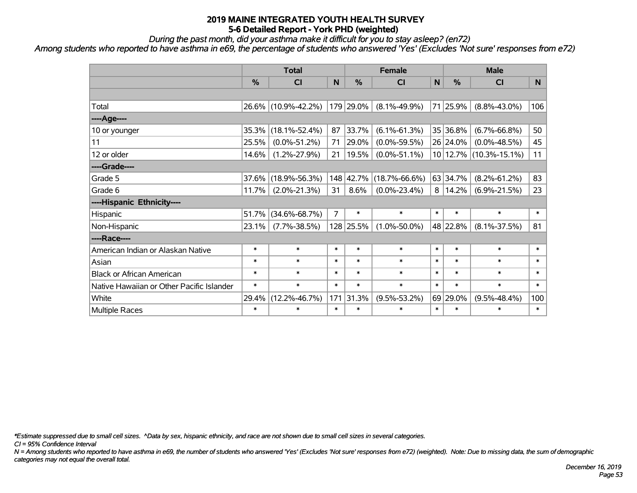*During the past month, did your asthma make it difficult for you to stay asleep? (en72)*

*Among students who reported to have asthma in e69, the percentage of students who answered 'Yes' (Excludes 'Not sure' responses from e72)*

|                                           |          | <b>Total</b>        |                |               | <b>Female</b>       |              | <b>Male</b> |                        |                |  |
|-------------------------------------------|----------|---------------------|----------------|---------------|---------------------|--------------|-------------|------------------------|----------------|--|
|                                           | %        | <b>CI</b>           | N              | $\frac{0}{0}$ | C <sub>l</sub>      | $\mathsf{N}$ | %           | CI                     | N <sub>1</sub> |  |
|                                           |          |                     |                |               |                     |              |             |                        |                |  |
| Total                                     | $26.6\%$ | $(10.9\% - 42.2\%)$ |                | 179 29.0%     | $(8.1\% - 49.9\%)$  |              | 71 25.9%    | $(8.8\% - 43.0\%)$     | 106            |  |
| ----Age----                               |          |                     |                |               |                     |              |             |                        |                |  |
| 10 or younger                             | 35.3%    | $(18.1\% - 52.4\%)$ | 87             | 33.7%         | $(6.1\% - 61.3\%)$  |              | 35 36.8%    | $(6.7\% - 66.8\%)$     | 50             |  |
| 11                                        | 25.5%    | $(0.0\% - 51.2\%)$  | 71             | 29.0%         | $(0.0\% - 59.5\%)$  |              | 26 24.0%    | $(0.0\% - 48.5\%)$     | 45             |  |
| 12 or older                               | 14.6%    | $(1.2\% - 27.9\%)$  | 21             | 19.5%         | $(0.0\% - 51.1\%)$  |              |             | 10 12.7% (10.3%-15.1%) | 11             |  |
| ----Grade----                             |          |                     |                |               |                     |              |             |                        |                |  |
| Grade 5                                   | 37.6%    | $(18.9\% - 56.3\%)$ |                | 148 42.7%     | $(18.7\% - 66.6\%)$ |              | 63 34.7%    | $(8.2\% - 61.2\%)$     | 83             |  |
| Grade 6                                   | 11.7%    | $(2.0\% - 21.3\%)$  | 31             | 8.6%          | $(0.0\% - 23.4\%)$  |              | 8 14.2%     | $(6.9\% - 21.5\%)$     | 23             |  |
| ----Hispanic Ethnicity----                |          |                     |                |               |                     |              |             |                        |                |  |
| Hispanic                                  | 51.7%    | $(34.6\% - 68.7\%)$ | $\overline{7}$ | $\ast$        | $\ast$              | $\ast$       | $\ast$      | $\ast$                 | $\ast$         |  |
| Non-Hispanic                              | 23.1%    | $(7.7\% - 38.5\%)$  |                | 128 25.5%     | $(1.0\% - 50.0\%)$  |              | 48 22.8%    | $(8.1\% - 37.5\%)$     | 81             |  |
| ----Race----                              |          |                     |                |               |                     |              |             |                        |                |  |
| American Indian or Alaskan Native         | $\ast$   | $\ast$              | $\ast$         | $\ast$        | $\ast$              | $\ast$       | $\ast$      | $\ast$                 | $\ast$         |  |
| Asian                                     | $\ast$   | $\ast$              | $\ast$         | $\ast$        | $\ast$              | $\ast$       | $\ast$      | $\ast$                 | $\ast$         |  |
| <b>Black or African American</b>          | $\ast$   | $\ast$              | $\ast$         | $\ast$        | $\ast$              | $\ast$       | $\ast$      | $\ast$                 | $\ast$         |  |
| Native Hawaiian or Other Pacific Islander | $\ast$   | $\ast$              | $\ast$         | $\ast$        | $\ast$              | $\ast$       | $\ast$      | $\ast$                 | $\ast$         |  |
| White                                     | 29.4%    | $(12.2\% - 46.7\%)$ | 171            | 31.3%         | $(9.5\% - 53.2\%)$  |              | 69 29.0%    | $(9.5\% - 48.4\%)$     | 100            |  |
| <b>Multiple Races</b>                     | $\ast$   | $\ast$              | $\ast$         | $\ast$        | $\ast$              | $\ast$       | $\ast$      | $\ast$                 | $\ast$         |  |

*\*Estimate suppressed due to small cell sizes. ^Data by sex, hispanic ethnicity, and race are not shown due to small cell sizes in several categories.*

*CI = 95% Confidence Interval*

*N = Among students who reported to have asthma in e69, the number of students who answered 'Yes' (Excludes 'Not sure' responses from e72) (weighted). Note: Due to missing data, the sum of demographic categories may not equal the overall total.*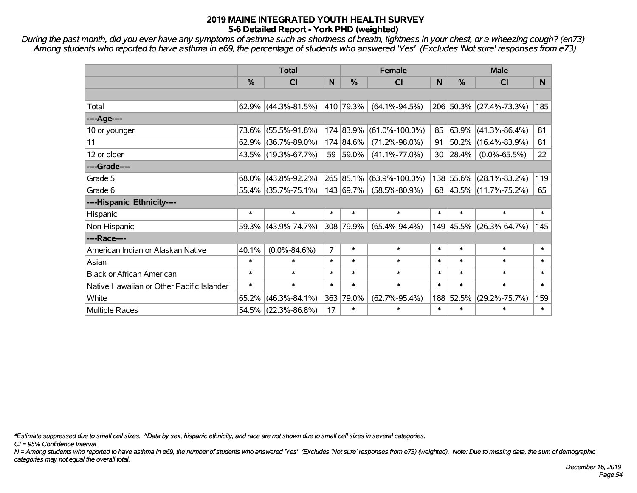*During the past month, did you ever have any symptoms of asthma such as shortness of breath, tightness in your chest, or a wheezing cough? (en73) Among students who reported to have asthma in e69, the percentage of students who answered 'Yes' (Excludes 'Not sure' responses from e73)*

|                                           | <b>Total</b>  |                                       |        |               | <b>Female</b>        | <b>Male</b> |            |                         |        |
|-------------------------------------------|---------------|---------------------------------------|--------|---------------|----------------------|-------------|------------|-------------------------|--------|
|                                           | $\frac{0}{0}$ | <b>CI</b>                             | N      | $\frac{0}{0}$ | <b>CI</b>            | N           | %          | <b>CI</b>               | N.     |
|                                           |               |                                       |        |               |                      |             |            |                         |        |
| Total                                     |               | 62.9% $(44.3\text{%} - 81.5\text{%)}$ |        | 410 79.3%     | $(64.1\% - 94.5\%)$  |             |            | 206 50.3% (27.4%-73.3%) | 185    |
| ----Age----                               |               |                                       |        |               |                      |             |            |                         |        |
| 10 or younger                             | 73.6%         | $(55.5\% - 91.8\%)$                   |        | 174 83.9%     | $(61.0\% - 100.0\%)$ | 85          | 63.9%      | $(41.3\% - 86.4\%)$     | 81     |
| 11                                        | 62.9%         | $(36.7\% - 89.0\%)$                   |        | 174 84.6%     | $(71.2\% - 98.0\%)$  | 91          | 50.2%      | $(16.4\% - 83.9\%)$     | 81     |
| 12 or older                               |               | 43.5% (19.3%-67.7%)                   |        | 59 59.0%      | $(41.1\% - 77.0\%)$  | 30          | $ 28.4\% $ | $(0.0\% - 65.5\%)$      | 22     |
| ----Grade----                             |               |                                       |        |               |                      |             |            |                         |        |
| Grade 5                                   |               | 68.0% (43.8%-92.2%)                   |        | 265 85.1%     | $(63.9\% - 100.0\%)$ |             | 138 55.6%  | $(28.1\% - 83.2\%)$     | 119    |
| Grade 6                                   |               | 55.4% (35.7%-75.1%)                   |        | 143 69.7%     | $(58.5\% - 80.9\%)$  |             |            | 68 43.5% (11.7%-75.2%)  | 65     |
| ----Hispanic Ethnicity----                |               |                                       |        |               |                      |             |            |                         |        |
| Hispanic                                  | $\ast$        | $\ast$                                | $\ast$ | $\ast$        | $\ast$               | $\ast$      | $\ast$     | $\ast$                  | $\ast$ |
| Non-Hispanic                              |               | 59.3% (43.9%-74.7%)                   |        | 308 79.9%     | $(65.4\% - 94.4\%)$  |             | 149 45.5%  | $(26.3\% - 64.7\%)$     | 145    |
| ----Race----                              |               |                                       |        |               |                      |             |            |                         |        |
| American Indian or Alaskan Native         | 40.1%         | $(0.0\% - 84.6\%)$                    | 7      | $\ast$        | $\ast$               | $\ast$      | $\ast$     | $\ast$                  | $\ast$ |
| Asian                                     | $\ast$        | $\ast$                                | $\ast$ | $\ast$        | $\ast$               | $\ast$      | $\ast$     | $\ast$                  | $\ast$ |
| <b>Black or African American</b>          | $\ast$        | $\ast$                                | $\ast$ | $\ast$        | $\ast$               | $\ast$      | $\ast$     | $\ast$                  | $\ast$ |
| Native Hawaiian or Other Pacific Islander | $\ast$        | $\ast$                                | $\ast$ | $\ast$        | $\ast$               | $\ast$      | $\ast$     | $\ast$                  | $\ast$ |
| White                                     | 65.2%         | $(46.3\% - 84.1\%)$                   |        | 363 79.0%     | $(62.7\% - 95.4\%)$  | 188         | 52.5%      | $(29.2\% - 75.7\%)$     | 159    |
| Multiple Races                            |               | 54.5% (22.3%-86.8%)                   | 17     | $\ast$        | $\ast$               | $\ast$      | $\ast$     | $\ast$                  | $\ast$ |

*\*Estimate suppressed due to small cell sizes. ^Data by sex, hispanic ethnicity, and race are not shown due to small cell sizes in several categories.*

*CI = 95% Confidence Interval*

*N = Among students who reported to have asthma in e69, the number of students who answered 'Yes' (Excludes 'Not sure' responses from e73) (weighted). Note: Due to missing data, the sum of demographic categories may not equal the overall total.*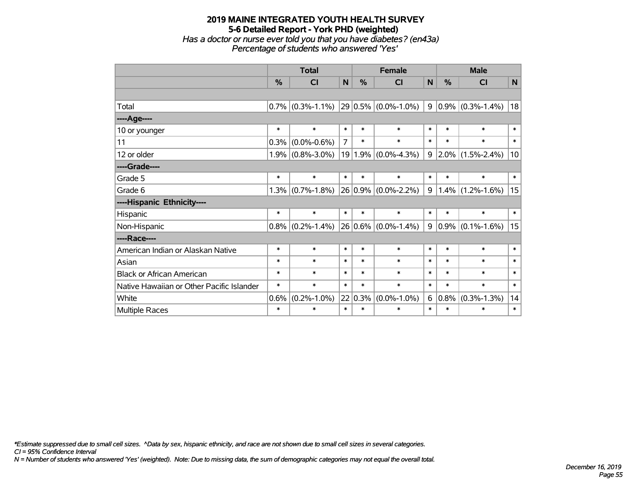## **2019 MAINE INTEGRATED YOUTH HEALTH SURVEY 5-6 Detailed Report - York PHD (weighted)** *Has a doctor or nurse ever told you that you have diabetes? (en43a) Percentage of students who answered 'Yes'*

|                                           | <b>Total</b> |                         |                | <b>Female</b> |                     |        | <b>Male</b> |                     |                |  |
|-------------------------------------------|--------------|-------------------------|----------------|---------------|---------------------|--------|-------------|---------------------|----------------|--|
|                                           | %            | $\overline{\mathsf{C}}$ | N              | %             | <b>CI</b>           | N      | %           | <b>CI</b>           | N <sub>1</sub> |  |
|                                           |              |                         |                |               |                     |        |             |                     |                |  |
| Total                                     | 0.7%         | $(0.3\% - 1.1\%)$       |                |               | 29 0.5% (0.0%-1.0%) | 9      |             | $0.9\%$ (0.3%-1.4%) | 18             |  |
| ----Age----                               |              |                         |                |               |                     |        |             |                     |                |  |
| 10 or younger                             | $\ast$       | $\ast$                  | $\ast$         | $\ast$        | $\ast$              | $\ast$ | $\ast$      | $\ast$              | $\ast$         |  |
| 11                                        | 0.3%         | $(0.0\% - 0.6\%)$       | $\overline{7}$ | $\ast$        | $\ast$              | $\ast$ | $\ast$      | $\ast$              | $\ast$         |  |
| 12 or older                               | 1.9%         | $(0.8\% - 3.0\%)$       | 19             |               | $1.9\%$ (0.0%-4.3%) | 9      |             | $2.0\%$ (1.5%-2.4%) | 10             |  |
| ----Grade----                             |              |                         |                |               |                     |        |             |                     |                |  |
| Grade 5                                   | $\ast$       | $\ast$                  | $\ast$         | $\ast$        | $\ast$              | $\ast$ | $\ast$      | $\ast$              | $\ast$         |  |
| Grade 6                                   | 1.3%         | $(0.7\% - 1.8\%)$       |                |               | 26 0.9% (0.0%-2.2%) | 9      |             | $1.4\%$ (1.2%-1.6%) | 15             |  |
| ----Hispanic Ethnicity----                |              |                         |                |               |                     |        |             |                     |                |  |
| Hispanic                                  | $\ast$       | $\ast$                  | $\ast$         | $\ast$        | $\ast$              | $\ast$ | $\ast$      | $\ast$              | $\ast$         |  |
| Non-Hispanic                              | 0.8%         | $(0.2\% - 1.4\%)$       |                |               | 26 0.6% (0.0%-1.4%) | 9      |             | $0.9\%$ (0.1%-1.6%) | 15             |  |
| ----Race----                              |              |                         |                |               |                     |        |             |                     |                |  |
| American Indian or Alaskan Native         | $\ast$       | $\ast$                  | $\ast$         | $\ast$        | $\ast$              | $\ast$ | $\ast$      | $\ast$              | $\ast$         |  |
| Asian                                     | $\ast$       | $\ast$                  | $\ast$         | $\ast$        | $\ast$              | $\ast$ | $\ast$      | $\ast$              | $\ast$         |  |
| <b>Black or African American</b>          | $\ast$       | $\ast$                  | $\ast$         | $\ast$        | $\ast$              | $\ast$ | $\ast$      | $\ast$              | $\ast$         |  |
| Native Hawaiian or Other Pacific Islander | $\ast$       | $\ast$                  | $\ast$         | $\ast$        | $\ast$              | $\ast$ | $\ast$      | $\ast$              | $\ast$         |  |
| White                                     | 0.6%         | $(0.2\% - 1.0\%)$       |                | 22 0.3%       | $(0.0\% - 1.0\%)$   | 6      | 0.8%        | $(0.3\% - 1.3\%)$   | 14             |  |
| Multiple Races                            | $\ast$       | $\ast$                  | $\ast$         | $\ast$        | $\ast$              | $\ast$ | $\ast$      | $\ast$              | $\ast$         |  |

*\*Estimate suppressed due to small cell sizes. ^Data by sex, hispanic ethnicity, and race are not shown due to small cell sizes in several categories.*

*CI = 95% Confidence Interval*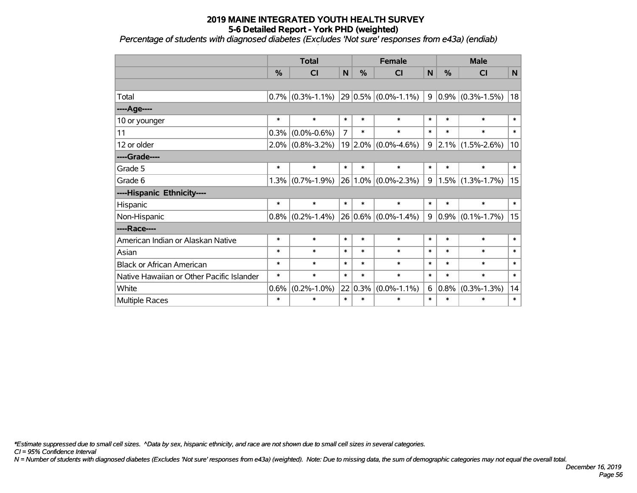*Percentage of students with diagnosed diabetes (Excludes 'Not sure' responses from e43a) (endiab)*

|                                           | <b>Total</b> |                     |                |         | <b>Female</b>           | <b>Male</b>    |         |                                   |        |
|-------------------------------------------|--------------|---------------------|----------------|---------|-------------------------|----------------|---------|-----------------------------------|--------|
|                                           | %            | <b>CI</b>           | $\mathsf{N}$   | %       | <b>CI</b>               | N              | $\%$    | <b>CI</b>                         | N      |
|                                           |              |                     |                |         |                         |                |         |                                   |        |
| Total                                     |              | $0.7\%$ (0.3%-1.1%) |                |         | $29 0.5\% $ (0.0%-1.1%) | 9 <sup>1</sup> |         | $\vert 0.9\% \vert (0.3\%$ -1.5%) | 18     |
| ---- Age----                              |              |                     |                |         |                         |                |         |                                   |        |
| 10 or younger                             | $\ast$       | $\ast$              | $\ast$         | $\ast$  | $\ast$                  | $\ast$         | $\ast$  | $\ast$                            | $\ast$ |
| 11                                        | 0.3%         | $(0.0\% - 0.6\%)$   | $\overline{7}$ | $\ast$  | $\ast$                  | $\ast$         | $\ast$  | $\ast$                            | $\ast$ |
| 12 or older                               | $2.0\%$      | $(0.8\% - 3.2\%)$   | 19             |         | $2.0\%$ (0.0%-4.6%)     | 9              |         | $ 2.1\% $ (1.5%-2.6%)             | 10     |
| ----Grade----                             |              |                     |                |         |                         |                |         |                                   |        |
| Grade 5                                   | $\ast$       | $\ast$              | $\ast$         | $\ast$  | $\ast$                  | $\ast$         | $\ast$  | $\ast$                            | $\ast$ |
| Grade 6                                   | 1.3%         | $(0.7\% - 1.9\%)$   | 26             |         | $1.0\%$ (0.0%-2.3%)     | 9              |         | $1.5\%$ (1.3%-1.7%)               | 15     |
| ----Hispanic Ethnicity----                |              |                     |                |         |                         |                |         |                                   |        |
| Hispanic                                  | $\ast$       | $\ast$              | $\ast$         | $\ast$  | $\ast$                  | $\ast$         | $\ast$  | $\ast$                            | $\ast$ |
| Non-Hispanic                              | 0.8%         | $(0.2\% - 1.4\%)$   |                |         | 26 0.6% (0.0%-1.4%)     | 9              |         | $ 0.9\% $ (0.1%-1.7%)             | 15     |
| ----Race----                              |              |                     |                |         |                         |                |         |                                   |        |
| American Indian or Alaskan Native         | $\ast$       | $\ast$              | $\ast$         | $\ast$  | $\ast$                  | $\ast$         | $\ast$  | $\ast$                            | $\ast$ |
| Asian                                     | $\ast$       | $\ast$              | $\ast$         | $\ast$  | $\ast$                  | $\ast$         | $\ast$  | $\ast$                            | $\ast$ |
| <b>Black or African American</b>          | $\ast$       | $\ast$              | $\ast$         | $\ast$  | $\ast$                  | $\ast$         | $\ast$  | $\ast$                            | $\ast$ |
| Native Hawaiian or Other Pacific Islander | $\ast$       | $\ast$              | $\ast$         | $\ast$  | $\ast$                  | $\ast$         | $\ast$  | $\ast$                            | $\ast$ |
| White                                     | 0.6%         | $(0.2\% - 1.0\%)$   | 22             | $0.3\%$ | $(0.0\% - 1.1\%)$       | 6              | $0.8\%$ | $(0.3\% - 1.3\%)$                 | 14     |
| Multiple Races                            | $\ast$       | $\ast$              | $\ast$         | $\ast$  | $\ast$                  | $\ast$         | $\ast$  | $\ast$                            | $\ast$ |

*\*Estimate suppressed due to small cell sizes. ^Data by sex, hispanic ethnicity, and race are not shown due to small cell sizes in several categories.*

*CI = 95% Confidence Interval*

*N = Number of students with diagnosed diabetes (Excludes 'Not sure' responses from e43a) (weighted). Note: Due to missing data, the sum of demographic categories may not equal the overall total.*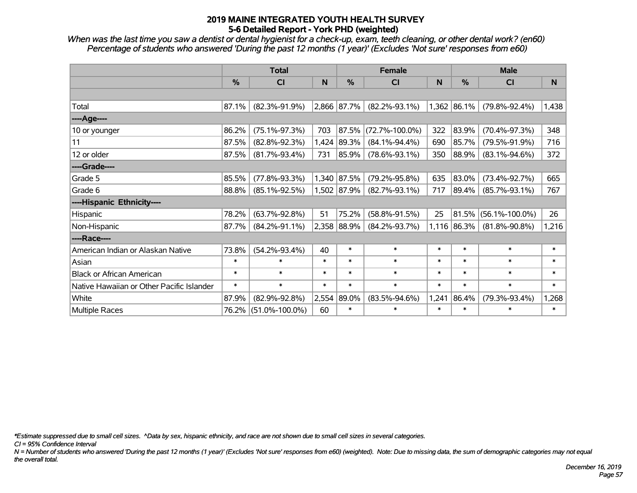*When was the last time you saw a dentist or dental hygienist for a check-up, exam, teeth cleaning, or other dental work? (en60) Percentage of students who answered 'During the past 12 months (1 year)' (Excludes 'Not sure' responses from e60)*

|                                           | <b>Total</b> |                      |        |             | <b>Female</b>        |        | <b>Male</b>   |                      |          |  |
|-------------------------------------------|--------------|----------------------|--------|-------------|----------------------|--------|---------------|----------------------|----------|--|
|                                           | %            | <b>CI</b>            | N      | %           | <b>CI</b>            | N      | $\frac{9}{6}$ | <b>CI</b>            | <b>N</b> |  |
|                                           |              |                      |        |             |                      |        |               |                      |          |  |
| Total                                     | 87.1%        | $(82.3\% - 91.9\%)$  |        | 2,866 87.7% | $(82.2\% - 93.1\%)$  | 1,362  | 86.1%         | $(79.8\% - 92.4\%)$  | 1,438    |  |
| ----Age----                               |              |                      |        |             |                      |        |               |                      |          |  |
| 10 or younger                             | 86.2%        | $(75.1\% - 97.3\%)$  | 703    | 87.5%       | $(72.7\% - 100.0\%)$ | 322    | 83.9%         | $(70.4\% - 97.3\%)$  | 348      |  |
| 11                                        | 87.5%        | $(82.8\% - 92.3\%)$  | 1,424  | 89.3%       | $(84.1\% - 94.4\%)$  | 690    | 85.7%         | $(79.5\% - 91.9\%)$  | 716      |  |
| 12 or older                               | 87.5%        | $(81.7\% - 93.4\%)$  | 731    | 85.9%       | $(78.6\% - 93.1\%)$  | 350    | 88.9%         | $(83.1\% - 94.6\%)$  | 372      |  |
| ----Grade----                             |              |                      |        |             |                      |        |               |                      |          |  |
| Grade 5                                   | 85.5%        | $(77.8\% - 93.3\%)$  |        | 1,340 87.5% | $(79.2\% - 95.8\%)$  | 635    | 83.0%         | $(73.4\% - 92.7\%)$  | 665      |  |
| Grade 6                                   | 88.8%        | $(85.1\% - 92.5\%)$  |        | 1,502 87.9% | $(82.7\% - 93.1\%)$  | 717    | 89.4%         | $(85.7\% - 93.1\%)$  | 767      |  |
| ----Hispanic Ethnicity----                |              |                      |        |             |                      |        |               |                      |          |  |
| Hispanic                                  | 78.2%        | $(63.7\% - 92.8\%)$  | 51     | 75.2%       | $(58.8\% - 91.5\%)$  | 25     | 81.5%         | $(56.1\% - 100.0\%)$ | 26       |  |
| Non-Hispanic                              | 87.7%        | $(84.2\% - 91.1\%)$  |        | 2,358 88.9% | $(84.2\% - 93.7\%)$  |        | 1,116 86.3%   | $(81.8\% - 90.8\%)$  | 1,216    |  |
| ----Race----                              |              |                      |        |             |                      |        |               |                      |          |  |
| American Indian or Alaskan Native         | 73.8%        | $(54.2\% - 93.4\%)$  | 40     | $\ast$      | $\ast$               | $\ast$ | $\ast$        | $\ast$               | $\ast$   |  |
| Asian                                     | $\ast$       | $\ast$               | $\ast$ | $\ast$      | $\ast$               | $\ast$ | $\ast$        | $\ast$               | $\ast$   |  |
| <b>Black or African American</b>          | $\ast$       | $\ast$               | $\ast$ | $\ast$      | $\ast$               | $\ast$ | $\ast$        | $\ast$               | $\ast$   |  |
| Native Hawaiian or Other Pacific Islander | $\ast$       | $\ast$               | $\ast$ | $\ast$      | $\ast$               | $\ast$ | $\ast$        | $\ast$               | $\ast$   |  |
| White                                     | 87.9%        | $(82.9\% - 92.8\%)$  | 2,554  | 89.0%       | $(83.5\% - 94.6\%)$  | 1,241  | 86.4%         | $(79.3\% - 93.4\%)$  | 1,268    |  |
| <b>Multiple Races</b>                     | 76.2%        | $(51.0\% - 100.0\%)$ | 60     | $\ast$      | $\ast$               | $\ast$ | $\ast$        | $\ast$               | $\ast$   |  |

*\*Estimate suppressed due to small cell sizes. ^Data by sex, hispanic ethnicity, and race are not shown due to small cell sizes in several categories.*

*CI = 95% Confidence Interval*

*N = Number of students who answered 'During the past 12 months (1 year)' (Excludes 'Not sure' responses from e60) (weighted). Note: Due to missing data, the sum of demographic categories may not equal the overall total.*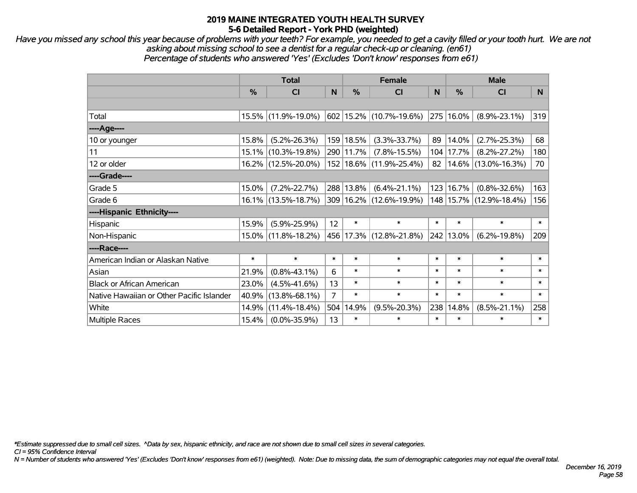*Have you missed any school this year because of problems with your teeth? For example, you needed to get a cavity filled or your tooth hurt. We are not asking about missing school to see a dentist for a regular check-up or cleaning. (en61) Percentage of students who answered 'Yes' (Excludes 'Don't know' responses from e61)*

|                                           | <b>Total</b>  |                        |                |               | <b>Female</b>                 |        | <b>Male</b> |                         |        |  |
|-------------------------------------------|---------------|------------------------|----------------|---------------|-------------------------------|--------|-------------|-------------------------|--------|--|
|                                           | $\frac{0}{0}$ | <b>CI</b>              | N              | $\frac{0}{0}$ | CI                            | N      | %           | CI                      | N.     |  |
|                                           |               |                        |                |               |                               |        |             |                         |        |  |
| Total                                     |               | 15.5% (11.9%-19.0%)    |                |               | $602$   15.2%   (10.7%-19.6%) |        | 275 16.0%   | $(8.9\% - 23.1\%)$      | 319    |  |
| ----Age----                               |               |                        |                |               |                               |        |             |                         |        |  |
| 10 or younger                             | 15.8%         | $(5.2\% - 26.3\%)$     |                | 159 18.5%     | $(3.3\% - 33.7\%)$            | 89     | 14.0%       | $(2.7\% - 25.3\%)$      | 68     |  |
| 11                                        | 15.1%         | $(10.3\% - 19.8\%)$    |                | 290 11.7%     | $(7.8\% - 15.5\%)$            |        | 104 17.7%   | $(8.2\% - 27.2\%)$      | 180    |  |
| 12 or older                               |               | 16.2% (12.5%-20.0%)    |                |               | 152   18.6%   (11.9%-25.4%)   | 82     |             | $14.6\%$ (13.0%-16.3%)  | 70     |  |
| ----Grade----                             |               |                        |                |               |                               |        |             |                         |        |  |
| Grade 5                                   | 15.0%         | $(7.2\% - 22.7\%)$     |                | 288 13.8%     | $(6.4\% - 21.1\%)$            |        | 123 16.7%   | $(0.8\% - 32.6\%)$      | 163    |  |
| Grade 6                                   |               | $16.1\%$ (13.5%-18.7%) |                |               | 309 16.2% (12.6%-19.9%)       |        |             | 148 15.7% (12.9%-18.4%) | 156    |  |
| ----Hispanic Ethnicity----                |               |                        |                |               |                               |        |             |                         |        |  |
| Hispanic                                  | 15.9%         | $(5.9\% - 25.9\%)$     | 12             | $\ast$        | $\ast$                        | $\ast$ | $\ast$      | $\ast$                  | $\ast$ |  |
| Non-Hispanic                              |               | 15.0% (11.8%-18.2%)    |                |               | 456   17.3%   (12.8%-21.8%)   |        | 242 13.0%   | $(6.2\% - 19.8\%)$      | 209    |  |
| ----Race----                              |               |                        |                |               |                               |        |             |                         |        |  |
| American Indian or Alaskan Native         | $\ast$        | $\ast$                 | $\ast$         | $\ast$        | $\ast$                        | $\ast$ | $\ast$      | $\ast$                  | $\ast$ |  |
| Asian                                     | 21.9%         | $(0.8\% - 43.1\%)$     | 6              | $\ast$        | $\ast$                        | $\ast$ | $\ast$      | $\ast$                  | $\ast$ |  |
| <b>Black or African American</b>          | 23.0%         | $(4.5\% - 41.6\%)$     | 13             | $\ast$        | $\ast$                        | $\ast$ | $\ast$      | $\ast$                  | $\ast$ |  |
| Native Hawaiian or Other Pacific Islander | 40.9%         | $(13.8\% - 68.1\%)$    | $\overline{7}$ | $\ast$        | $\ast$                        | $\ast$ | $\ast$      | $\ast$                  | $\ast$ |  |
| White                                     | 14.9%         | $(11.4\% - 18.4\%)$    | 504            | 14.9%         | $(9.5\% - 20.3\%)$            | 238    | 14.8%       | $(8.5\% - 21.1\%)$      | 258    |  |
| <b>Multiple Races</b>                     | 15.4%         | $(0.0\% - 35.9\%)$     | 13             | $\ast$        | $\ast$                        | $\ast$ | $\ast$      | $\ast$                  | $\ast$ |  |

*\*Estimate suppressed due to small cell sizes. ^Data by sex, hispanic ethnicity, and race are not shown due to small cell sizes in several categories.*

*CI = 95% Confidence Interval*

*N = Number of students who answered 'Yes' (Excludes 'Don't know' responses from e61) (weighted). Note: Due to missing data, the sum of demographic categories may not equal the overall total.*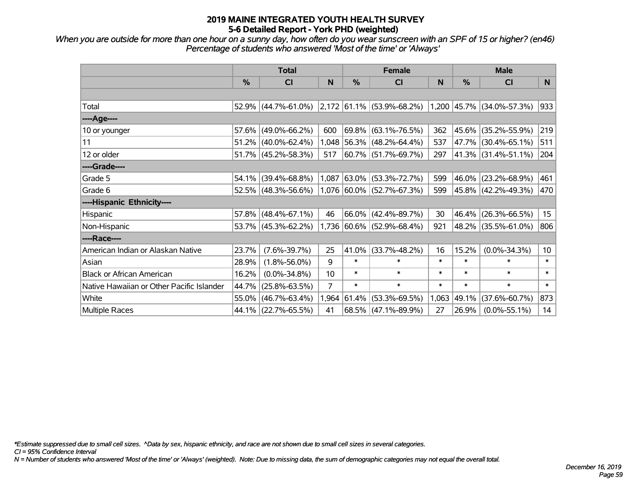*When you are outside for more than one hour on a sunny day, how often do you wear sunscreen with an SPF of 15 or higher? (en46) Percentage of students who answered 'Most of the time' or 'Always'*

|                                           | <b>Total</b> |                                                  |       |               | <b>Female</b>               | <b>Male</b> |               |                             |                 |
|-------------------------------------------|--------------|--------------------------------------------------|-------|---------------|-----------------------------|-------------|---------------|-----------------------------|-----------------|
|                                           | %            | <b>CI</b>                                        | N     | $\frac{0}{0}$ | <b>CI</b>                   | N           | $\frac{0}{0}$ | <b>CI</b>                   | <sub>N</sub>    |
|                                           |              |                                                  |       |               |                             |             |               |                             |                 |
| Total                                     |              | $52.9\%$ (44.7%-61.0%) 2,172 61.1% (53.9%-68.2%) |       |               |                             |             |               | $1,200$ 45.7% (34.0%-57.3%) | 933             |
| ----Age----                               |              |                                                  |       |               |                             |             |               |                             |                 |
| 10 or younger                             | 57.6%        | $(49.0\% - 66.2\%)$                              | 600   |               | $69.8\%$ (63.1%-76.5%)      | 362         |               | 45.6% (35.2%-55.9%)         | 219             |
| 11                                        | 51.2%        | $(40.0\% - 62.4\%)$                              |       |               | 1,048 56.3% (48.2%-64.4%)   | 537         |               | 47.7% (30.4%-65.1%)         | 511             |
| 12 or older                               |              | $51.7\%$ (45.2%-58.3%)                           | 517   |               | 60.7% (51.7%-69.7%)         | 297         |               | 41.3% (31.4%-51.1%)         | 204             |
| ----Grade----                             |              |                                                  |       |               |                             |             |               |                             |                 |
| Grade 5                                   | 54.1%        | $(39.4\% - 68.8\%)$                              | 1,087 |               | 63.0% (53.3%-72.7%)         | 599         |               | 46.0% (23.2%-68.9%)         | 461             |
| Grade 6                                   |              | $52.5\%$ (48.3%-56.6%)                           |       |               | $1,076$ 60.0% (52.7%-67.3%) | 599         |               | 45.8% (42.2%-49.3%)         | 470             |
| ----Hispanic Ethnicity----                |              |                                                  |       |               |                             |             |               |                             |                 |
| Hispanic                                  | 57.8%        | $(48.4\% - 67.1\%)$                              | 46    | $66.0\%$      | $(42.4\% - 89.7\%)$         | 30          |               | 46.4% (26.3%-66.5%)         | 15 <sub>1</sub> |
| Non-Hispanic                              |              | $53.7\%$ (45.3%-62.2%)                           |       |               | 1,736 60.6% (52.9%-68.4%)   | 921         |               | 48.2% (35.5%-61.0%)         | 806             |
| ----Race----                              |              |                                                  |       |               |                             |             |               |                             |                 |
| American Indian or Alaskan Native         | 23.7%        | $(7.6\% - 39.7\%)$                               | 25    | 41.0%         | $(33.7\% - 48.2\%)$         | 16          | 15.2%         | $(0.0\% - 34.3\%)$          | 10 <sup>°</sup> |
| Asian                                     | 28.9%        | $(1.8\% - 56.0\%)$                               | 9     | $\ast$        | $\ast$                      | $\ast$      | $\ast$        | $\ast$                      | $\ast$          |
| <b>Black or African American</b>          | 16.2%        | $(0.0\% - 34.8\%)$                               | 10    | $\ast$        | $\ast$                      | $\ast$      | $\ast$        | $\ast$                      | $\ast$          |
| Native Hawaiian or Other Pacific Islander | 44.7%        | $(25.8\% - 63.5\%)$                              | 7     | $\ast$        | $\ast$                      | $\ast$      | $\ast$        | $\ast$                      | $\ast$          |
| White                                     | 55.0%        | $(46.7\% - 63.4\%)$                              | 1,964 | 61.4%         | $(53.3\% - 69.5\%)$         | 1,063       | 49.1%         | $(37.6\% - 60.7\%)$         | 873             |
| <b>Multiple Races</b>                     |              | 44.1% (22.7%-65.5%)                              | 41    |               | $68.5\%$ (47.1%-89.9%)      | 27          | 26.9%         | $(0.0\% - 55.1\%)$          | 14              |

*\*Estimate suppressed due to small cell sizes. ^Data by sex, hispanic ethnicity, and race are not shown due to small cell sizes in several categories.*

*CI = 95% Confidence Interval*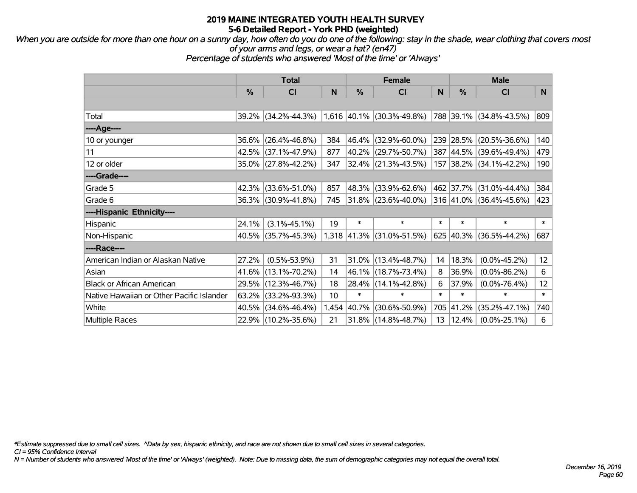*When you are outside for more than one hour on a sunny day, how often do you do one of the following: stay in the shade, wear clothing that covers most of your arms and legs, or wear a hat? (en47)*

*Percentage of students who answered 'Most of the time' or 'Always'*

|                                           | <b>Total</b> |                        |       |          | <b>Female</b>               |        | <b>Male</b> |                         |        |
|-------------------------------------------|--------------|------------------------|-------|----------|-----------------------------|--------|-------------|-------------------------|--------|
|                                           | %            | <b>CI</b>              | N     | %        | <b>CI</b>                   | N      | %           | <b>CI</b>               | N      |
|                                           |              |                        |       |          |                             |        |             |                         |        |
| Total                                     |              | $39.2\%$ (34.2%-44.3%) |       |          | $1,616$ 40.1% (30.3%-49.8%) |        |             | 788 39.1% (34.8%-43.5%) | 809    |
| ----Age----                               |              |                        |       |          |                             |        |             |                         |        |
| 10 or younger                             | 36.6%        | $(26.4\% - 46.8\%)$    | 384   |          | 46.4% (32.9%-60.0%)         |        | 239 28.5%   | $(20.5\% - 36.6\%)$     | 140    |
| 11                                        |              | 42.5% (37.1%-47.9%)    | 877   |          | 40.2% (29.7%-50.7%)         |        | 387 44.5%   | $(39.6\% - 49.4\%)$     | 479    |
| 12 or older                               |              | 35.0% (27.8%-42.2%)    | 347   |          | $ 32.4\% $ (21.3%-43.5%)    |        |             | 157 38.2% (34.1%-42.2%) | 190    |
| ----Grade----                             |              |                        |       |          |                             |        |             |                         |        |
| Grade 5                                   |              | 42.3% (33.6%-51.0%)    | 857   |          | 48.3% (33.9%-62.6%)         |        | 462 37.7%   | $(31.0\% - 44.4\%)$     | 384    |
| Grade 6                                   |              | 36.3% (30.9%-41.8%)    | 745   |          | 31.8% (23.6%-40.0%)         |        |             | 316 41.0% (36.4%-45.6%) | 423    |
| ----Hispanic Ethnicity----                |              |                        |       |          |                             |        |             |                         |        |
| Hispanic                                  | 24.1%        | $(3.1\% - 45.1\%)$     | 19    | $\ast$   | $\ast$                      | $\ast$ | $\ast$      | $\ast$                  | $\ast$ |
| Non-Hispanic                              |              | 40.5% (35.7%-45.3%)    |       |          | $1,318$ 41.3% (31.0%-51.5%) |        |             | 625 40.3% (36.5%-44.2%) | 687    |
| ----Race----                              |              |                        |       |          |                             |        |             |                         |        |
| American Indian or Alaskan Native         | 27.2%        | $(0.5\% - 53.9\%)$     | 31    |          | $31.0\%$ (13.4%-48.7%)      | 14     | 18.3%       | $(0.0\% - 45.2\%)$      | 12     |
| Asian                                     |              | 41.6% (13.1%-70.2%)    | 14    |          | 46.1% (18.7%-73.4%)         | 8      | 36.9%       | $(0.0\% - 86.2\%)$      | 6      |
| <b>Black or African American</b>          | 29.5%        | $(12.3\% - 46.7\%)$    | 18    | $28.4\%$ | $(14.1\% - 42.8\%)$         | 6      | 37.9%       | $(0.0\% - 76.4\%)$      | 12     |
| Native Hawaiian or Other Pacific Islander | 63.2%        | $(33.2\% - 93.3\%)$    | 10    | $\ast$   | $\ast$                      | $\ast$ | $\ast$      | $\ast$                  | $\ast$ |
| White                                     | 40.5%        | $(34.6\% - 46.4\%)$    | 1,454 | 40.7%    | $(30.6\% - 50.9\%)$         | 705    | 41.2%       | $(35.2\% - 47.1\%)$     | 740    |
| <b>Multiple Races</b>                     |              | 22.9% (10.2%-35.6%)    | 21    |          | 31.8% (14.8%-48.7%)         | 13     | 12.4%       | $(0.0\% - 25.1\%)$      | 6      |

*\*Estimate suppressed due to small cell sizes. ^Data by sex, hispanic ethnicity, and race are not shown due to small cell sizes in several categories.*

*CI = 95% Confidence Interval*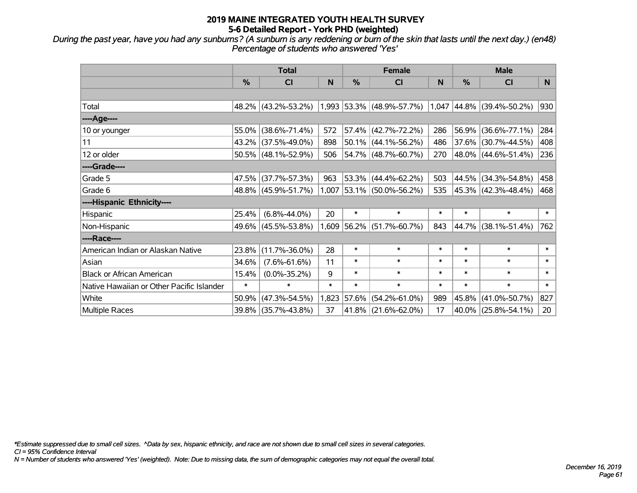*During the past year, have you had any sunburns? (A sunburn is any reddening or burn of the skin that lasts until the next day.) (en48) Percentage of students who answered 'Yes'*

|                                           | <b>Total</b>  |                        |        |        | <b>Female</b>               | <b>Male</b> |               |                                  |                 |
|-------------------------------------------|---------------|------------------------|--------|--------|-----------------------------|-------------|---------------|----------------------------------|-----------------|
|                                           | $\frac{0}{0}$ | <b>CI</b>              | N      | %      | <b>CI</b>                   | N           | $\frac{0}{0}$ | <b>CI</b>                        | <b>N</b>        |
|                                           |               |                        |        |        |                             |             |               |                                  |                 |
| Total                                     |               | 48.2% (43.2%-53.2%)    |        |        | $1,993$ 53.3% (48.9%-57.7%) |             |               | $1,047$ $ 44.8\% $ (39.4%-50.2%) | 930             |
| ----Age----                               |               |                        |        |        |                             |             |               |                                  |                 |
| 10 or younger                             | 55.0%         | $(38.6\% - 71.4\%)$    | 572    |        | $57.4\%$ (42.7%-72.2%)      | 286         |               | 56.9% (36.6%-77.1%)              | 284             |
| 11                                        | 43.2%         | $(37.5\% - 49.0\%)$    | 898    |        | $50.1\%$ (44.1%-56.2%)      | 486         |               | 37.6% (30.7%-44.5%)              | 408             |
| 12 or older                               |               | $50.5\%$ (48.1%-52.9%) | 506    |        | $54.7\%$ (48.7%-60.7%)      | 270         |               | 48.0% (44.6%-51.4%)              | 236             |
| ----Grade----                             |               |                        |        |        |                             |             |               |                                  |                 |
| Grade 5                                   | 47.5%         | $(37.7\% - 57.3\%)$    | 963    |        | 53.3% (44.4%-62.2%)         | 503         |               | 44.5% (34.3%-54.8%)              | 458             |
| Grade 6                                   |               | 48.8% (45.9%-51.7%)    |        |        | $1,007$ 53.1% (50.0%-56.2%) | 535         |               | $ 45.3\% $ (42.3%-48.4%)         | 468             |
| ----Hispanic Ethnicity----                |               |                        |        |        |                             |             |               |                                  |                 |
| Hispanic                                  | 25.4%         | $(6.8\% - 44.0\%)$     | 20     | $\ast$ | $\ast$                      | $\ast$      | $\ast$        | $\ast$                           | $\ast$          |
| Non-Hispanic                              | 49.6%         | $(45.5\% - 53.8\%)$    |        |        | $1,609$ 56.2% (51.7%-60.7%) | 843         |               | 44.7% (38.1%-51.4%)              | 762             |
| ----Race----                              |               |                        |        |        |                             |             |               |                                  |                 |
| American Indian or Alaskan Native         | 23.8%         | $(11.7\% - 36.0\%)$    | 28     | $\ast$ | $\ast$                      | $\ast$      | $\ast$        | $\ast$                           | $\ast$          |
| Asian                                     | 34.6%         | $(7.6\% - 61.6\%)$     | 11     | $\ast$ | $\ast$                      | $\ast$      | $\ast$        | $\ast$                           | $\ast$          |
| <b>Black or African American</b>          | 15.4%         | $(0.0\% - 35.2\%)$     | 9      | $\ast$ | $\ast$                      | $\ast$      | $\ast$        | $\ast$                           | $\ast$          |
| Native Hawaiian or Other Pacific Islander | $\ast$        | $\ast$                 | $\ast$ | $\ast$ | $\ast$                      | $\ast$      | $\ast$        | $\ast$                           | $\ast$          |
| White                                     | 50.9%         | $(47.3\% - 54.5\%)$    | 1,823  | 57.6%  | $(54.2\% - 61.0\%)$         | 989         | 45.8%         | $(41.0\% - 50.7\%)$              | 827             |
| <b>Multiple Races</b>                     | 39.8%         | $(35.7\% - 43.8\%)$    | 37     | 41.8%  | $(21.6\% - 62.0\%)$         | 17          |               | 40.0% (25.8%-54.1%)              | 20 <sub>2</sub> |

*\*Estimate suppressed due to small cell sizes. ^Data by sex, hispanic ethnicity, and race are not shown due to small cell sizes in several categories.*

*CI = 95% Confidence Interval*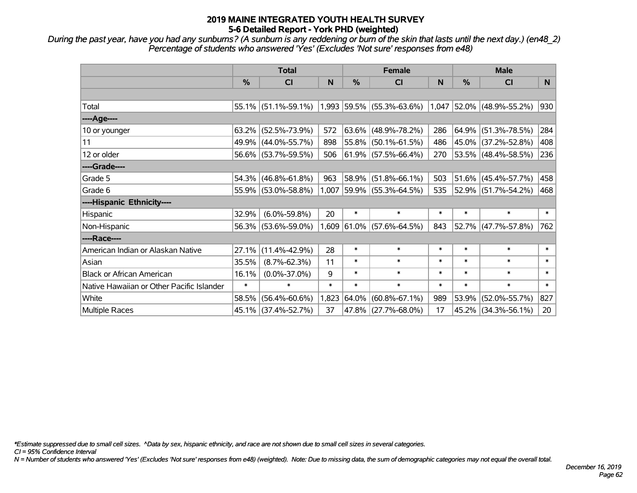*During the past year, have you had any sunburns? (A sunburn is any reddening or burn of the skin that lasts until the next day.) (en48\_2) Percentage of students who answered 'Yes' (Excludes 'Not sure' responses from e48)*

|                                           | <b>Total</b> |                        |        | <b>Female</b> |                           |        | <b>Male</b> |                             |                |
|-------------------------------------------|--------------|------------------------|--------|---------------|---------------------------|--------|-------------|-----------------------------|----------------|
|                                           | %            | CI                     | N      | $\frac{0}{0}$ | <b>CI</b>                 | N      | $\%$        | <b>CI</b>                   | N <sub>1</sub> |
|                                           |              |                        |        |               |                           |        |             |                             |                |
| Total                                     |              | $55.1\%$ (51.1%-59.1%) |        |               | 1,993 59.5% (55.3%-63.6%) |        |             | $1,047$ 52.0% (48.9%-55.2%) | 930            |
| ----Age----                               |              |                        |        |               |                           |        |             |                             |                |
| 10 or younger                             | 63.2%        | $(52.5\% - 73.9\%)$    | 572    |               | $63.6\%$ (48.9%-78.2%)    | 286    |             | $64.9\%$ (51.3%-78.5%)      | 284            |
| 11                                        | 49.9%        | $(44.0\% - 55.7\%)$    | 898    |               | 55.8% (50.1%-61.5%)       | 486    |             | 45.0% (37.2%-52.8%)         | 408            |
| 12 or older                               |              | 56.6% (53.7%-59.5%)    | 506    |               | $61.9\%$ (57.5%-66.4%)    | 270    |             | 53.5% (48.4%-58.5%)         | 236            |
| ----Grade----                             |              |                        |        |               |                           |        |             |                             |                |
| Grade 5                                   | 54.3%        | $(46.8\% - 61.8\%)$    | 963    | 58.9%         | $(51.8\% - 66.1\%)$       | 503    |             | 51.6% (45.4%-57.7%)         | 458            |
| Grade 6                                   |              | 55.9% (53.0%-58.8%)    | 1,007  |               | $ 59.9\% $ (55.3%-64.5%)  | 535    |             | 52.9% (51.7%-54.2%)         | 468            |
| ----Hispanic Ethnicity----                |              |                        |        |               |                           |        |             |                             |                |
| Hispanic                                  | 32.9%        | $(6.0\% - 59.8\%)$     | 20     | $\ast$        | $\ast$                    | $\ast$ | $\ast$      | $\ast$                      | $\ast$         |
| Non-Hispanic                              |              | 56.3% (53.6%-59.0%)    | 1,609  |               | $61.0\%$ (57.6%-64.5%)    | 843    |             | 52.7% (47.7%-57.8%)         | 762            |
| ----Race----                              |              |                        |        |               |                           |        |             |                             |                |
| American Indian or Alaskan Native         | 27.1%        | $(11.4\% - 42.9\%)$    | 28     | $\ast$        | $\ast$                    | $\ast$ | $\ast$      | $\ast$                      | $\ast$         |
| Asian                                     | 35.5%        | $(8.7\% - 62.3\%)$     | 11     | $\ast$        | $\ast$                    | $\ast$ | $\ast$      | $\ast$                      | $\ast$         |
| <b>Black or African American</b>          | 16.1%        | $(0.0\% - 37.0\%)$     | 9      | $\ast$        | $\ast$                    | $\ast$ | $\ast$      | $\ast$                      | $\ast$         |
| Native Hawaiian or Other Pacific Islander | $\ast$       | $\ast$                 | $\ast$ | $\ast$        | $\ast$                    | $\ast$ | $\ast$      | $\ast$                      | $\ast$         |
| White                                     | 58.5%        | $(56.4\% - 60.6\%)$    | 1,823  | 64.0%         | $(60.8\% - 67.1\%)$       | 989    | 53.9%       | $(52.0\% - 55.7\%)$         | 827            |
| <b>Multiple Races</b>                     | $45.1\%$     | $(37.4\% - 52.7\%)$    | 37     |               | $47.8\%$ (27.7%-68.0%)    | 17     |             | 45.2% (34.3%-56.1%)         | 20             |

*\*Estimate suppressed due to small cell sizes. ^Data by sex, hispanic ethnicity, and race are not shown due to small cell sizes in several categories.*

*CI = 95% Confidence Interval*

*N = Number of students who answered 'Yes' (Excludes 'Not sure' responses from e48) (weighted). Note: Due to missing data, the sum of demographic categories may not equal the overall total.*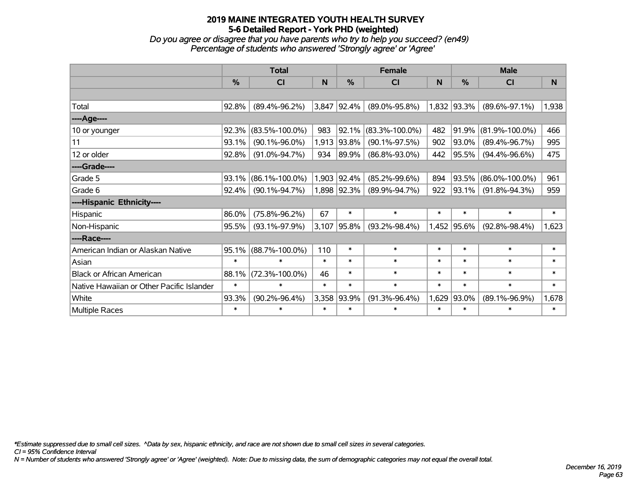*Do you agree or disagree that you have parents who try to help you succeed? (en49) Percentage of students who answered 'Strongly agree' or 'Agree'*

|                                           | <b>Total</b>  |                      |              | <b>Female</b> |                      |        | <b>Male</b> |                      |              |
|-------------------------------------------|---------------|----------------------|--------------|---------------|----------------------|--------|-------------|----------------------|--------------|
|                                           | $\frac{0}{0}$ | <b>CI</b>            | N            | $\frac{0}{0}$ | <b>CI</b>            | N      | %           | <b>CI</b>            | <sub>N</sub> |
|                                           |               |                      |              |               |                      |        |             |                      |              |
| Total                                     | 92.8%         | $(89.4\% - 96.2\%)$  |              | 3,847 92.4%   | $(89.0\% - 95.8\%)$  |        | 1,832 93.3% | $(89.6\% - 97.1\%)$  | 1,938        |
| ----Age----                               |               |                      |              |               |                      |        |             |                      |              |
| 10 or younger                             | 92.3%         | $(83.5\% - 100.0\%)$ | 983          | 92.1%         | $(83.3\% - 100.0\%)$ | 482    | 91.9%       | $(81.9\% - 100.0\%)$ | 466          |
| 11                                        | 93.1%         | $(90.1\% - 96.0\%)$  |              | 1,913 93.8%   | $(90.1\% - 97.5\%)$  | 902    | 93.0%       | $(89.4\% - 96.7\%)$  | 995          |
| 12 or older                               | 92.8%         | $(91.0\% - 94.7\%)$  | 934          | 89.9%         | $(86.8\% - 93.0\%)$  | 442    | 95.5%       | $(94.4\% - 96.6\%)$  | 475          |
| ----Grade----                             |               |                      |              |               |                      |        |             |                      |              |
| Grade 5                                   | 93.1%         | $(86.1\% - 100.0\%)$ |              | 1,903 92.4%   | $(85.2\% - 99.6\%)$  | 894    | 93.5%       | $(86.0\% - 100.0\%)$ | 961          |
| Grade 6                                   | 92.4%         | $(90.1\% - 94.7\%)$  |              | 1,898 92.3%   | $(89.9\% - 94.7\%)$  | 922    | 93.1%       | $(91.8\% - 94.3\%)$  | 959          |
| ----Hispanic Ethnicity----                |               |                      |              |               |                      |        |             |                      |              |
| Hispanic                                  | 86.0%         | $(75.8\% - 96.2\%)$  | 67           | $\ast$        | $\ast$               | $\ast$ | $\ast$      | $\ast$               | $\ast$       |
| Non-Hispanic                              | 95.5%         | $(93.1\% - 97.9\%)$  | 3,107        | $ 95.8\%$     | $(93.2\% - 98.4\%)$  | 1,452  | 95.6%       | $(92.8\% - 98.4\%)$  | 1,623        |
| ----Race----                              |               |                      |              |               |                      |        |             |                      |              |
| American Indian or Alaskan Native         | 95.1%         | $(88.7\% - 100.0\%)$ | 110          | $\ast$        | $\ast$               | $\ast$ | $\ast$      | $\ast$               | $\ast$       |
| Asian                                     | $\ast$        | $\ast$               | $\pmb{\ast}$ | $\ast$        | $\ast$               | $\ast$ | $\ast$      | $\ast$               | $\ast$       |
| <b>Black or African American</b>          | 88.1%         | $(72.3\% - 100.0\%)$ | 46           | $\ast$        | $\ast$               | $\ast$ | $\ast$      | $\ast$               | $\ast$       |
| Native Hawaiian or Other Pacific Islander | $\ast$        | $\ast$               | $\ast$       | $\ast$        | $\ast$               | $\ast$ | $\ast$      | $\ast$               | $\ast$       |
| White                                     | 93.3%         | $(90.2\% - 96.4\%)$  | 3,358        | 93.9%         | $(91.3\% - 96.4\%)$  | 1,629  | 93.0%       | $(89.1\% - 96.9\%)$  | 1,678        |
| <b>Multiple Races</b>                     | $\ast$        | $\ast$               | $\ast$       | $\ast$        | $\ast$               | $\ast$ | $\ast$      | $\ast$               | $\ast$       |

*\*Estimate suppressed due to small cell sizes. ^Data by sex, hispanic ethnicity, and race are not shown due to small cell sizes in several categories.*

*CI = 95% Confidence Interval*